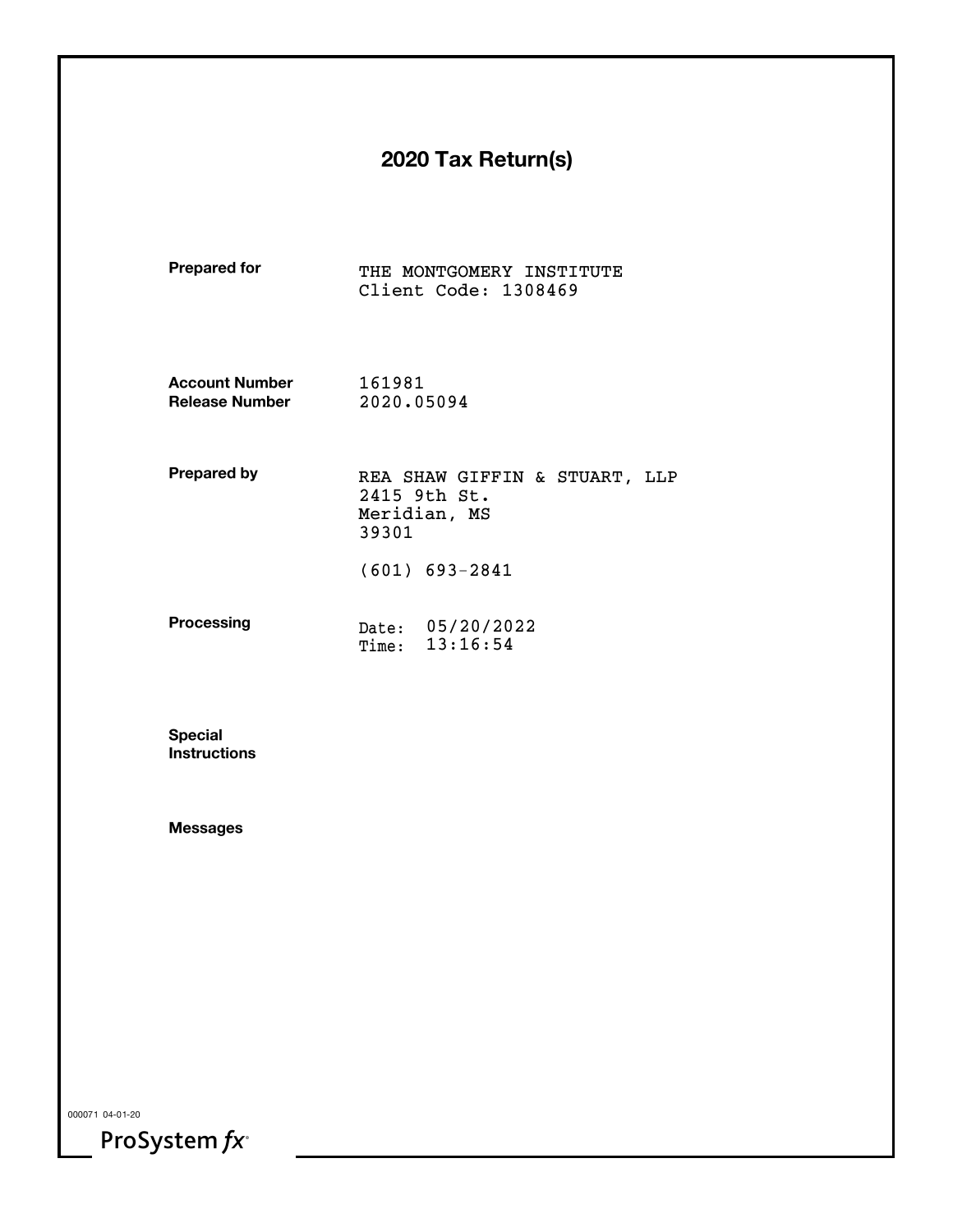# **2020 Tax Return(s)**

| <b>Prepared for</b>   |                                                                        | THE MONTGOMERY INSTITUTE<br>Client Code: 1308469 |  |  |
|-----------------------|------------------------------------------------------------------------|--------------------------------------------------|--|--|
| <b>Account Number</b> | 161981                                                                 |                                                  |  |  |
| <b>Release Number</b> | 2020.05094                                                             |                                                  |  |  |
| Prepared by           | REA SHAW GIFFIN & STUART, LLP<br>2415 9th St.<br>Meridian, MS<br>39301 |                                                  |  |  |
|                       |                                                                        | $(601) 693 - 2841$                               |  |  |
| <b>Processing</b>     | Time:                                                                  | Date: 05/20/2022<br>13:16:54                     |  |  |

**SpecialInstructions**

**Messages**

000071 04-01-20

ProSystem  $fx^*$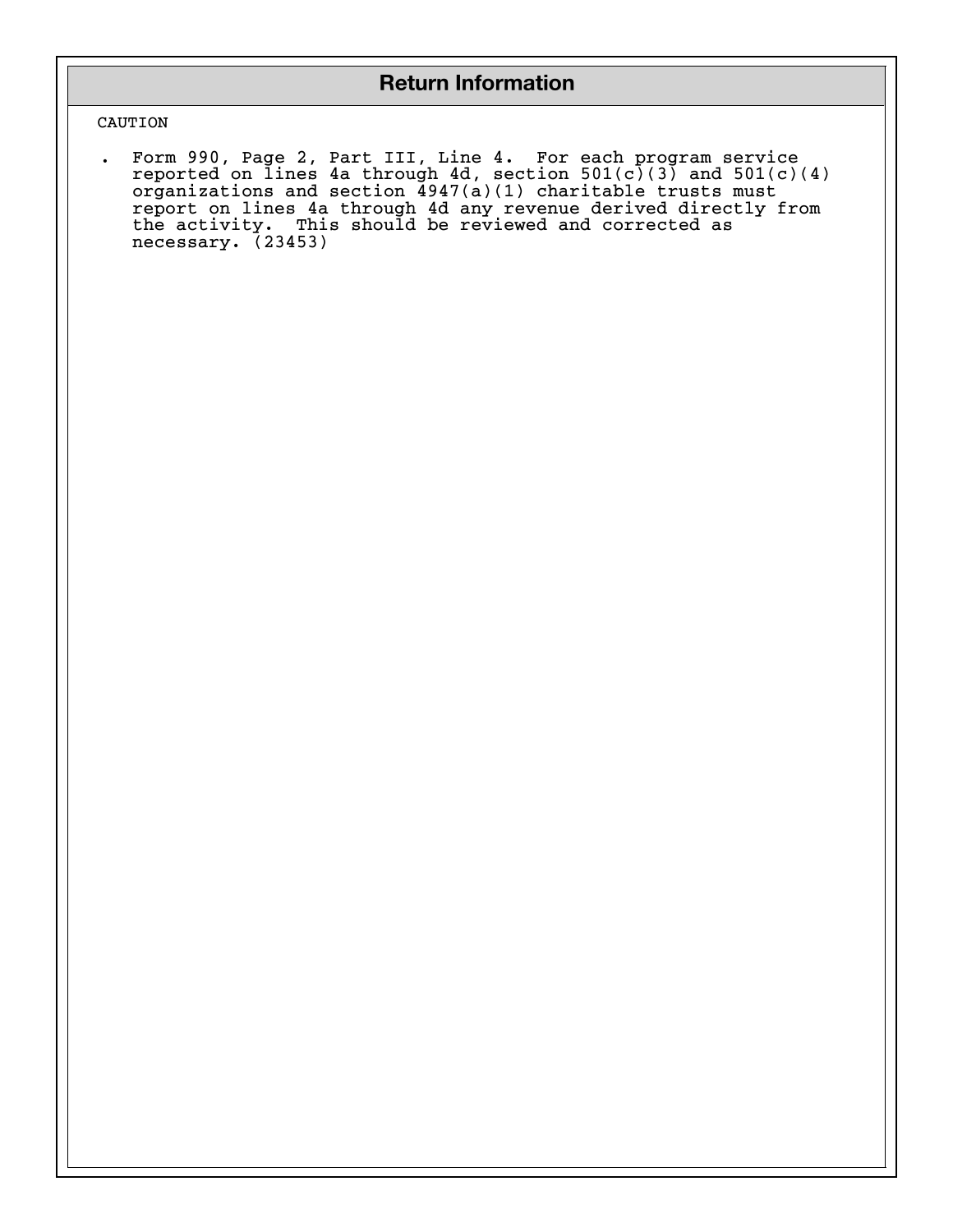# **Return Information**

### CAUTION

. Form 990, Page 2, Part III, Line 4. For each program service reported on lines 4a through 4d, section 501(c)(3) and 501(c)(4) organizations and section 4947(a)(1) charitable trusts must report on lines 4a through 4d any revenue derived directly from the activity. This should be reviewed and corrected as necessary. (23453)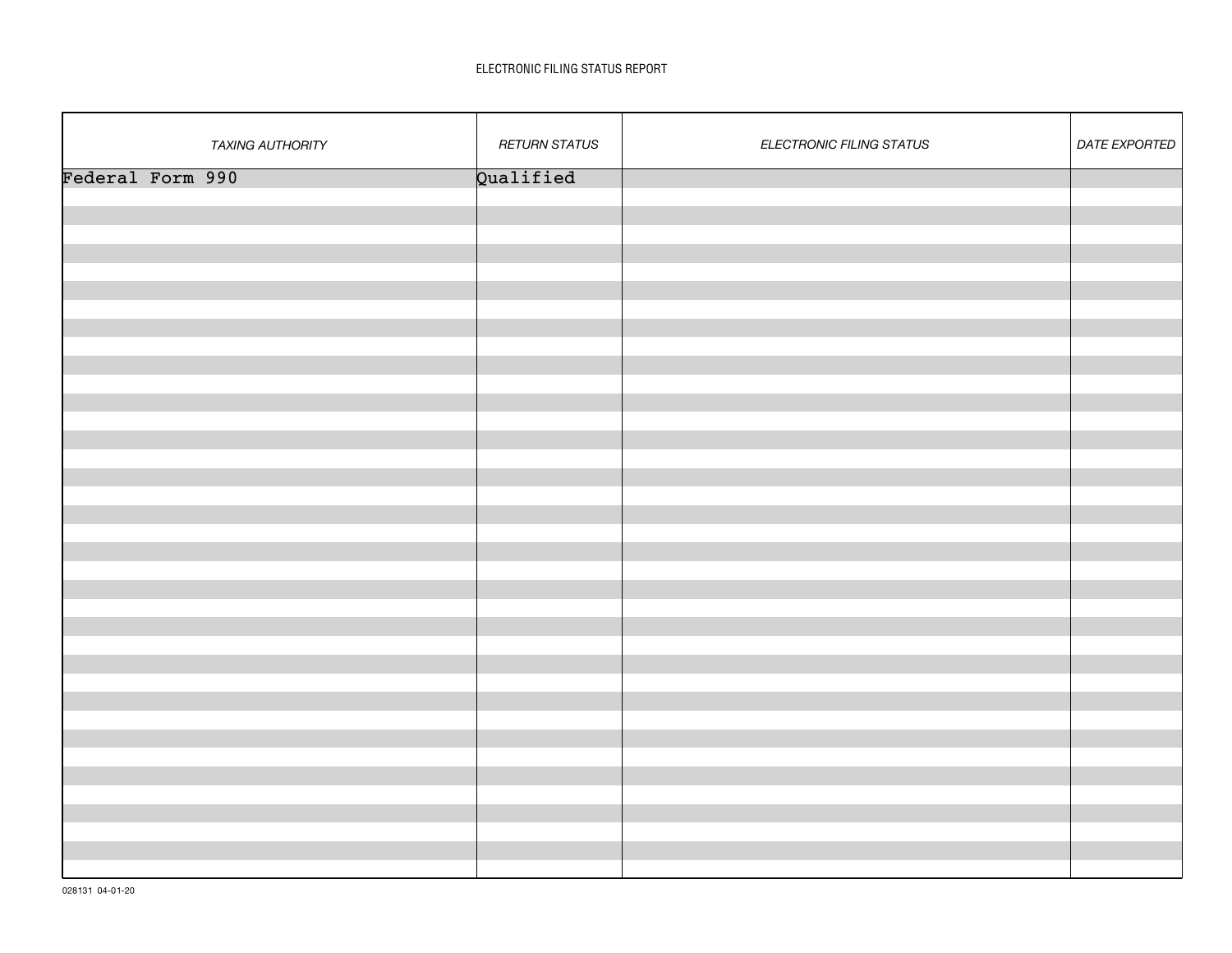### ELECTRONIC FILING STATUS REPORT

| <b>TAXING AUTHORITY</b> | <b>RETURN STATUS</b> | ELECTRONIC FILING STATUS | <b>DATE EXPORTED</b> |
|-------------------------|----------------------|--------------------------|----------------------|
| Federal Form 990        | Qualified            |                          |                      |
|                         |                      |                          |                      |
|                         |                      |                          |                      |
|                         |                      |                          |                      |
|                         |                      |                          |                      |
|                         |                      |                          |                      |
|                         |                      |                          |                      |
|                         |                      |                          |                      |
|                         |                      |                          |                      |
|                         |                      |                          |                      |
|                         |                      |                          |                      |
|                         |                      |                          |                      |
|                         |                      |                          |                      |
|                         |                      |                          |                      |
|                         |                      |                          |                      |
|                         |                      |                          |                      |
|                         |                      |                          |                      |
|                         |                      |                          |                      |
|                         |                      |                          |                      |
|                         |                      |                          |                      |
|                         |                      |                          |                      |
|                         |                      |                          |                      |
|                         |                      |                          |                      |
|                         |                      |                          |                      |
|                         |                      |                          |                      |
|                         |                      |                          |                      |
|                         |                      |                          |                      |
|                         |                      |                          |                      |
|                         |                      |                          |                      |
|                         |                      |                          |                      |
|                         |                      |                          |                      |
|                         |                      |                          |                      |
|                         |                      |                          |                      |
|                         |                      |                          |                      |
|                         |                      |                          |                      |
|                         |                      |                          |                      |
|                         |                      |                          |                      |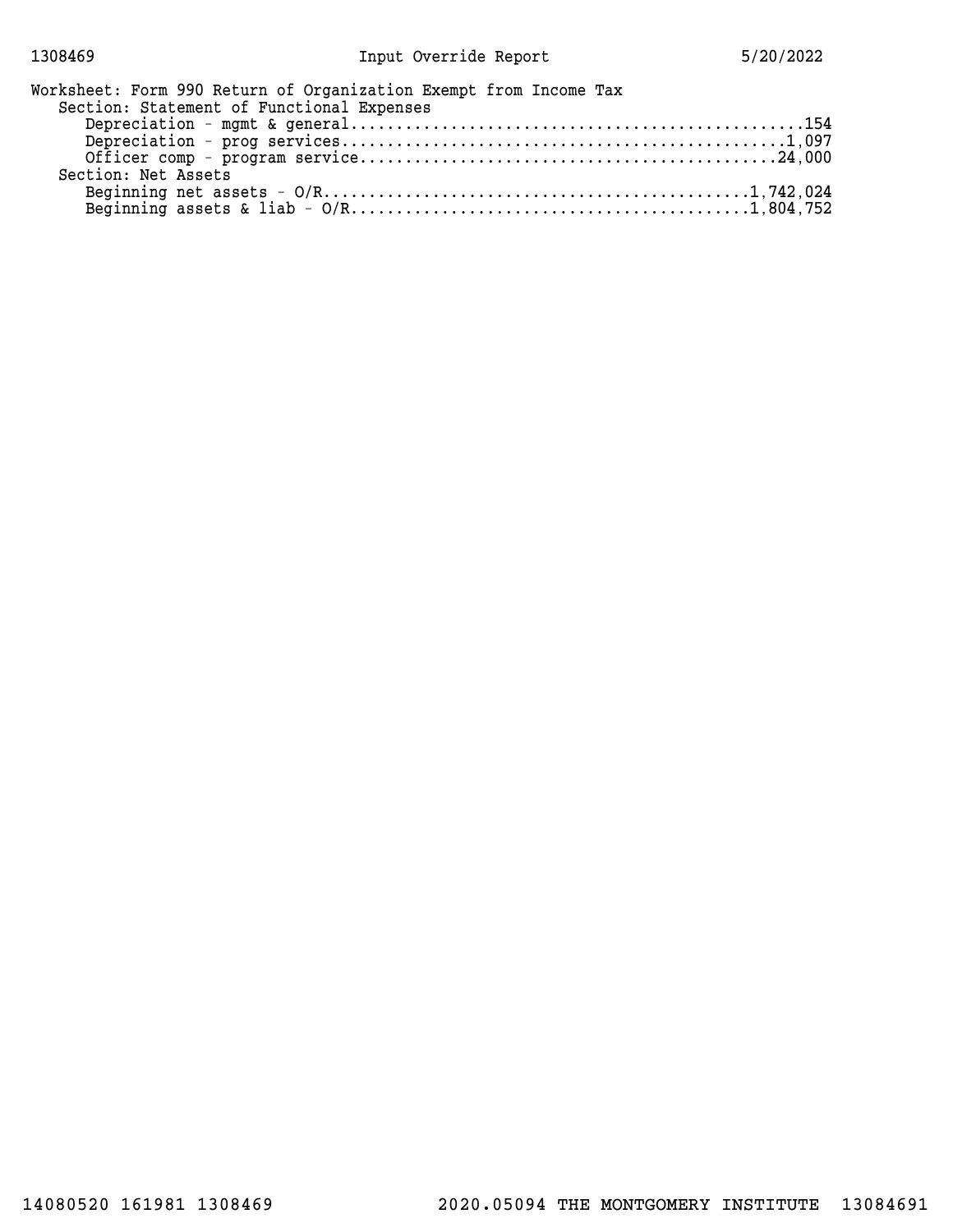| Worksheet: Form 990 Return of Organization Exempt from Income Tax |  |
|-------------------------------------------------------------------|--|
| Section: Statement of Functional Expenses                         |  |
|                                                                   |  |
|                                                                   |  |
|                                                                   |  |
| Section: Net Assets                                               |  |
|                                                                   |  |
|                                                                   |  |
|                                                                   |  |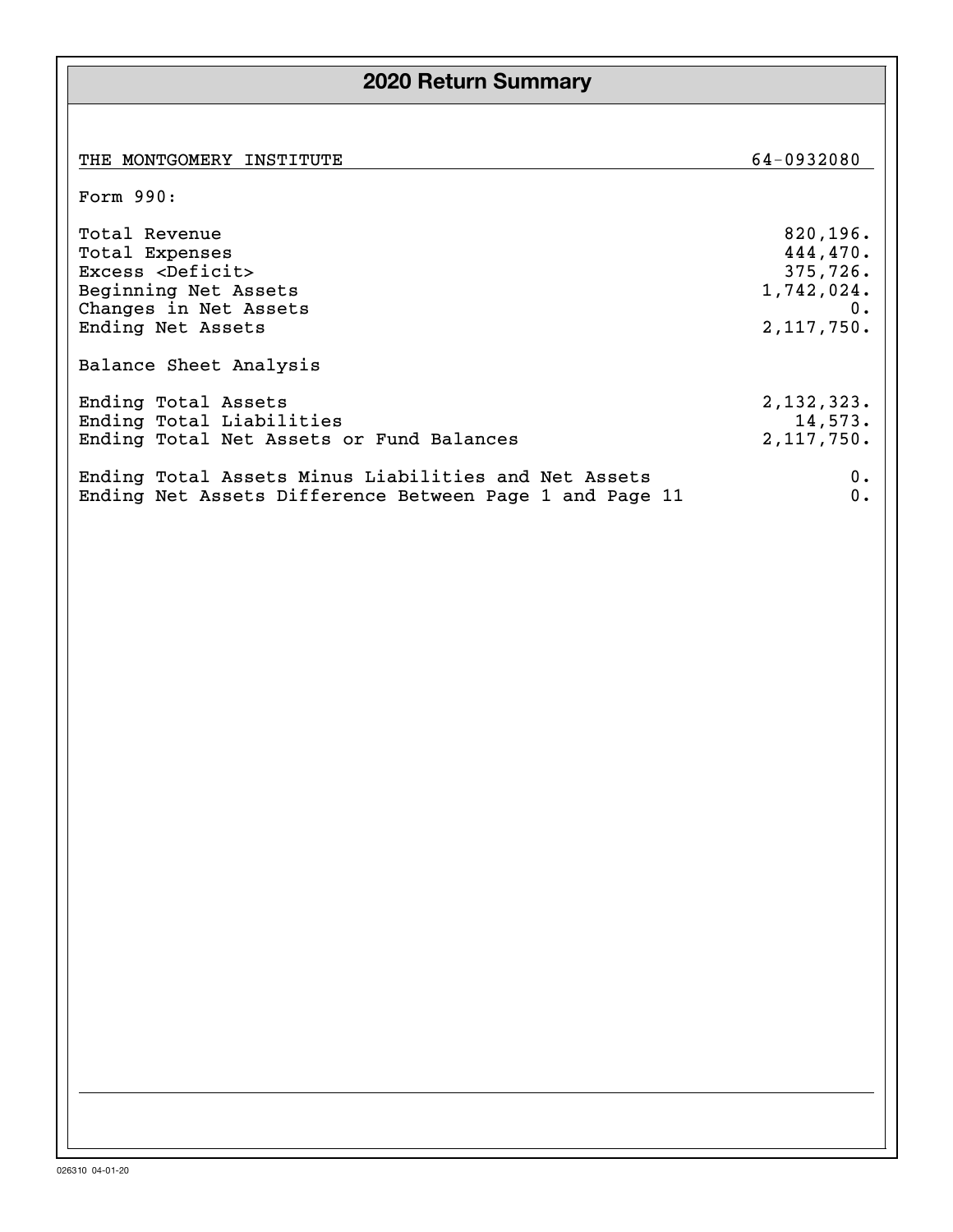# **2020 Return Summary**

| THE MONTGOMERY INSTITUTE                                | 64-0932080 |
|---------------------------------------------------------|------------|
| Form 990:                                               |            |
| Total Revenue                                           | 820, 196.  |
| Total Expenses                                          | 444,470.   |
| Excess <deficit></deficit>                              | 375,726.   |
| Beginning Net Assets                                    | 1,742,024. |
| Changes in Net Assets                                   | 0.         |
| Ending Net Assets                                       | 2,117,750. |
| Balance Sheet Analysis                                  |            |
| Ending Total Assets                                     | 2,132,323. |
| Ending Total Liabilities                                | 14,573.    |
| Ending Total Net Assets or Fund Balances                | 2,117,750. |
| Ending Total Assets Minus Liabilities and Net Assets    | 0.         |
| Ending Net Assets Difference Between Page 1 and Page 11 | 0.         |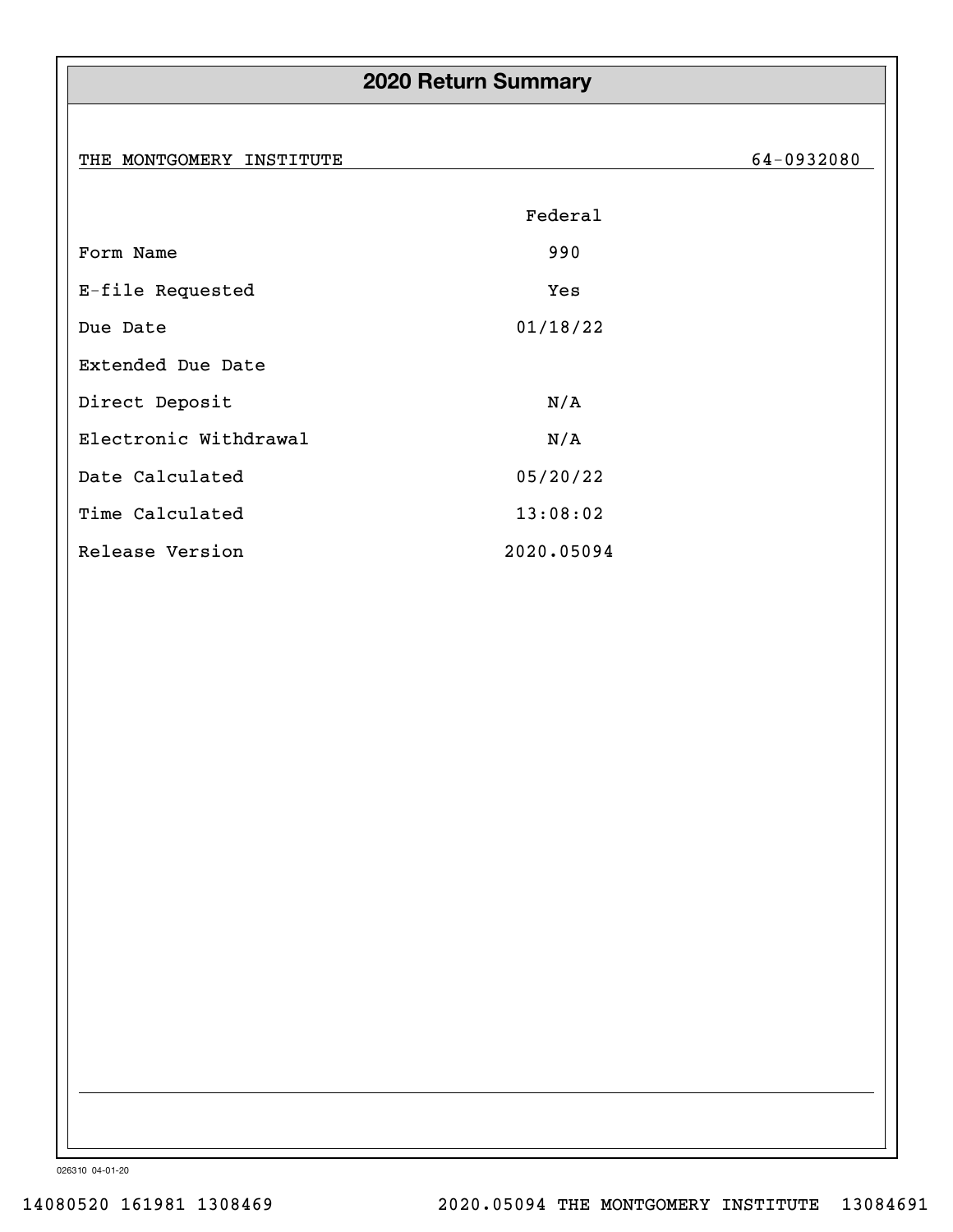# **2020 Return Summary**

THE MONTGOMERY INSTITUTE 64-0932080

|                       | Federal    |
|-----------------------|------------|
| Form Name             | 990        |
| E-file Requested      | Yes        |
| Due Date              | 01/18/22   |
| Extended Due Date     |            |
| Direct Deposit        | N/A        |
| Electronic Withdrawal | N/A        |
| Date Calculated       | 05/20/22   |
| Time Calculated       | 13:08:02   |
| Release Version       | 2020.05094 |

026310 04-01-20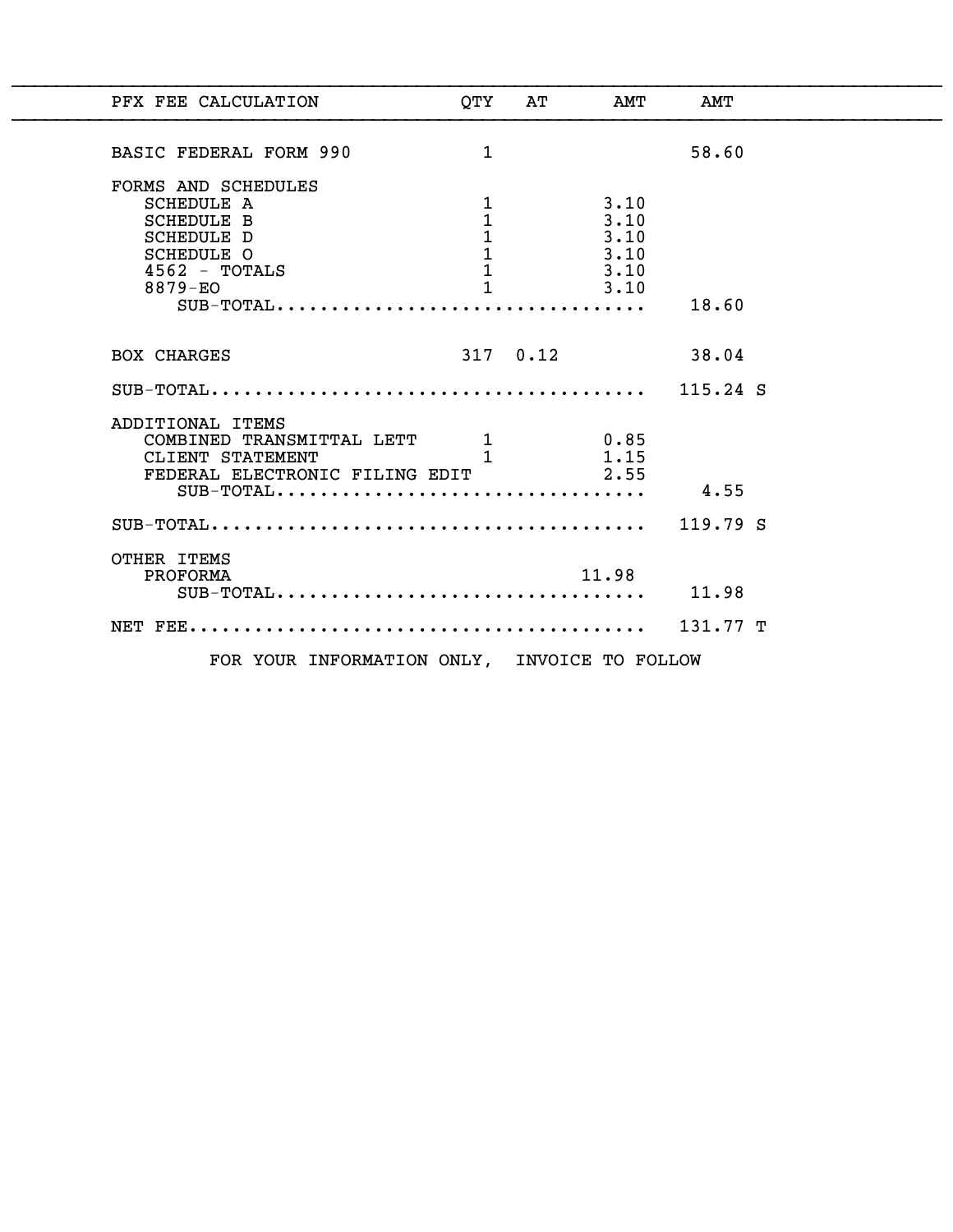| PFX FEE CALCULATION                                                                                                                    | OTY                                                                   | AТ         | AMT                                          | AMT   |  |
|----------------------------------------------------------------------------------------------------------------------------------------|-----------------------------------------------------------------------|------------|----------------------------------------------|-------|--|
| BASIC FEDERAL FORM 990                                                                                                                 | $\mathbf{1}$                                                          |            |                                              | 58.60 |  |
| FORMS AND SCHEDULES<br><b>SCHEDULE A</b><br><b>SCHEDULE B</b><br>SCHEDULE D<br>SCHEDULE O<br>$4562$ - TOTALS<br>8879-EO<br>$SUB-TOTAL$ | 1<br>1<br>$\mathbf 1$<br>$\mathbf{1}$<br>$\mathbf{1}$<br>$\mathbf{1}$ |            | 3.10<br>3.10<br>3.10<br>3.10<br>3.10<br>3.10 | 18.60 |  |
| <b>BOX CHARGES</b>                                                                                                                     |                                                                       | $317$ 0.12 |                                              | 38.04 |  |
|                                                                                                                                        |                                                                       |            |                                              |       |  |
| ADDITIONAL ITEMS<br>COMBINED TRANSMITTAL LETT 1 0.85<br>CLIENT STATEMENT 1<br>FEDERAL ELECTRONIC FILING EDIT<br>$SUB-TOTAL$            |                                                                       |            | 1.15<br>2.55                                 | 4.55  |  |
|                                                                                                                                        |                                                                       |            |                                              |       |  |
| OTHER ITEMS<br>PROFORMA<br>$SUB-TOTAL$                                                                                                 |                                                                       |            | 11.98                                        | 11.98 |  |
|                                                                                                                                        |                                                                       |            |                                              |       |  |
| FOR YOUR INFORMATION ONLY, INVOICE TO FOLLOW                                                                                           |                                                                       |            |                                              |       |  |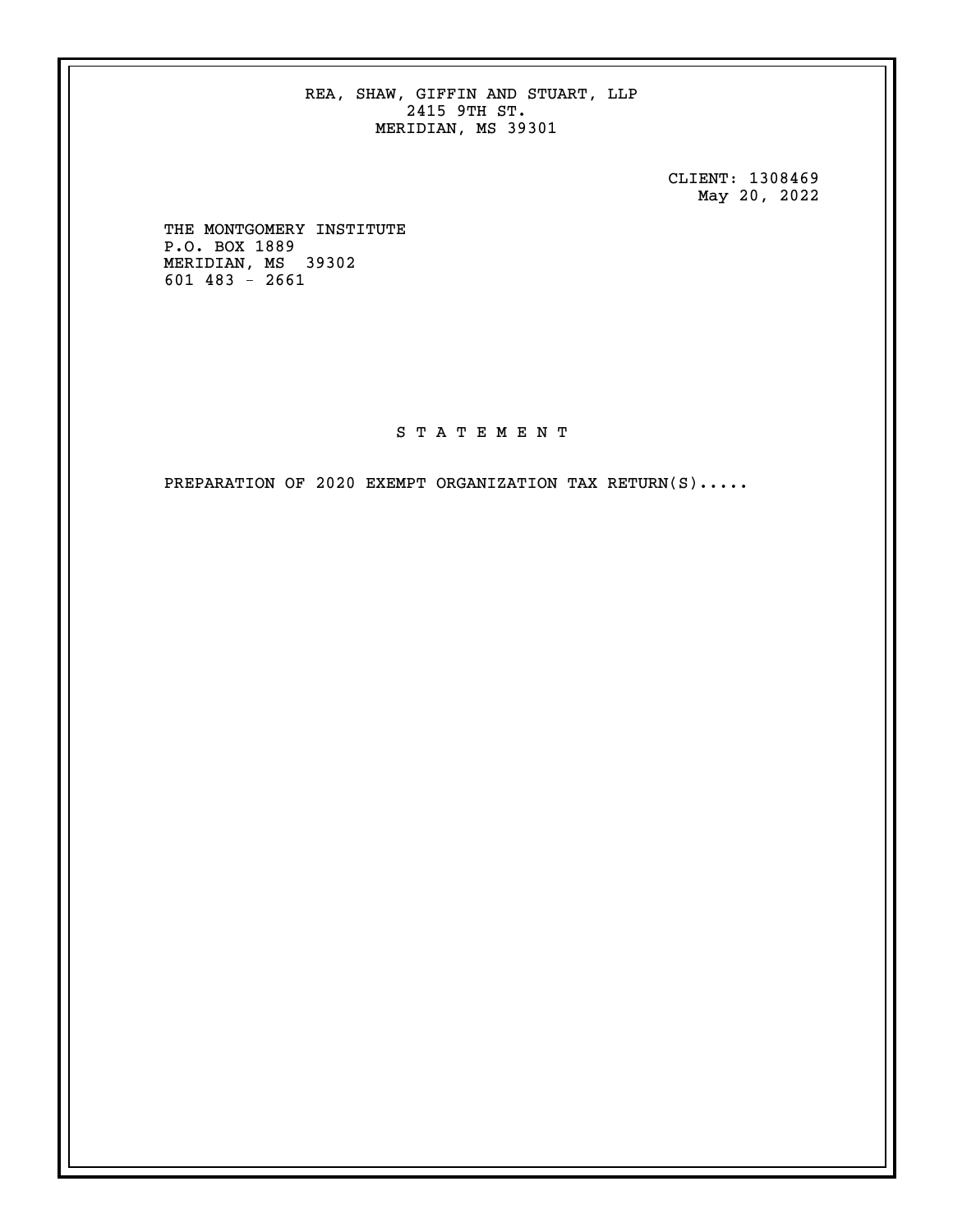REA, SHAW, GIFFIN AND STUART, LLP 2415 9TH ST. MERIDIAN, MS 39301

> CLIENT: 1308469 May 20, 2022

 THE MONTGOMERY INSTITUTE P.O. BOX 1889 MERIDIAN, MS 39302 601 483 - 2661

## S T A T E M E N T

PREPARATION OF 2020 EXEMPT ORGANIZATION TAX RETURN(S).....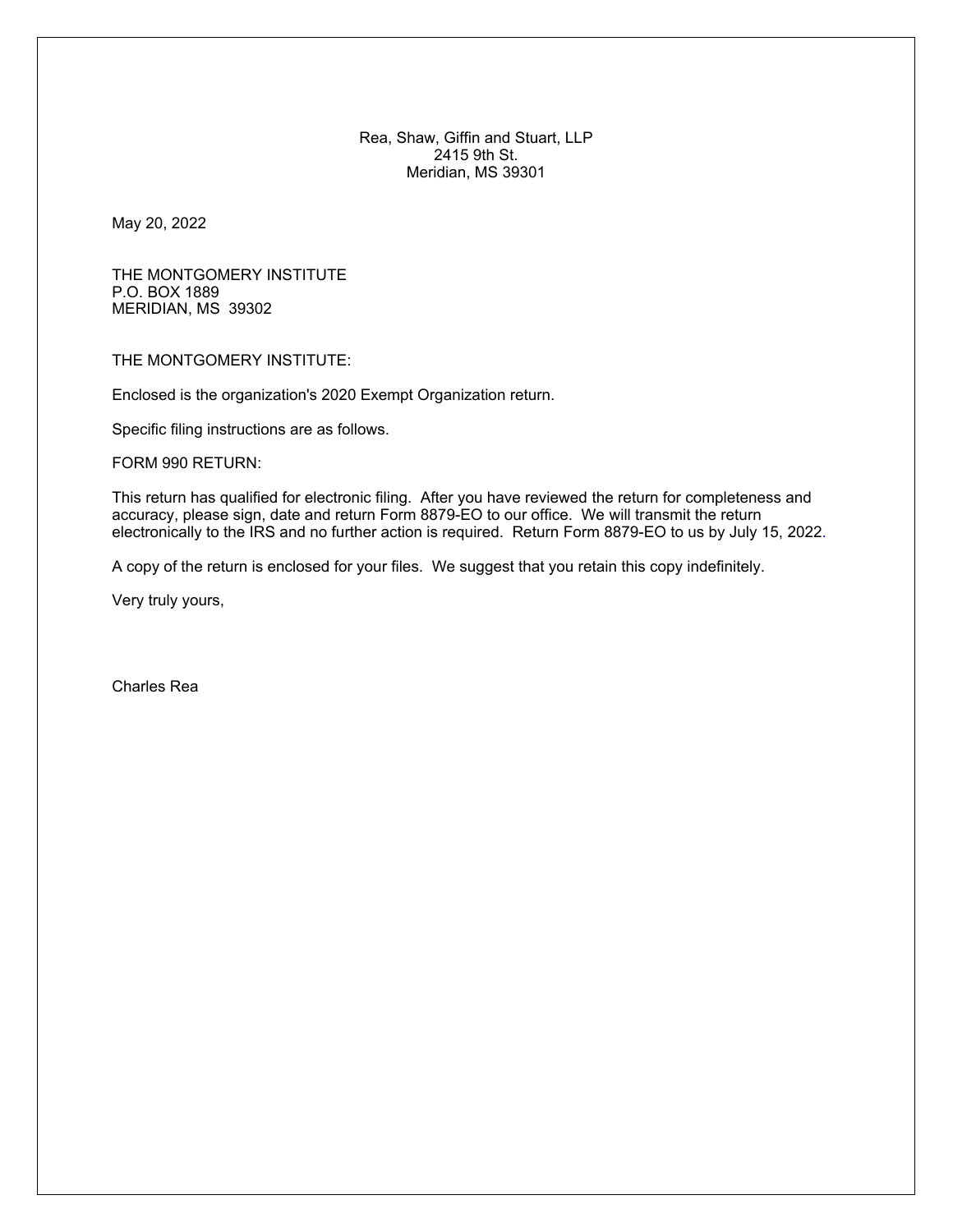Rea, Shaw, Giffin and Stuart, LLP 2415 9th St. Meridian, MS 39301

May 20, 2022

THE MONTGOMERY INSTITUTE P.O. BOX 1889 MERIDIAN, MS 39302

THE MONTGOMERY INSTITUTE:

Enclosed is the organization's 2020 Exempt Organization return.

Specific filing instructions are as follows.

FORM 990 RETURN:

This return has qualified for electronic filing. After you have reviewed the return for completeness and accuracy, please sign, date and return Form 8879-EO to our office. We will transmit the return electronically to the IRS and no further action is required. Return Form 8879-EO to us by July 15, 2022.

A copy of the return is enclosed for your files. We suggest that you retain this copy indefinitely.

Very truly yours,

Charles Rea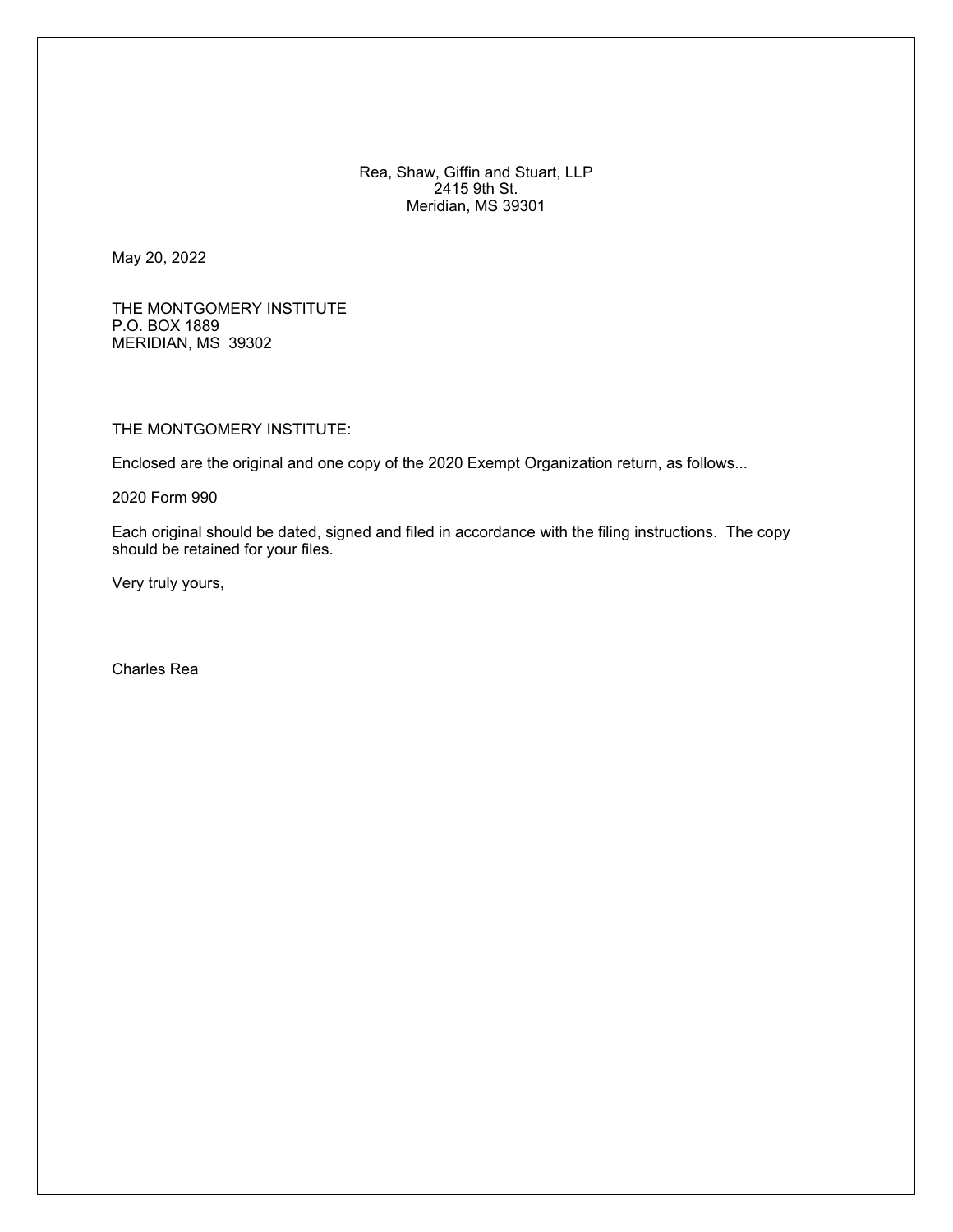Rea, Shaw, Giffin and Stuart, LLP 2415 9th St. Meridian, MS 39301

May 20, 2022

THE MONTGOMERY INSTITUTE P.O. BOX 1889 MERIDIAN, MS 39302

THE MONTGOMERY INSTITUTE:

Enclosed are the original and one copy of the 2020 Exempt Organization return, as follows...

2020 Form 990

Each original should be dated, signed and filed in accordance with the filing instructions. The copy should be retained for your files.

Very truly yours,

Charles Rea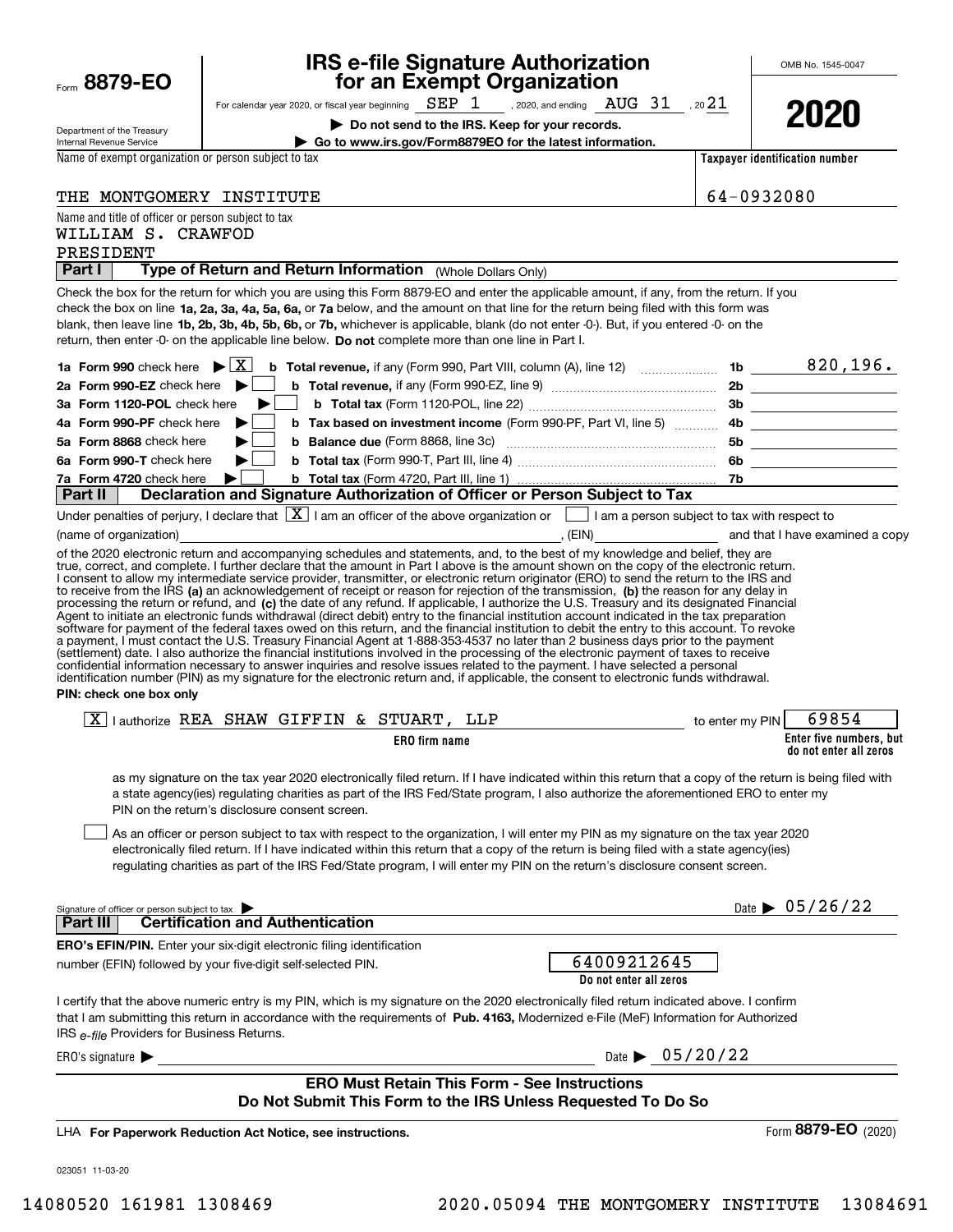| Department of the Treasury                                               | Do not send to the IRS. Keep for your records.                                                                                                                                                                                                                                                                                                                                                                                                                                                                                                                                                                                                                                                                                                                                                                                                                                                                                                                                                  | LULU                                              |
|--------------------------------------------------------------------------|-------------------------------------------------------------------------------------------------------------------------------------------------------------------------------------------------------------------------------------------------------------------------------------------------------------------------------------------------------------------------------------------------------------------------------------------------------------------------------------------------------------------------------------------------------------------------------------------------------------------------------------------------------------------------------------------------------------------------------------------------------------------------------------------------------------------------------------------------------------------------------------------------------------------------------------------------------------------------------------------------|---------------------------------------------------|
| Internal Revenue Service                                                 | Go to www.irs.gov/Form8879EO for the latest information.                                                                                                                                                                                                                                                                                                                                                                                                                                                                                                                                                                                                                                                                                                                                                                                                                                                                                                                                        |                                                   |
| Name of exempt organization or person subject to tax                     |                                                                                                                                                                                                                                                                                                                                                                                                                                                                                                                                                                                                                                                                                                                                                                                                                                                                                                                                                                                                 | Taxpayer identification number                    |
| THE MONTGOMERY INSTITUTE                                                 |                                                                                                                                                                                                                                                                                                                                                                                                                                                                                                                                                                                                                                                                                                                                                                                                                                                                                                                                                                                                 | 64-0932080                                        |
| Name and title of officer or person subject to tax<br>WILLIAM S. CRAWFOD |                                                                                                                                                                                                                                                                                                                                                                                                                                                                                                                                                                                                                                                                                                                                                                                                                                                                                                                                                                                                 |                                                   |
| PRESIDENT<br>Part I                                                      | Type of Return and Return Information (Whole Dollars Only)                                                                                                                                                                                                                                                                                                                                                                                                                                                                                                                                                                                                                                                                                                                                                                                                                                                                                                                                      |                                                   |
|                                                                          |                                                                                                                                                                                                                                                                                                                                                                                                                                                                                                                                                                                                                                                                                                                                                                                                                                                                                                                                                                                                 |                                                   |
|                                                                          | Check the box for the return for which you are using this Form 8879-EO and enter the applicable amount, if any, from the return. If you<br>check the box on line 1a, 2a, 3a, 4a, 5a, 6a, or 7a below, and the amount on that line for the return being filed with this form was<br>blank, then leave line 1b, 2b, 3b, 4b, 5b, 6b, or 7b, whichever is applicable, blank (do not enter -0-). But, if you entered -0- on the<br>return, then enter -0- on the applicable line below. Do not complete more than one line in Part I.                                                                                                                                                                                                                                                                                                                                                                                                                                                                |                                                   |
|                                                                          | 1a Form 990 check here $\blacktriangleright \boxed{X}$ b Total revenue, if any (Form 990, Part VIII, column (A), line 12)  1b $\_\_\_\_\_\_8$ 196.                                                                                                                                                                                                                                                                                                                                                                                                                                                                                                                                                                                                                                                                                                                                                                                                                                              |                                                   |
|                                                                          |                                                                                                                                                                                                                                                                                                                                                                                                                                                                                                                                                                                                                                                                                                                                                                                                                                                                                                                                                                                                 |                                                   |
| 3a Form 1120-POL check here                                              | $\blacktriangleright$<br>$\mathbf{L}$                                                                                                                                                                                                                                                                                                                                                                                                                                                                                                                                                                                                                                                                                                                                                                                                                                                                                                                                                           |                                                   |
| 4a Form 990-PF check here                                                | ▶                                                                                                                                                                                                                                                                                                                                                                                                                                                                                                                                                                                                                                                                                                                                                                                                                                                                                                                                                                                               |                                                   |
| 5a Form 8868 check here                                                  | ▶                                                                                                                                                                                                                                                                                                                                                                                                                                                                                                                                                                                                                                                                                                                                                                                                                                                                                                                                                                                               |                                                   |
| 6a Form 990-T check here                                                 | ▶│                                                                                                                                                                                                                                                                                                                                                                                                                                                                                                                                                                                                                                                                                                                                                                                                                                                                                                                                                                                              |                                                   |
| 7a Form 4720 check here                                                  | ▶∣                                                                                                                                                                                                                                                                                                                                                                                                                                                                                                                                                                                                                                                                                                                                                                                                                                                                                                                                                                                              |                                                   |
| Part II                                                                  | Declaration and Signature Authorization of Officer or Person Subject to Tax                                                                                                                                                                                                                                                                                                                                                                                                                                                                                                                                                                                                                                                                                                                                                                                                                                                                                                                     |                                                   |
|                                                                          | Under penalties of perjury, I declare that $\boxed{\mathbf{X}}$ I am an officer of the above organization or $\boxed{\phantom{\mathbf{X}}}$ I am a person subject to tax with respect to                                                                                                                                                                                                                                                                                                                                                                                                                                                                                                                                                                                                                                                                                                                                                                                                        |                                                   |
| (name of organization)                                                   | examined a copy (EIN) examined a copy                                                                                                                                                                                                                                                                                                                                                                                                                                                                                                                                                                                                                                                                                                                                                                                                                                                                                                                                                           |                                                   |
| PIN: check one box only                                                  | processing the return or refund, and (c) the date of any refund. If applicable, I authorize the U.S. Treasury and its designated Financial<br>Agent to initiate an electronic funds withdrawal (direct debit) entry to the financial institution account indicated in the tax preparation<br>software for payment of the federal taxes owed on this return, and the financial institution to debit the entry to this account. To revoke<br>a payment, I must contact the U.S. Treasury Financial Agent at 1-888-353-4537 no later than 2 business days prior to the payment<br>(settlement) date. I also authorize the financial institutions involved in the processing of the electronic payment of taxes to receive<br>confidential information necessary to answer inquiries and resolve issues related to the payment. I have selected a personal<br>identification number (PIN) as my signature for the electronic return and, if applicable, the consent to electronic funds withdrawal. |                                                   |
|                                                                          | $\boxed{\text{X}}$   authorize REA SHAW GIFFIN & STUART, LLP<br>to enter my PIN                                                                                                                                                                                                                                                                                                                                                                                                                                                                                                                                                                                                                                                                                                                                                                                                                                                                                                                 | 69854                                             |
|                                                                          | ERO firm name                                                                                                                                                                                                                                                                                                                                                                                                                                                                                                                                                                                                                                                                                                                                                                                                                                                                                                                                                                                   | Enter five numbers, but<br>do not enter all zeros |
|                                                                          | as my signature on the tax year 2020 electronically filed return. If I have indicated within this return that a copy of the return is being filed with<br>a state agency(ies) regulating charities as part of the IRS Fed/State program, I also authorize the aforementioned ERO to enter my<br>PIN on the return's disclosure consent screen.                                                                                                                                                                                                                                                                                                                                                                                                                                                                                                                                                                                                                                                  |                                                   |
|                                                                          | As an officer or person subject to tax with respect to the organization, I will enter my PIN as my signature on the tax year 2020<br>electronically filed return. If I have indicated within this return that a copy of the return is being filed with a state agency(ies)<br>regulating charities as part of the IRS Fed/State program, I will enter my PIN on the return's disclosure consent screen.                                                                                                                                                                                                                                                                                                                                                                                                                                                                                                                                                                                         |                                                   |
| Signature of officer or person subject to tax                            |                                                                                                                                                                                                                                                                                                                                                                                                                                                                                                                                                                                                                                                                                                                                                                                                                                                                                                                                                                                                 | Date $\triangleright$ 05/26/22                    |
| <b>Part III</b>                                                          | <b>Certification and Authentication</b>                                                                                                                                                                                                                                                                                                                                                                                                                                                                                                                                                                                                                                                                                                                                                                                                                                                                                                                                                         |                                                   |
|                                                                          | <b>ERO's EFIN/PIN.</b> Enter your six-digit electronic filing identification                                                                                                                                                                                                                                                                                                                                                                                                                                                                                                                                                                                                                                                                                                                                                                                                                                                                                                                    |                                                   |
|                                                                          | 64009212645<br>number (EFIN) followed by your five-digit self-selected PIN.<br>Do not enter all zeros                                                                                                                                                                                                                                                                                                                                                                                                                                                                                                                                                                                                                                                                                                                                                                                                                                                                                           |                                                   |
| IRS e-file Providers for Business Returns.                               | I certify that the above numeric entry is my PIN, which is my signature on the 2020 electronically filed return indicated above. I confirm<br>that I am submitting this return in accordance with the requirements of Pub. 4163, Modernized e-File (MeF) Information for Authorized                                                                                                                                                                                                                                                                                                                                                                                                                                                                                                                                                                                                                                                                                                             |                                                   |
| ERO's signature $\blacktriangleright$                                    | Date $\triangleright$ 05/20/22                                                                                                                                                                                                                                                                                                                                                                                                                                                                                                                                                                                                                                                                                                                                                                                                                                                                                                                                                                  |                                                   |
|                                                                          | <b>ERO Must Retain This Form - See Instructions</b><br>Do Not Submit This Form to the IRS Unless Requested To Do So                                                                                                                                                                                                                                                                                                                                                                                                                                                                                                                                                                                                                                                                                                                                                                                                                                                                             |                                                   |
|                                                                          |                                                                                                                                                                                                                                                                                                                                                                                                                                                                                                                                                                                                                                                                                                                                                                                                                                                                                                                                                                                                 |                                                   |
|                                                                          | LHA For Paperwork Reduction Act Notice, see instructions.                                                                                                                                                                                                                                                                                                                                                                                                                                                                                                                                                                                                                                                                                                                                                                                                                                                                                                                                       | Form 8879-EO (2020)                               |
| 023051 11-03-20                                                          |                                                                                                                                                                                                                                                                                                                                                                                                                                                                                                                                                                                                                                                                                                                                                                                                                                                                                                                                                                                                 |                                                   |

# For calendar year 2020, or fiscal year beginning  $\rm{~SEP}$   $\rm{1}$   $\rm{~,}$  2020, and ending  $\rm{~AUG}$   $\rm{31}$   $\rm{~,}$  20 $\rm{21}$ **for an Exempt Organization**

**IRS e-file Signature Authorization**

Form **8879-EO**

**2020**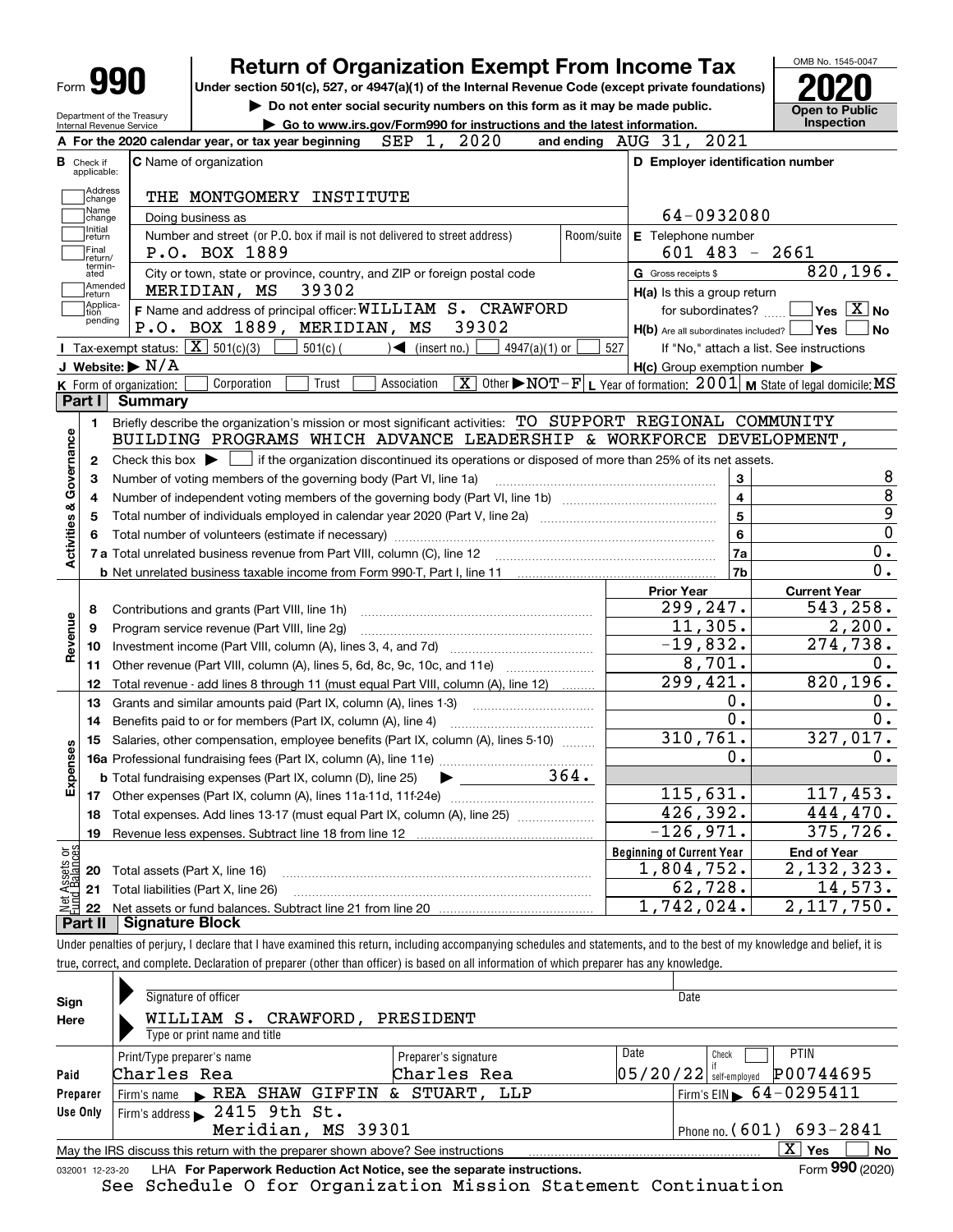| Form | æ |
|------|---|
|      |   |

Department of the Treasury Internal Revenue Service

# **Return of Organization Exempt From Income Tax**

**Under section 501(c), 527, or 4947(a)(1) of the Internal Revenue Code (except private foundations) 2020**

**| Do not enter social security numbers on this form as it may be made public. | Go to www.irs.gov/Form990 for instructions and the latest information. Inspection**



|                         |                               | 2020<br>SEP<br>A For the 2020 calendar year, or tax year beginning<br>1,                                                                            |                    | and ending AUG 31, 2021                                               |                                                                                                                                                |
|-------------------------|-------------------------------|-----------------------------------------------------------------------------------------------------------------------------------------------------|--------------------|-----------------------------------------------------------------------|------------------------------------------------------------------------------------------------------------------------------------------------|
|                         | <b>B</b> Check if applicable: | <b>C</b> Name of organization                                                                                                                       |                    | D Employer identification number                                      |                                                                                                                                                |
|                         | Address<br>change             |                                                                                                                                                     |                    |                                                                       |                                                                                                                                                |
|                         | Name<br>change                | 64-0932080                                                                                                                                          |                    |                                                                       |                                                                                                                                                |
|                         | Initial<br>return             | Doing business as<br>Number and street (or P.O. box if mail is not delivered to street address)                                                     | E Telephone number |                                                                       |                                                                                                                                                |
|                         | Final<br>return/              | P.O. BOX 1889                                                                                                                                       | Room/suite         | 601 483                                                               | $-2661$                                                                                                                                        |
|                         | termin-<br>ated               | City or town, state or province, country, and ZIP or foreign postal code                                                                            |                    | G Gross receipts \$                                                   | 820, 196.                                                                                                                                      |
|                         | Amended<br>return             | 39302<br>MERIDIAN, MS                                                                                                                               |                    | $H(a)$ is this a group return                                         |                                                                                                                                                |
|                         | Applica-<br>tion<br>pending   | F Name and address of principal officer: WILLIAM S. CRAWFORD<br>P.O. BOX 1889, MERIDIAN, MS<br>39302                                                |                    | for subordinates?<br>$H(b)$ Are all subordinates included? $\Box$ Yes | $\overline{\ }$ Yes $\overline{\phantom{a}X}$ No<br>l No                                                                                       |
|                         |                               | Tax-exempt status: $\boxed{\mathbf{X}}$ 501(c)(3) [<br>$501(c)$ $\left( \right)$ $\left( \right)$ (insert no.)<br>$4947(a)(1)$ or                   | 527                |                                                                       | If "No," attach a list. See instructions                                                                                                       |
|                         |                               | J Website: $\triangleright$ N/A                                                                                                                     |                    | $H(c)$ Group exemption number $\blacktriangleright$                   |                                                                                                                                                |
|                         |                               | Corporation<br>Trust<br>Association<br>K Form of organization:                                                                                      |                    |                                                                       | $\boxed{\textbf{X}}$ Other $\blacktriangleright$ NOT – $\textbf{F} \textbf{L}$ Year of formation; $\boxed{2001}$ M State of legal domicile; MS |
|                         | <b>Part I</b>                 | Summary                                                                                                                                             |                    |                                                                       |                                                                                                                                                |
|                         | 1.                            | Briefly describe the organization's mission or most significant activities: TO SUPPORT REGIONAL COMMUNITY                                           |                    |                                                                       |                                                                                                                                                |
|                         |                               | BUILDING PROGRAMS WHICH ADVANCE LEADERSHIP & WORKFORCE DEVELOPMENT,                                                                                 |                    |                                                                       |                                                                                                                                                |
| Activities & Governance | $\mathbf{2}$                  | Check this box $\blacktriangleright$ $\blacksquare$ if the organization discontinued its operations or disposed of more than 25% of its net assets. |                    |                                                                       |                                                                                                                                                |
|                         | З                             | Number of voting members of the governing body (Part VI, line 1a)                                                                                   |                    | 3                                                                     | 8                                                                                                                                              |
|                         | 4                             |                                                                                                                                                     |                    | $\overline{\mathbf{4}}$                                               | 8                                                                                                                                              |
|                         | 5                             |                                                                                                                                                     | $\overline{5}$     | 9                                                                     |                                                                                                                                                |
|                         | 6                             |                                                                                                                                                     | 6                  | $\overline{0}$                                                        |                                                                                                                                                |
|                         |                               |                                                                                                                                                     |                    | 7a                                                                    | 0.                                                                                                                                             |
|                         |                               |                                                                                                                                                     |                    | 7b                                                                    | 0.                                                                                                                                             |
|                         |                               |                                                                                                                                                     |                    | <b>Prior Year</b>                                                     | <b>Current Year</b>                                                                                                                            |
|                         | 8                             | Contributions and grants (Part VIII, line 1h)                                                                                                       |                    | 299,247.                                                              | 543,258.                                                                                                                                       |
| Revenue                 | 9                             | Program service revenue (Part VIII, line 2g)                                                                                                        |                    | 11,305.                                                               | 2,200.                                                                                                                                         |
|                         | 10                            |                                                                                                                                                     |                    | $-19,832.$                                                            | 274,738.                                                                                                                                       |
|                         |                               | 11 Other revenue (Part VIII, column (A), lines 5, 6d, 8c, 9c, 10c, and 11e)                                                                         |                    | 8,701.                                                                | 0.                                                                                                                                             |
|                         | 12                            | Total revenue - add lines 8 through 11 (must equal Part VIII, column (A), line 12)                                                                  |                    | 299,421.                                                              | 820, 196.                                                                                                                                      |
|                         | 13                            | Grants and similar amounts paid (Part IX, column (A), lines 1-3)                                                                                    |                    | 0.<br>$\overline{0}$ .                                                | 0.                                                                                                                                             |
|                         | 14                            | Benefits paid to or for members (Part IX, column (A), line 4)                                                                                       |                    | 310, 761.                                                             | 0.<br>327,017.                                                                                                                                 |
|                         | 15                            | Salaries, other compensation, employee benefits (Part IX, column (A), lines 5-10)                                                                   |                    | 0.                                                                    |                                                                                                                                                |
| Expenses                |                               |                                                                                                                                                     |                    |                                                                       | 0.                                                                                                                                             |
|                         |                               | <b>b</b> Total fundraising expenses (Part IX, column (D), line 25)<br>$\blacktriangleright \underbrace{\hspace{2.5cm}}$                             | 364.               | 115,631.                                                              | 117,453.                                                                                                                                       |
|                         |                               |                                                                                                                                                     |                    | 426, 392.                                                             | 444,470.                                                                                                                                       |
|                         | 18                            | Total expenses. Add lines 13-17 (must equal Part IX, column (A), line 25)                                                                           |                    | $-126,971.$                                                           | 375, 726.                                                                                                                                      |
| ងខ្លី                   | 19                            |                                                                                                                                                     |                    | <b>Beginning of Current Year</b>                                      | <b>End of Year</b>                                                                                                                             |
|                         |                               | <b>20</b> Total assets (Part X, line 16)                                                                                                            |                    | 1,804,752.                                                            | 2, 132, 323.                                                                                                                                   |
| Assets<br>Paalanc       |                               | 21 Total liabilities (Part X, line 26)                                                                                                              |                    | 62,728.                                                               | 14,573.                                                                                                                                        |
|                         | 22                            |                                                                                                                                                     |                    | 1,742,024.                                                            | 2,117,750.                                                                                                                                     |
|                         | Part II                       | <b>Signature Block</b>                                                                                                                              |                    |                                                                       |                                                                                                                                                |

Under penalties of perjury, I declare that I have examined this return, including accompanying schedules and statements, and to the best of my knowledge and belief, it is true, correct, and complete. Declaration of preparer (other than officer) is based on all information of which preparer has any knowledge.

| Sign                                                                                                         | Signature of officer                                 | PRESIDENT            |                              | Date                                |  |  |
|--------------------------------------------------------------------------------------------------------------|------------------------------------------------------|----------------------|------------------------------|-------------------------------------|--|--|
| Here                                                                                                         | WILLIAM S. CRAWFORD,<br>Type or print name and title |                      |                              |                                     |  |  |
|                                                                                                              | Print/Type preparer's name                           | Preparer's signature | Date                         | PTIN<br>Check                       |  |  |
| Paid                                                                                                         | Charles Rea                                          | Charles Rea          | 05/20/22                     | P00744695<br>self-emploved          |  |  |
| Preparer                                                                                                     | Firm's name REA SHAW GIFFIN & STUART, LLP            |                      |                              | Firm's EIN 64-02954 $\overline{11}$ |  |  |
| Use Only                                                                                                     | Firm's address $\geq 2415$ 9th St.                   |                      |                              |                                     |  |  |
|                                                                                                              | Meridian, MS 39301                                   |                      | Phone no. $(601) 693 - 2841$ |                                     |  |  |
| ΧI<br>May the IRS discuss this return with the preparer shown above? See instructions                        |                                                      |                      |                              |                                     |  |  |
| Form 990 (2020)<br>LHA For Paperwork Reduction Act Notice, see the separate instructions.<br>032001 12-23-20 |                                                      |                      |                              |                                     |  |  |

See Schedule O for Organization Mission Statement Continuation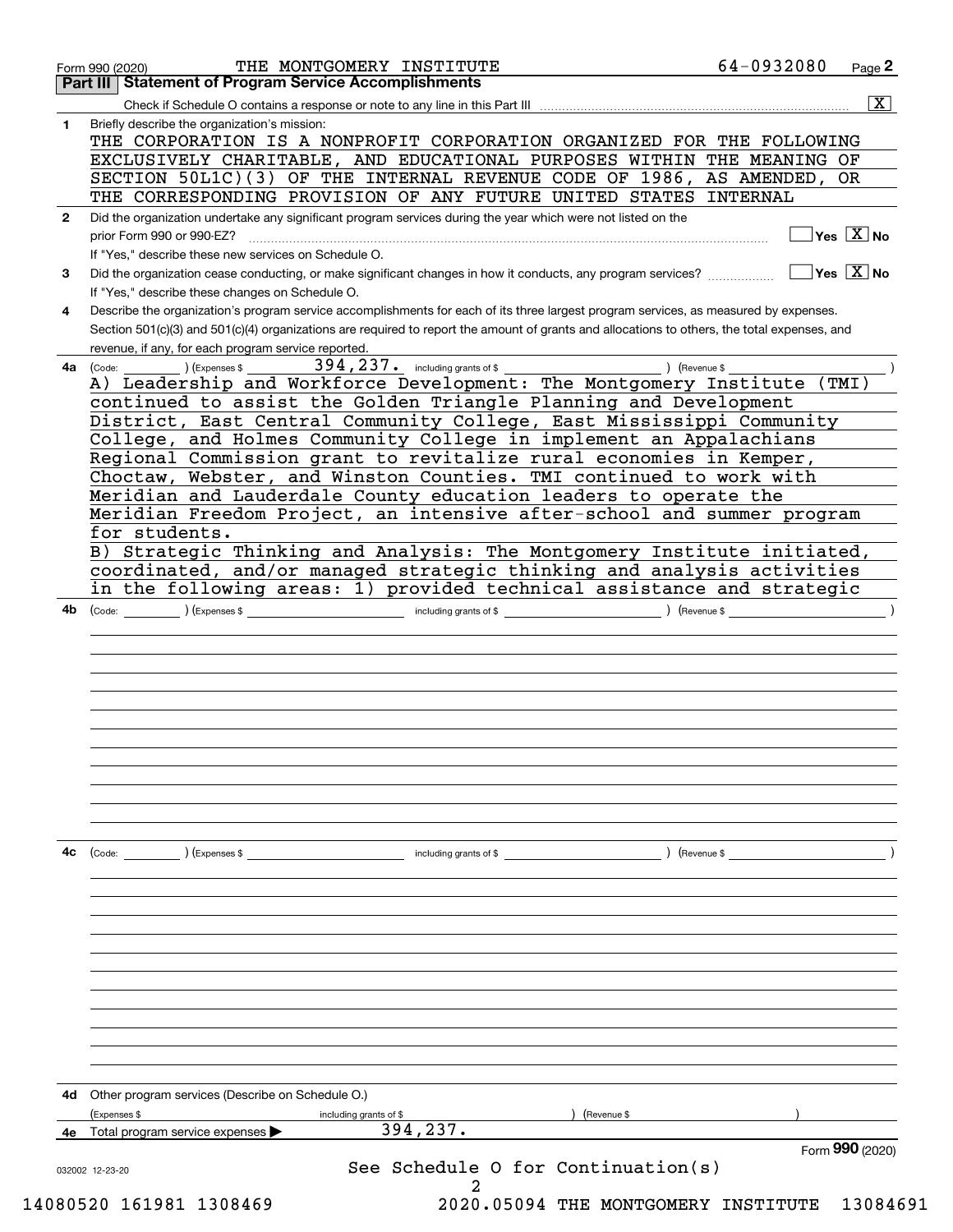|              | 64-0932080<br>THE MONTGOMERY INSTITUTE<br>Page 2<br>Form 990 (2020)<br><b>Part III Statement of Program Service Accomplishments</b>                       |
|--------------|-----------------------------------------------------------------------------------------------------------------------------------------------------------|
|              | $\overline{\mathbf{x}}$<br>Check if Schedule O contains a response or note to any line in this Part III                                                   |
| $\mathbf{1}$ | Briefly describe the organization's mission:                                                                                                              |
|              | THE CORPORATION IS A NONPROFIT CORPORATION ORGANIZED FOR THE FOLLOWING                                                                                    |
|              | EXCLUSIVELY CHARITABLE, AND EDUCATIONAL PURPOSES WITHIN THE MEANING OF                                                                                    |
|              | SECTION 50L1C)(3) OF THE INTERNAL REVENUE CODE OF 1986, AS AMENDED, OR                                                                                    |
|              | THE CORRESPONDING PROVISION OF ANY FUTURE UNITED STATES INTERNAL                                                                                          |
| $\mathbf{2}$ | Did the organization undertake any significant program services during the year which were not listed on the                                              |
|              | $\overline{\ }$ Yes $\overline{\phantom{a}X}$ No<br>prior Form 990 or 990-EZ?                                                                             |
|              | If "Yes," describe these new services on Schedule O.                                                                                                      |
| 3            | $\overline{\ }$ Yes $\overline{\ \ X}$ No<br>Did the organization cease conducting, or make significant changes in how it conducts, any program services? |
|              | If "Yes," describe these changes on Schedule O.                                                                                                           |
| 4            | Describe the organization's program service accomplishments for each of its three largest program services, as measured by expenses.                      |
|              | Section 501(c)(3) and 501(c)(4) organizations are required to report the amount of grants and allocations to others, the total expenses, and              |
|              | revenue, if any, for each program service reported.                                                                                                       |
| 4a.          | $394, 237$ e including grants of \$<br>) (Revenue \$<br>(Code:<br>) (Expenses \$                                                                          |
|              | A) Leadership and Workforce Development: The Montgomery Institute (TMI)                                                                                   |
|              | continued to assist the Golden Triangle Planning and Development                                                                                          |
|              | District, East Central Community College, East Mississippi Community                                                                                      |
|              | College, and Holmes Community College in implement an Appalachians                                                                                        |
|              | Regional Commission grant to revitalize rural economies in Kemper,                                                                                        |
|              | Choctaw, Webster, and Winston Counties. TMI continued to work with                                                                                        |
|              | Meridian and Lauderdale County education leaders to operate the<br>Meridian Freedom Project, an intensive after-school and summer program                 |
|              | for students.                                                                                                                                             |
|              | B) Strategic Thinking and Analysis: The Montgomery Institute initiated,                                                                                   |
|              | coordinated, and/or managed strategic thinking and analysis activities                                                                                    |
|              | in the following areas: 1) provided technical assistance and strategic                                                                                    |
|              |                                                                                                                                                           |
|              |                                                                                                                                                           |
|              |                                                                                                                                                           |
| 4c           | $\left(\text{Code:} \right)$ $\left(\text{Expenses $}\right)$<br>including grants of \$<br>) (Revenue \$                                                  |
|              |                                                                                                                                                           |
|              |                                                                                                                                                           |
|              |                                                                                                                                                           |
|              |                                                                                                                                                           |
| 4d           | Other program services (Describe on Schedule O.)                                                                                                          |
|              | (Expenses \$<br>Revenue \$<br>including grants of \$                                                                                                      |
| 4e           | 394,237.<br>Total program service expenses                                                                                                                |
|              | Form 990 (2020)<br>See Schedule 0 for Continuation(s)<br>032002 12-23-20                                                                                  |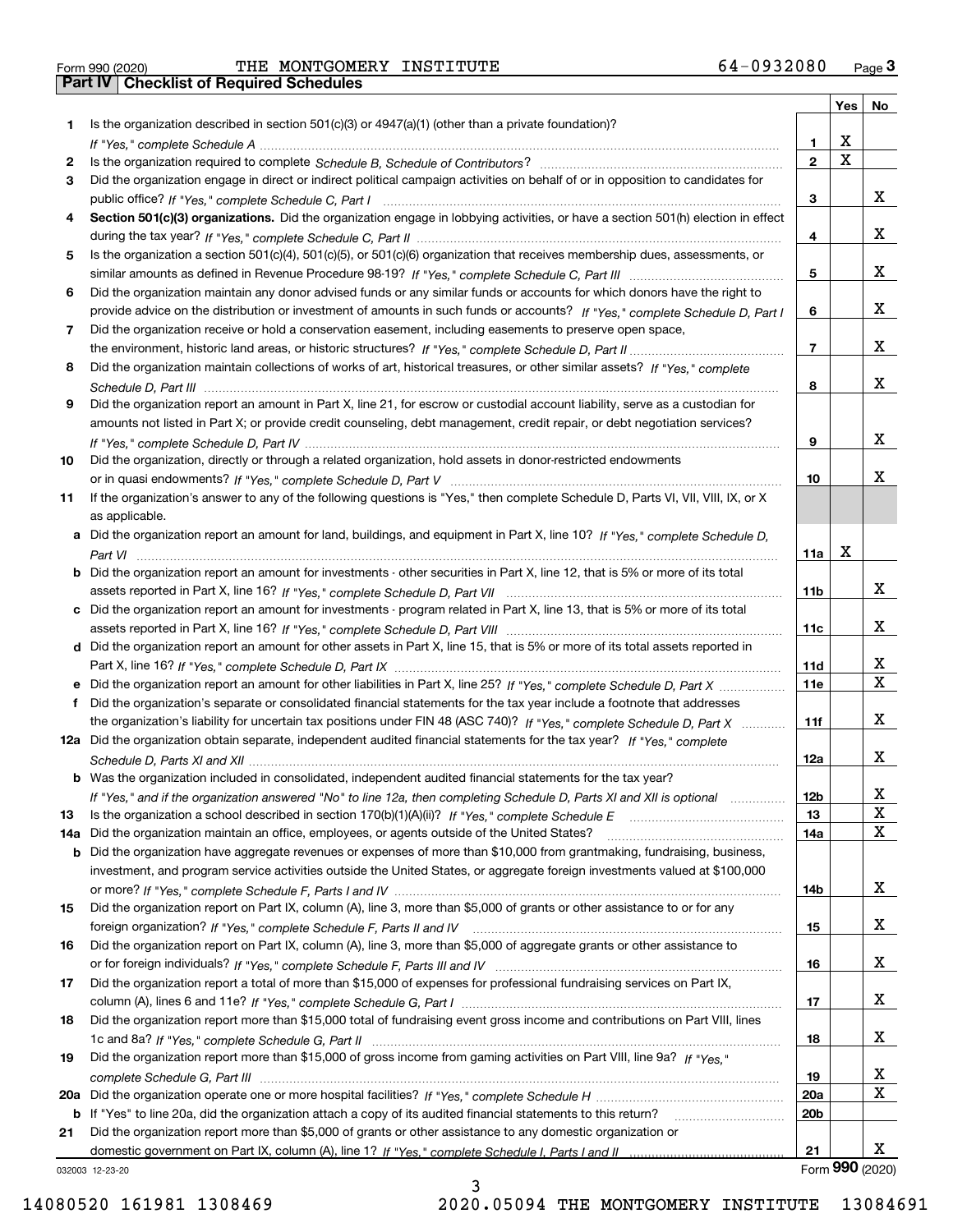|     |                                                                                                                                       |                 | Yes | No              |
|-----|---------------------------------------------------------------------------------------------------------------------------------------|-----------------|-----|-----------------|
| 1.  | Is the organization described in section $501(c)(3)$ or $4947(a)(1)$ (other than a private foundation)?                               |                 |     |                 |
|     |                                                                                                                                       | 1.              | х   |                 |
| 2   |                                                                                                                                       | $\overline{2}$  | X   |                 |
| 3   | Did the organization engage in direct or indirect political campaign activities on behalf of or in opposition to candidates for       |                 |     |                 |
|     |                                                                                                                                       | 3               |     | х               |
| 4   | Section 501(c)(3) organizations. Did the organization engage in lobbying activities, or have a section 501(h) election in effect      |                 |     |                 |
|     |                                                                                                                                       | 4               |     | х               |
| 5   | Is the organization a section 501(c)(4), 501(c)(5), or 501(c)(6) organization that receives membership dues, assessments, or          |                 |     |                 |
|     |                                                                                                                                       | 5               |     | х               |
| 6   | Did the organization maintain any donor advised funds or any similar funds or accounts for which donors have the right to             |                 |     |                 |
|     | provide advice on the distribution or investment of amounts in such funds or accounts? If "Yes," complete Schedule D, Part I          | 6               |     | х               |
| 7   | Did the organization receive or hold a conservation easement, including easements to preserve open space,                             |                 |     |                 |
|     |                                                                                                                                       | $\overline{7}$  |     | х               |
| 8   | Did the organization maintain collections of works of art, historical treasures, or other similar assets? If "Yes," complete          |                 |     |                 |
|     |                                                                                                                                       | 8               |     | х               |
| 9   | Did the organization report an amount in Part X, line 21, for escrow or custodial account liability, serve as a custodian for         |                 |     |                 |
|     | amounts not listed in Part X; or provide credit counseling, debt management, credit repair, or debt negotiation services?             |                 |     |                 |
|     |                                                                                                                                       | 9               |     | х               |
| 10  | Did the organization, directly or through a related organization, hold assets in donor-restricted endowments                          |                 |     |                 |
|     |                                                                                                                                       | 10              |     | х               |
| 11  | If the organization's answer to any of the following questions is "Yes," then complete Schedule D, Parts VI, VII, VIII, IX, or X      |                 |     |                 |
|     | as applicable.                                                                                                                        |                 |     |                 |
|     | a Did the organization report an amount for land, buildings, and equipment in Part X, line 10? If "Yes," complete Schedule D.         |                 | х   |                 |
|     |                                                                                                                                       | 11a             |     |                 |
|     | <b>b</b> Did the organization report an amount for investments - other securities in Part X, line 12, that is 5% or more of its total |                 |     | х               |
|     |                                                                                                                                       | 11 <sub>b</sub> |     |                 |
|     | c Did the organization report an amount for investments - program related in Part X, line 13, that is 5% or more of its total         |                 |     | х               |
|     |                                                                                                                                       | 11c             |     |                 |
|     | d Did the organization report an amount for other assets in Part X, line 15, that is 5% or more of its total assets reported in       | 11d             |     | х               |
|     |                                                                                                                                       | 11e             |     | X               |
| f   | Did the organization's separate or consolidated financial statements for the tax year include a footnote that addresses               |                 |     |                 |
|     | the organization's liability for uncertain tax positions under FIN 48 (ASC 740)? If "Yes," complete Schedule D, Part X                | 11f             |     | х               |
|     | 12a Did the organization obtain separate, independent audited financial statements for the tax year? If "Yes," complete               |                 |     |                 |
|     |                                                                                                                                       | 12a             |     | х               |
|     | <b>b</b> Was the organization included in consolidated, independent audited financial statements for the tax year?                    |                 |     |                 |
|     | If "Yes," and if the organization answered "No" to line 12a, then completing Schedule D, Parts XI and XII is optional                 | 12 <sub>b</sub> |     | Χ               |
| 13  |                                                                                                                                       | 13              |     | X               |
| 14a | Did the organization maintain an office, employees, or agents outside of the United States?                                           | 14a             |     | х               |
|     | <b>b</b> Did the organization have aggregate revenues or expenses of more than \$10,000 from grantmaking, fundraising, business,      |                 |     |                 |
|     | investment, and program service activities outside the United States, or aggregate foreign investments valued at \$100,000            |                 |     |                 |
|     |                                                                                                                                       | 14b             |     | x               |
| 15  | Did the organization report on Part IX, column (A), line 3, more than \$5,000 of grants or other assistance to or for any             |                 |     |                 |
|     |                                                                                                                                       | 15              |     | x               |
| 16  | Did the organization report on Part IX, column (A), line 3, more than \$5,000 of aggregate grants or other assistance to              |                 |     |                 |
|     |                                                                                                                                       | 16              |     | x               |
| 17  | Did the organization report a total of more than \$15,000 of expenses for professional fundraising services on Part IX,               |                 |     |                 |
|     |                                                                                                                                       | 17              |     | х               |
| 18  | Did the organization report more than \$15,000 total of fundraising event gross income and contributions on Part VIII, lines          |                 |     |                 |
|     |                                                                                                                                       | 18              |     | x               |
| 19  | Did the organization report more than \$15,000 of gross income from gaming activities on Part VIII, line 9a? If "Yes."                |                 |     |                 |
|     |                                                                                                                                       | 19              |     | х               |
|     |                                                                                                                                       | 20a             |     | х               |
|     | b If "Yes" to line 20a, did the organization attach a copy of its audited financial statements to this return?                        | 20 <sub>b</sub> |     |                 |
| 21  | Did the organization report more than \$5,000 of grants or other assistance to any domestic organization or                           |                 |     |                 |
|     |                                                                                                                                       | 21              |     | х               |
|     | 032003 12-23-20                                                                                                                       |                 |     | Form 990 (2020) |

032003 12-23-20

3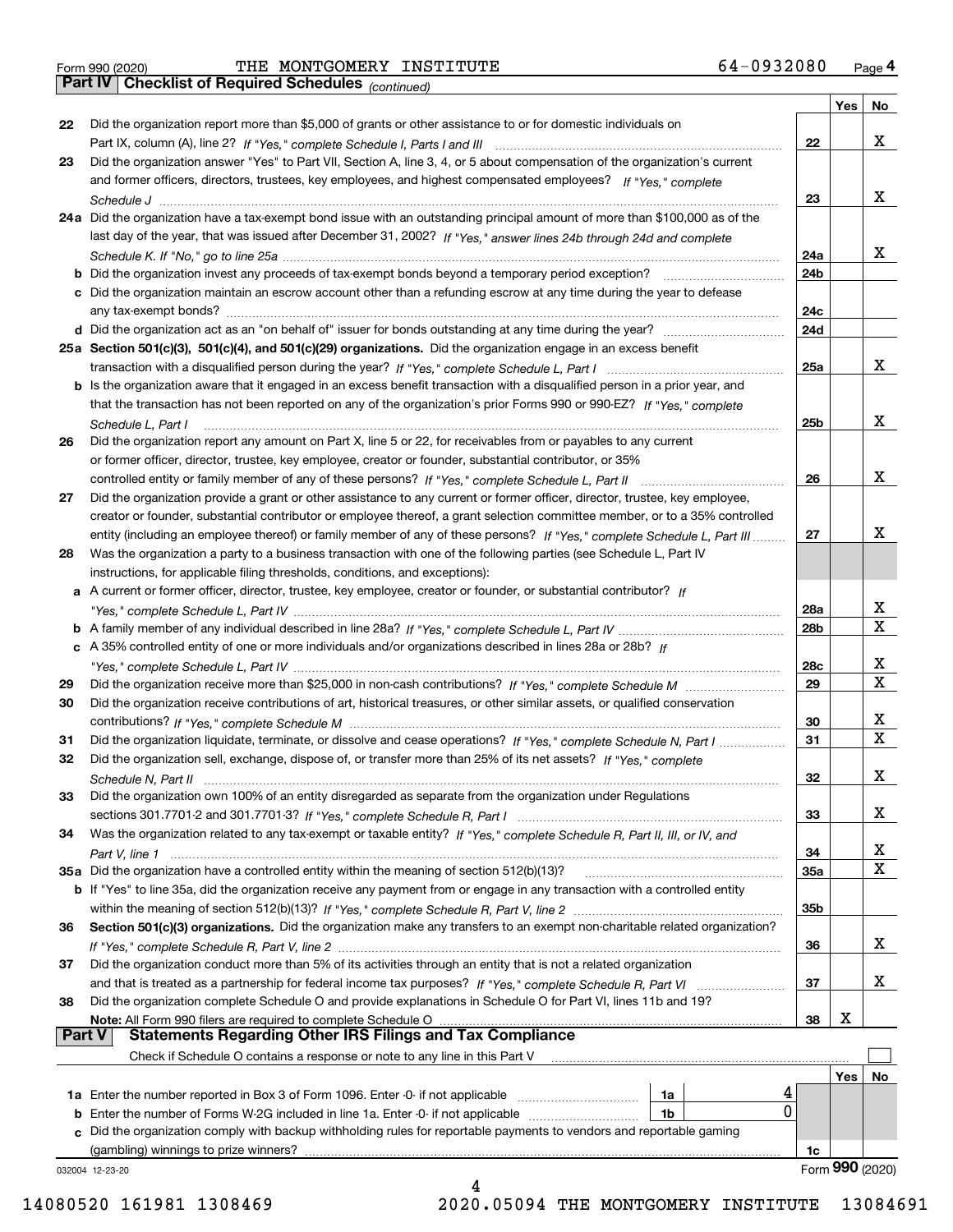|  | Form 990 (2020) |
|--|-----------------|

*(continued)*

|               |                                                                                                                                                     |                 | Yes | No               |
|---------------|-----------------------------------------------------------------------------------------------------------------------------------------------------|-----------------|-----|------------------|
| 22            | Did the organization report more than \$5,000 of grants or other assistance to or for domestic individuals on                                       |                 |     |                  |
|               |                                                                                                                                                     | 22              |     | x                |
| 23            | Did the organization answer "Yes" to Part VII, Section A, line 3, 4, or 5 about compensation of the organization's current                          |                 |     |                  |
|               | and former officers, directors, trustees, key employees, and highest compensated employees? If "Yes," complete                                      |                 |     |                  |
|               |                                                                                                                                                     | 23              |     | х                |
|               | 24a Did the organization have a tax-exempt bond issue with an outstanding principal amount of more than \$100,000 as of the                         |                 |     |                  |
|               | last day of the year, that was issued after December 31, 2002? If "Yes," answer lines 24b through 24d and complete                                  |                 |     |                  |
|               |                                                                                                                                                     | 24a             |     | x                |
|               | <b>b</b> Did the organization invest any proceeds of tax-exempt bonds beyond a temporary period exception?<br><u> 1986 - Jan Barbarat, martin a</u> | 24b             |     |                  |
|               | c Did the organization maintain an escrow account other than a refunding escrow at any time during the year to defease                              |                 |     |                  |
|               | any tax-exempt bonds?                                                                                                                               | 24c             |     |                  |
|               |                                                                                                                                                     | 24d             |     |                  |
|               | 25a Section 501(c)(3), 501(c)(4), and 501(c)(29) organizations. Did the organization engage in an excess benefit                                    |                 |     |                  |
|               |                                                                                                                                                     | 25a             |     | x                |
|               | b Is the organization aware that it engaged in an excess benefit transaction with a disqualified person in a prior year, and                        |                 |     |                  |
|               | that the transaction has not been reported on any of the organization's prior Forms 990 or 990-EZ? If "Yes," complete                               |                 |     |                  |
|               | Schedule L. Part I                                                                                                                                  | 25b             |     | x                |
| 26            | Did the organization report any amount on Part X, line 5 or 22, for receivables from or payables to any current                                     |                 |     |                  |
|               | or former officer, director, trustee, key employee, creator or founder, substantial contributor, or 35%                                             |                 |     |                  |
|               |                                                                                                                                                     | 26              |     | x                |
| 27            | Did the organization provide a grant or other assistance to any current or former officer, director, trustee, key employee,                         |                 |     |                  |
|               | creator or founder, substantial contributor or employee thereof, a grant selection committee member, or to a 35% controlled                         |                 |     |                  |
|               |                                                                                                                                                     |                 |     | x                |
|               | entity (including an employee thereof) or family member of any of these persons? If "Yes," complete Schedule L, Part III                            | 27              |     |                  |
| 28            | Was the organization a party to a business transaction with one of the following parties (see Schedule L, Part IV                                   |                 |     |                  |
|               | instructions, for applicable filing thresholds, conditions, and exceptions):                                                                        |                 |     |                  |
|               | a A current or former officer, director, trustee, key employee, creator or founder, or substantial contributor? If                                  |                 |     |                  |
|               |                                                                                                                                                     | 28a             |     | x<br>х           |
|               |                                                                                                                                                     | 28 <sub>b</sub> |     |                  |
|               | c A 35% controlled entity of one or more individuals and/or organizations described in lines 28a or 28b? If                                         |                 |     | х                |
|               |                                                                                                                                                     | 28c             |     | х                |
| 29            |                                                                                                                                                     | 29              |     |                  |
| 30            | Did the organization receive contributions of art, historical treasures, or other similar assets, or qualified conservation                         |                 |     |                  |
|               |                                                                                                                                                     | 30              |     | х<br>$\mathbf X$ |
| 31            | Did the organization liquidate, terminate, or dissolve and cease operations? If "Yes," complete Schedule N, Part I                                  | 31              |     |                  |
| 32            | Did the organization sell, exchange, dispose of, or transfer more than 25% of its net assets? If "Yes," complete                                    |                 |     |                  |
|               | Schedule N, Part II                                                                                                                                 | 32              |     | x                |
| 33            | Did the organization own 100% of an entity disregarded as separate from the organization under Regulations                                          |                 |     |                  |
|               |                                                                                                                                                     | 33              |     | х                |
| 34            | Was the organization related to any tax-exempt or taxable entity? If "Yes," complete Schedule R, Part II, III, or IV, and                           |                 |     |                  |
|               |                                                                                                                                                     | 34              |     | x                |
|               | 35a Did the organization have a controlled entity within the meaning of section 512(b)(13)?                                                         | 35a             |     | X                |
|               | <b>b</b> If "Yes" to line 35a, did the organization receive any payment from or engage in any transaction with a controlled entity                  |                 |     |                  |
|               |                                                                                                                                                     | 35b             |     |                  |
| 36            | Section 501(c)(3) organizations. Did the organization make any transfers to an exempt non-charitable related organization?                          |                 |     |                  |
|               |                                                                                                                                                     | 36              |     | х                |
| 37            | Did the organization conduct more than 5% of its activities through an entity that is not a related organization                                    |                 |     |                  |
|               | and that is treated as a partnership for federal income tax purposes? If "Yes," complete Schedule R, Part VI                                        | 37              |     | х                |
| 38            | Did the organization complete Schedule O and provide explanations in Schedule O for Part VI, lines 11b and 19?                                      |                 |     |                  |
|               | Note: All Form 990 filers are required to complete Schedule O                                                                                       | 38              | х   |                  |
| <b>Part V</b> | <b>Statements Regarding Other IRS Filings and Tax Compliance</b>                                                                                    |                 |     |                  |
|               | Check if Schedule O contains a response or note to any line in this Part V                                                                          |                 |     |                  |
|               |                                                                                                                                                     |                 | Yes | No               |
|               | 1a                                                                                                                                                  |                 |     |                  |
|               | 0<br>1b                                                                                                                                             |                 |     |                  |
|               | c Did the organization comply with backup withholding rules for reportable payments to vendors and reportable gaming                                |                 |     |                  |
|               | (gambling) winnings to prize winners?                                                                                                               | 1c              |     |                  |
|               | 032004 12-23-20                                                                                                                                     |                 |     | Form 990 (2020)  |
|               |                                                                                                                                                     |                 |     |                  |

14080520 161981 1308469 2020.05094 THE MONTGOMERY INSTITUTE 13084691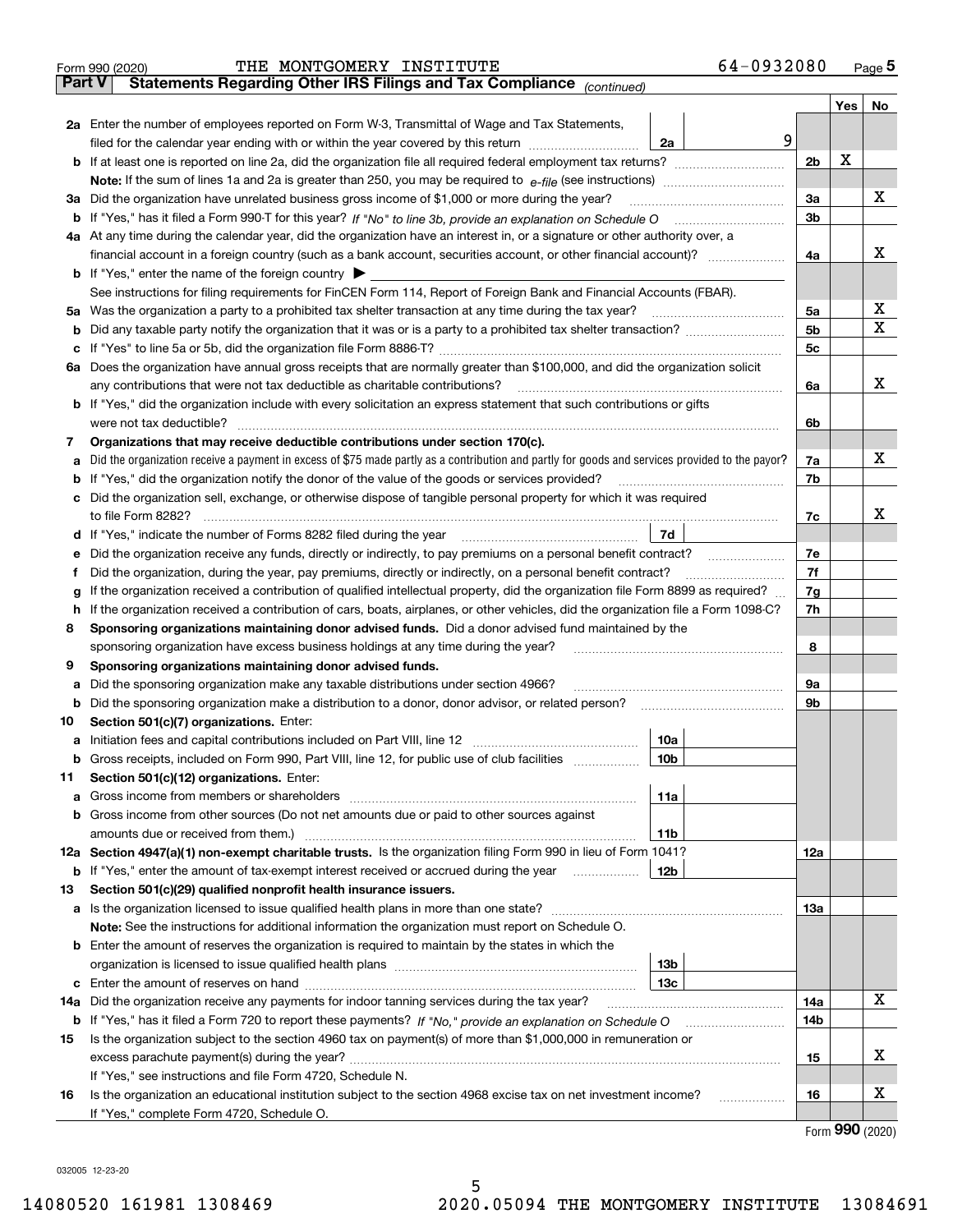|               | 64-0932080<br>THE MONTGOMERY INSTITUTE<br>Form 990 (2020)                                                                                       |                |                                     | $Page$ <sup>5</sup> |
|---------------|-------------------------------------------------------------------------------------------------------------------------------------------------|----------------|-------------------------------------|---------------------|
| <b>Part V</b> | Statements Regarding Other IRS Filings and Tax Compliance (continued)                                                                           |                |                                     |                     |
|               |                                                                                                                                                 |                | Yes                                 | No                  |
|               | 2a Enter the number of employees reported on Form W-3, Transmittal of Wage and Tax Statements,                                                  |                |                                     |                     |
|               | 9<br>filed for the calendar year ending with or within the year covered by this return <i>manumumumum</i><br>2a                                 |                |                                     |                     |
|               |                                                                                                                                                 | 2 <sub>b</sub> | Х                                   |                     |
|               |                                                                                                                                                 |                |                                     |                     |
| За            | Did the organization have unrelated business gross income of \$1,000 or more during the year?                                                   | 3a             |                                     | x                   |
|               |                                                                                                                                                 | 3b             |                                     |                     |
|               | 4a At any time during the calendar year, did the organization have an interest in, or a signature or other authority over, a                    |                |                                     |                     |
|               | financial account in a foreign country (such as a bank account, securities account, or other financial account)?                                | 4a             |                                     | х                   |
|               | <b>b</b> If "Yes," enter the name of the foreign country $\blacktriangleright$                                                                  |                |                                     |                     |
|               | See instructions for filing requirements for FinCEN Form 114, Report of Foreign Bank and Financial Accounts (FBAR).                             |                |                                     |                     |
|               | 5a Was the organization a party to a prohibited tax shelter transaction at any time during the tax year?                                        | 5a             |                                     | х                   |
|               |                                                                                                                                                 | 5 <sub>b</sub> |                                     | x                   |
|               |                                                                                                                                                 | 5c             |                                     |                     |
|               |                                                                                                                                                 |                |                                     |                     |
|               | 6a Does the organization have annual gross receipts that are normally greater than \$100,000, and did the organization solicit                  |                |                                     | х                   |
|               |                                                                                                                                                 | 6a             |                                     |                     |
|               | <b>b</b> If "Yes," did the organization include with every solicitation an express statement that such contributions or gifts                   |                |                                     |                     |
|               |                                                                                                                                                 | 6b             |                                     |                     |
| 7             | Organizations that may receive deductible contributions under section 170(c).                                                                   |                |                                     |                     |
| a             | Did the organization receive a payment in excess of \$75 made partly as a contribution and partly for goods and services provided to the payor? | 7a             |                                     | x                   |
|               | <b>b</b> If "Yes," did the organization notify the donor of the value of the goods or services provided?                                        | 7b             |                                     |                     |
|               | c Did the organization sell, exchange, or otherwise dispose of tangible personal property for which it was required                             |                |                                     |                     |
|               |                                                                                                                                                 | 7c             |                                     | х                   |
|               | 7d                                                                                                                                              |                |                                     |                     |
| е             | Did the organization receive any funds, directly or indirectly, to pay premiums on a personal benefit contract?                                 | 7e             |                                     |                     |
| f             | Did the organization, during the year, pay premiums, directly or indirectly, on a personal benefit contract?                                    | 7f             |                                     |                     |
| g             | If the organization received a contribution of qualified intellectual property, did the organization file Form 8899 as required?                | 7g             |                                     |                     |
| h.            | If the organization received a contribution of cars, boats, airplanes, or other vehicles, did the organization file a Form 1098-C?              | 7h             |                                     |                     |
| 8             | Sponsoring organizations maintaining donor advised funds. Did a donor advised fund maintained by the                                            |                |                                     |                     |
|               | sponsoring organization have excess business holdings at any time during the year?                                                              | 8              |                                     |                     |
| 9             | Sponsoring organizations maintaining donor advised funds.                                                                                       |                |                                     |                     |
| а             | Did the sponsoring organization make any taxable distributions under section 4966?                                                              | 9а             |                                     |                     |
|               | <b>b</b> Did the sponsoring organization make a distribution to a donor, donor advisor, or related person?                                      | 9b             |                                     |                     |
| 10            | Section 501(c)(7) organizations. Enter:                                                                                                         |                |                                     |                     |
|               | 10a                                                                                                                                             |                |                                     |                     |
|               | 10 <sub>b</sub><br>Gross receipts, included on Form 990, Part VIII, line 12, for public use of club facilities                                  |                |                                     |                     |
| 11            | Section 501(c)(12) organizations. Enter:                                                                                                        |                |                                     |                     |
|               | <b>a</b> Gross income from members or shareholders<br>11a                                                                                       |                |                                     |                     |
|               | b Gross income from other sources (Do not net amounts due or paid to other sources against                                                      |                |                                     |                     |
|               | 11b                                                                                                                                             |                |                                     |                     |
|               | 12a Section 4947(a)(1) non-exempt charitable trusts. Is the organization filing Form 990 in lieu of Form 1041?                                  | 12a            |                                     |                     |
|               | 12b<br><b>b</b> If "Yes," enter the amount of tax-exempt interest received or accrued during the year                                           |                |                                     |                     |
| 13            | Section 501(c)(29) qualified nonprofit health insurance issuers.                                                                                |                |                                     |                     |
|               | <b>a</b> Is the organization licensed to issue qualified health plans in more than one state?                                                   | 13а            |                                     |                     |
|               | Note: See the instructions for additional information the organization must report on Schedule O.                                               |                |                                     |                     |
|               | <b>b</b> Enter the amount of reserves the organization is required to maintain by the states in which the                                       |                |                                     |                     |
|               | 13b                                                                                                                                             |                |                                     |                     |
|               | 13с                                                                                                                                             |                |                                     |                     |
| 14a           | Did the organization receive any payments for indoor tanning services during the tax year?                                                      | 14a            |                                     | x                   |
|               | <b>b</b> If "Yes," has it filed a Form 720 to report these payments? If "No," provide an explanation on Schedule O                              | 14b            |                                     |                     |
| 15            | Is the organization subject to the section 4960 tax on payment(s) of more than \$1,000,000 in remuneration or                                   |                |                                     |                     |
|               |                                                                                                                                                 | 15             |                                     | x                   |
|               | If "Yes," see instructions and file Form 4720, Schedule N.                                                                                      |                |                                     |                     |
|               | Is the organization an educational institution subject to the section 4968 excise tax on net investment income?                                 | 16             |                                     | х                   |
| 16            |                                                                                                                                                 |                |                                     |                     |
|               | If "Yes," complete Form 4720, Schedule O.                                                                                                       |                | $T_{\text{arm}}$ QQ $\Omega$ (2020) |                     |

5

Form (2020) **990**

032005 12-23-20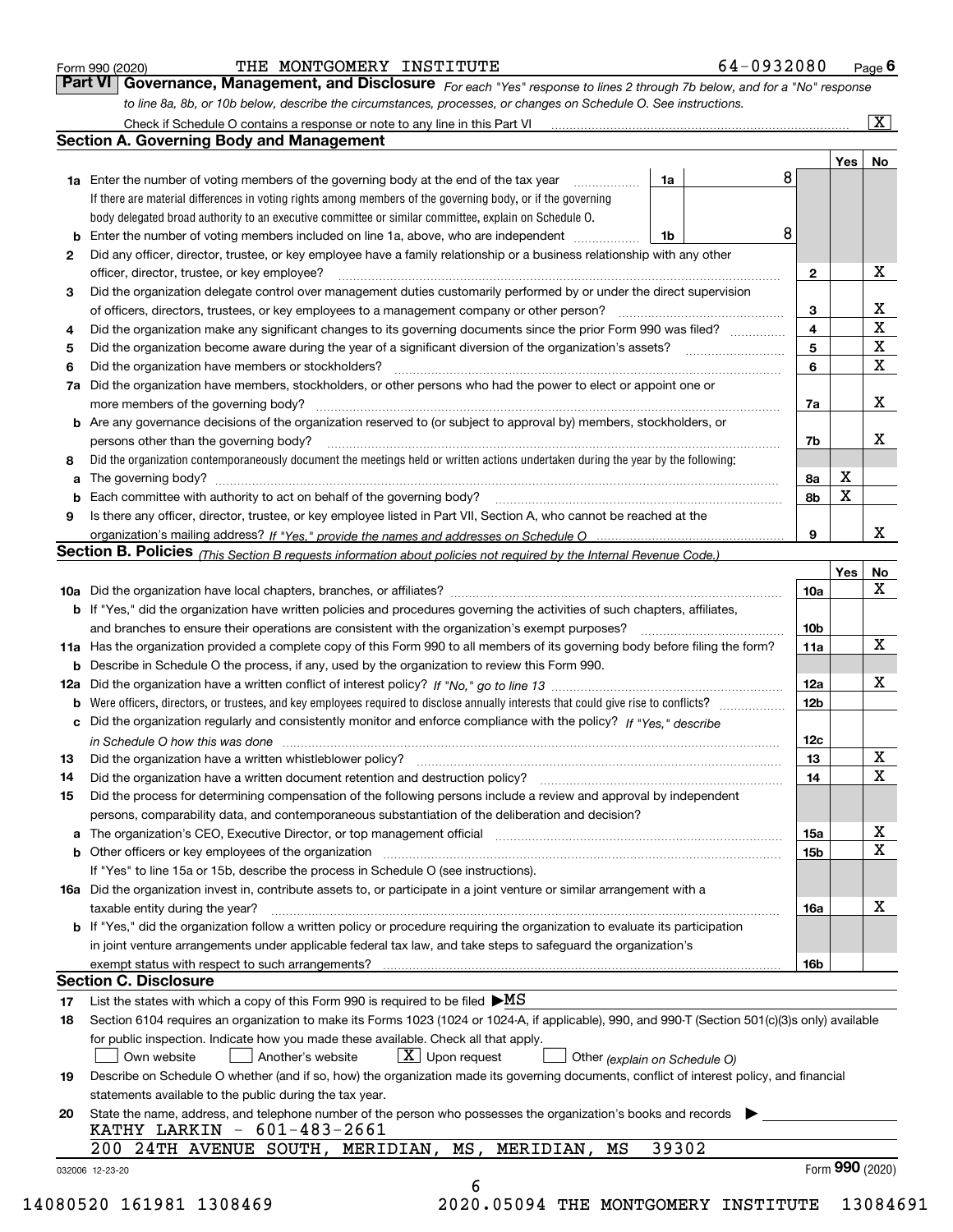|  | Form 990 (2020) |  |
|--|-----------------|--|
|  |                 |  |

# THE MONTGOMERY INSTITUTE 64-0932080

*For each "Yes" response to lines 2 through 7b below, and for a "No" response to line 8a, 8b, or 10b below, describe the circumstances, processes, or changes on Schedule O. See instructions.* Form 990 (2020) **Form 990 (2020)** THE MONTGOMERY INSTITUTE **1998 (2020)** 64 – 0932080 Page 6<br>**Part VI Governance, Management, and Disclosure** For each "Yes" response to lines 2 through 7b below, and for a "No" response

|    |                                                                                                                                                                                                                                |       |   |                 | Yes | No              |
|----|--------------------------------------------------------------------------------------------------------------------------------------------------------------------------------------------------------------------------------|-------|---|-----------------|-----|-----------------|
|    | <b>1a</b> Enter the number of voting members of the governing body at the end of the tax year <i>manumum</i>                                                                                                                   | 1a    | 8 |                 |     |                 |
|    | If there are material differences in voting rights among members of the governing body, or if the governing                                                                                                                    |       |   |                 |     |                 |
|    | body delegated broad authority to an executive committee or similar committee, explain on Schedule O.                                                                                                                          |       |   |                 |     |                 |
|    |                                                                                                                                                                                                                                | 1b    | 8 |                 |     |                 |
| 2  | Did any officer, director, trustee, or key employee have a family relationship or a business relationship with any other<br>officer, director, trustee, or key employee?                                                       |       |   | $\mathbf{2}$    |     | X               |
| 3  | Did the organization delegate control over management duties customarily performed by or under the direct supervision                                                                                                          |       |   |                 |     |                 |
|    |                                                                                                                                                                                                                                |       |   | 3               |     | X               |
| 4  | Did the organization make any significant changes to its governing documents since the prior Form 990 was filed?                                                                                                               |       |   | $\overline{4}$  |     | $\mathbf X$     |
| 5  |                                                                                                                                                                                                                                |       |   | 5               |     | X               |
| 6  |                                                                                                                                                                                                                                |       |   | 6               |     | X               |
| 7a | Did the organization have members, stockholders, or other persons who had the power to elect or appoint one or                                                                                                                 |       |   |                 |     |                 |
|    |                                                                                                                                                                                                                                |       |   | 7a              |     | X               |
|    | <b>b</b> Are any governance decisions of the organization reserved to (or subject to approval by) members, stockholders, or                                                                                                    |       |   |                 |     |                 |
|    | persons other than the governing body?                                                                                                                                                                                         |       |   | 7b              |     | х               |
| 8  | Did the organization contemporaneously document the meetings held or written actions undertaken during the year by the following:                                                                                              |       |   |                 |     |                 |
| a  |                                                                                                                                                                                                                                |       |   | 8a              | X   |                 |
|    |                                                                                                                                                                                                                                |       |   | 8b              | X   |                 |
| 9  | Is there any officer, director, trustee, or key employee listed in Part VII, Section A, who cannot be reached at the                                                                                                           |       |   |                 |     |                 |
|    |                                                                                                                                                                                                                                |       |   | 9               |     | x               |
|    | Section B. Policies (This Section B requests information about policies not required by the Internal Revenue Code.)                                                                                                            |       |   |                 |     |                 |
|    |                                                                                                                                                                                                                                |       |   |                 | Yes | No              |
|    |                                                                                                                                                                                                                                |       |   | <b>10a</b>      |     | X               |
|    | <b>b</b> If "Yes," did the organization have written policies and procedures governing the activities of such chapters, affiliates,                                                                                            |       |   |                 |     |                 |
|    |                                                                                                                                                                                                                                |       |   | 10 <sub>b</sub> |     |                 |
|    | 11a Has the organization provided a complete copy of this Form 990 to all members of its governing body before filing the form?                                                                                                |       |   | 11a             |     | X               |
|    | <b>b</b> Describe in Schedule O the process, if any, used by the organization to review this Form 990.                                                                                                                         |       |   |                 |     |                 |
|    |                                                                                                                                                                                                                                |       |   | 12a             |     | X               |
| b  |                                                                                                                                                                                                                                |       |   | 12 <sub>b</sub> |     |                 |
|    | c Did the organization regularly and consistently monitor and enforce compliance with the policy? If "Yes." describe                                                                                                           |       |   |                 |     |                 |
|    | in Schedule O how this was done manufactured and continuum control of the Schedule O how this was done manufactured and continuum control of the Schedule O how this was done                                                  |       |   | 12c             |     |                 |
| 13 | Did the organization have a written whistleblower policy? [11] matter content to the organization have a written whistleblower policy? [11] matter content content content of the organization have a written whistleblower po |       |   | 13              |     | X               |
| 14 | Did the organization have a written document retention and destruction policy? manufactured and the organization have a written document retention and destruction policy?                                                     |       |   | 14              |     | х               |
| 15 | Did the process for determining compensation of the following persons include a review and approval by independent                                                                                                             |       |   |                 |     |                 |
|    | persons, comparability data, and contemporaneous substantiation of the deliberation and decision?                                                                                                                              |       |   |                 |     |                 |
|    |                                                                                                                                                                                                                                |       |   | 15a             |     | X               |
|    |                                                                                                                                                                                                                                |       |   | 15b             |     | х               |
|    | If "Yes" to line 15a or 15b, describe the process in Schedule O (see instructions).                                                                                                                                            |       |   |                 |     |                 |
|    | 16a Did the organization invest in, contribute assets to, or participate in a joint venture or similar arrangement with a                                                                                                      |       |   |                 |     |                 |
|    | taxable entity during the year?                                                                                                                                                                                                |       |   | 16a             |     | X               |
|    | <b>b</b> If "Yes," did the organization follow a written policy or procedure requiring the organization to evaluate its participation                                                                                          |       |   |                 |     |                 |
|    | in joint venture arrangements under applicable federal tax law, and take steps to safeguard the organization's                                                                                                                 |       |   |                 |     |                 |
|    | exempt status with respect to such arrangements?                                                                                                                                                                               |       |   | 16b             |     |                 |
|    | <b>Section C. Disclosure</b>                                                                                                                                                                                                   |       |   |                 |     |                 |
| 17 | List the states with which a copy of this Form 990 is required to be filed $\blacktriangleright MS$                                                                                                                            |       |   |                 |     |                 |
| 18 | Section 6104 requires an organization to make its Forms 1023 (1024 or 1024-A, if applicable), 990, and 990-T (Section 501(c)(3)s only) available                                                                               |       |   |                 |     |                 |
|    | for public inspection. Indicate how you made these available. Check all that apply.                                                                                                                                            |       |   |                 |     |                 |
|    | $\lfloor x \rfloor$ Upon request<br>Own website<br>Another's website<br>Other (explain on Schedule O)                                                                                                                          |       |   |                 |     |                 |
| 19 | Describe on Schedule O whether (and if so, how) the organization made its governing documents, conflict of interest policy, and financial                                                                                      |       |   |                 |     |                 |
|    | statements available to the public during the tax year.                                                                                                                                                                        |       |   |                 |     |                 |
| 20 | State the name, address, and telephone number of the person who possesses the organization's books and records                                                                                                                 |       |   |                 |     |                 |
|    | KATHY LARKIN - 601-483-2661                                                                                                                                                                                                    |       |   |                 |     |                 |
|    | 200 24TH AVENUE SOUTH, MERIDIAN, MS, MERIDIAN,<br>МS                                                                                                                                                                           | 39302 |   |                 |     |                 |
|    |                                                                                                                                                                                                                                |       |   |                 |     | Form 990 (2020) |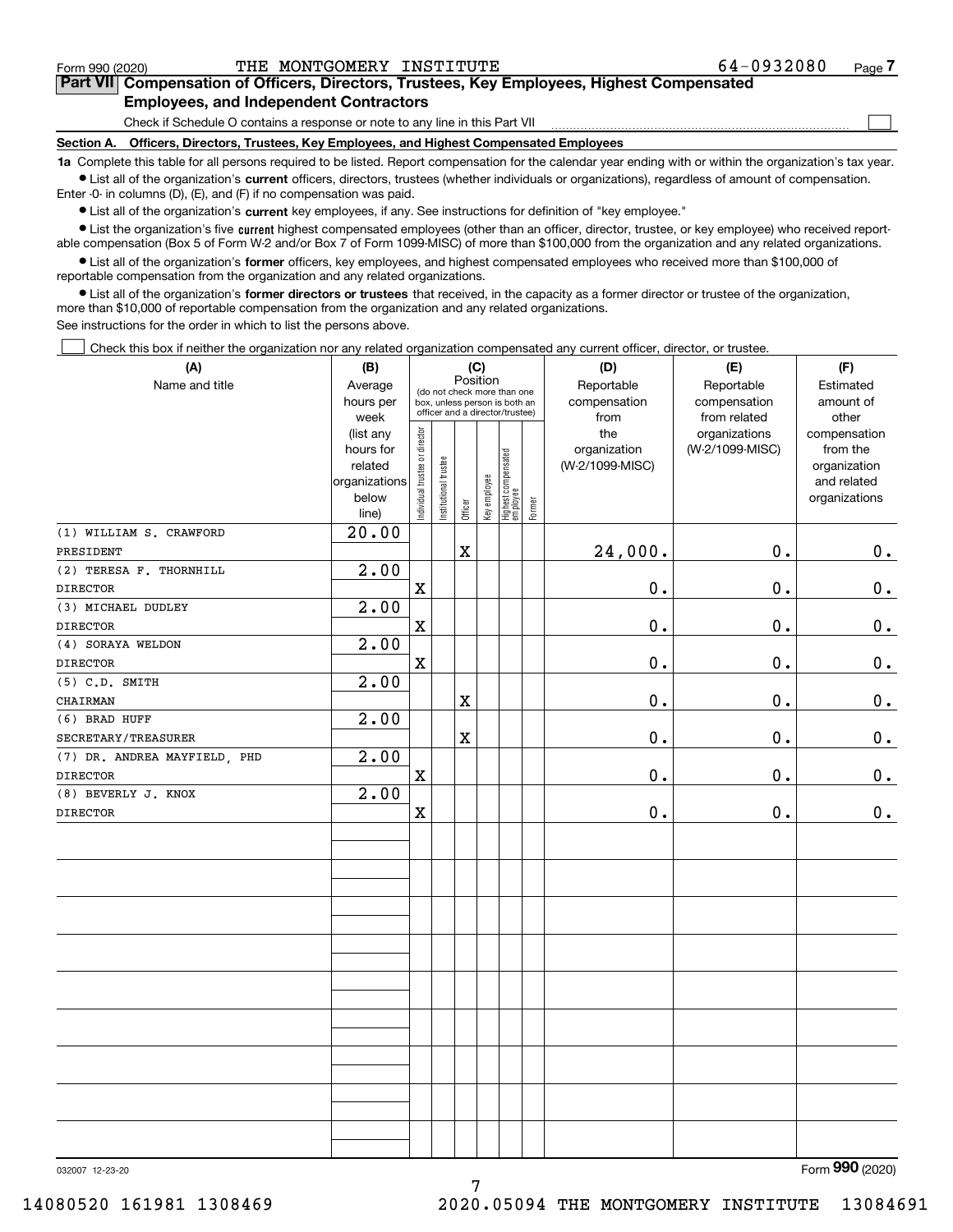$\mathcal{L}^{\text{max}}$ 

# **7Part VII Compensation of Officers, Directors, Trustees, Key Employees, Highest Compensated Employees, and Independent Contractors**

Check if Schedule O contains a response or note to any line in this Part VII

**Section A. Officers, Directors, Trustees, Key Employees, and Highest Compensated Employees**

**1a**  Complete this table for all persons required to be listed. Report compensation for the calendar year ending with or within the organization's tax year. **•** List all of the organization's current officers, directors, trustees (whether individuals or organizations), regardless of amount of compensation.

Enter -0- in columns (D), (E), and (F) if no compensation was paid.

 $\bullet$  List all of the organization's  $\,$ current key employees, if any. See instructions for definition of "key employee."

**•** List the organization's five current highest compensated employees (other than an officer, director, trustee, or key employee) who received reportable compensation (Box 5 of Form W-2 and/or Box 7 of Form 1099-MISC) of more than \$100,000 from the organization and any related organizations.

**•** List all of the organization's former officers, key employees, and highest compensated employees who received more than \$100,000 of reportable compensation from the organization and any related organizations.

**former directors or trustees**  ¥ List all of the organization's that received, in the capacity as a former director or trustee of the organization, more than \$10,000 of reportable compensation from the organization and any related organizations.

See instructions for the order in which to list the persons above.

Check this box if neither the organization nor any related organization compensated any current officer, director, or trustee.  $\mathcal{L}^{\text{max}}$ 

| Position<br>Name and title<br>Reportable<br>Reportable<br>Average<br>Estimated<br>(do not check more than one<br>hours per<br>compensation<br>compensation<br>amount of<br>box, unless person is both an<br>officer and a director/trustee)<br>from related<br>week<br>from<br>other<br>Individual trustee or director<br>the<br>organizations<br>(list any<br>(W-2/1099-MISC)<br>hours for<br>organization<br>from the<br>Highest compensated<br>employee<br>Institutional trustee<br>(W-2/1099-MISC)<br>related<br>Key employee<br>organizations<br>and related<br>below<br>Former<br>Officer<br>line)<br>20.00<br>(1) WILLIAM S. CRAWFORD<br>24,000.<br>0.<br>X<br>PRESIDENT<br>2.00<br>(2) TERESA F. THORNHILL<br>$\mathbf X$<br>0.<br>$0$ .<br><b>DIRECTOR</b><br>2.00<br>(3) MICHAEL DUDLEY<br>0.<br>0.<br><b>DIRECTOR</b><br>$\mathbf X$<br>2.00<br>(4) SORAYA WELDON<br>0.<br>$\mathbf X$<br>0.<br><b>DIRECTOR</b><br>2.00<br>$(5)$ C.D. SMITH<br>0.<br>0.<br>X<br>CHAIRMAN<br>2.00<br>(6) BRAD HUFF<br>0.<br>0.<br>X<br>SECRETARY/TREASURER<br>$\overline{2.00}$<br>(7) DR. ANDREA MAYFIELD, PHD<br>0.<br>$\mathbf x$<br>0.<br><b>DIRECTOR</b><br>2.00<br>(8) BEVERLY J. KNOX<br>0.<br>$\mathbf X$<br>0.<br><b>DIRECTOR</b> | (A) | (B) |  | (C) |  | (D) | (E) | (F)                                           |
|--------------------------------------------------------------------------------------------------------------------------------------------------------------------------------------------------------------------------------------------------------------------------------------------------------------------------------------------------------------------------------------------------------------------------------------------------------------------------------------------------------------------------------------------------------------------------------------------------------------------------------------------------------------------------------------------------------------------------------------------------------------------------------------------------------------------------------------------------------------------------------------------------------------------------------------------------------------------------------------------------------------------------------------------------------------------------------------------------------------------------------------------------------------------------------------------------------------------------------------|-----|-----|--|-----|--|-----|-----|-----------------------------------------------|
|                                                                                                                                                                                                                                                                                                                                                                                                                                                                                                                                                                                                                                                                                                                                                                                                                                                                                                                                                                                                                                                                                                                                                                                                                                      |     |     |  |     |  |     |     |                                               |
|                                                                                                                                                                                                                                                                                                                                                                                                                                                                                                                                                                                                                                                                                                                                                                                                                                                                                                                                                                                                                                                                                                                                                                                                                                      |     |     |  |     |  |     |     | compensation<br>organization<br>organizations |
|                                                                                                                                                                                                                                                                                                                                                                                                                                                                                                                                                                                                                                                                                                                                                                                                                                                                                                                                                                                                                                                                                                                                                                                                                                      |     |     |  |     |  |     |     |                                               |
|                                                                                                                                                                                                                                                                                                                                                                                                                                                                                                                                                                                                                                                                                                                                                                                                                                                                                                                                                                                                                                                                                                                                                                                                                                      |     |     |  |     |  |     |     | 0.                                            |
|                                                                                                                                                                                                                                                                                                                                                                                                                                                                                                                                                                                                                                                                                                                                                                                                                                                                                                                                                                                                                                                                                                                                                                                                                                      |     |     |  |     |  |     |     |                                               |
|                                                                                                                                                                                                                                                                                                                                                                                                                                                                                                                                                                                                                                                                                                                                                                                                                                                                                                                                                                                                                                                                                                                                                                                                                                      |     |     |  |     |  |     |     | $\mathbf 0$ .                                 |
|                                                                                                                                                                                                                                                                                                                                                                                                                                                                                                                                                                                                                                                                                                                                                                                                                                                                                                                                                                                                                                                                                                                                                                                                                                      |     |     |  |     |  |     |     |                                               |
|                                                                                                                                                                                                                                                                                                                                                                                                                                                                                                                                                                                                                                                                                                                                                                                                                                                                                                                                                                                                                                                                                                                                                                                                                                      |     |     |  |     |  |     |     | $\mathbf 0$ .                                 |
|                                                                                                                                                                                                                                                                                                                                                                                                                                                                                                                                                                                                                                                                                                                                                                                                                                                                                                                                                                                                                                                                                                                                                                                                                                      |     |     |  |     |  |     |     |                                               |
|                                                                                                                                                                                                                                                                                                                                                                                                                                                                                                                                                                                                                                                                                                                                                                                                                                                                                                                                                                                                                                                                                                                                                                                                                                      |     |     |  |     |  |     |     | $\mathbf 0$ .                                 |
|                                                                                                                                                                                                                                                                                                                                                                                                                                                                                                                                                                                                                                                                                                                                                                                                                                                                                                                                                                                                                                                                                                                                                                                                                                      |     |     |  |     |  |     |     |                                               |
|                                                                                                                                                                                                                                                                                                                                                                                                                                                                                                                                                                                                                                                                                                                                                                                                                                                                                                                                                                                                                                                                                                                                                                                                                                      |     |     |  |     |  |     |     | $\mathbf 0$ .                                 |
|                                                                                                                                                                                                                                                                                                                                                                                                                                                                                                                                                                                                                                                                                                                                                                                                                                                                                                                                                                                                                                                                                                                                                                                                                                      |     |     |  |     |  |     |     |                                               |
|                                                                                                                                                                                                                                                                                                                                                                                                                                                                                                                                                                                                                                                                                                                                                                                                                                                                                                                                                                                                                                                                                                                                                                                                                                      |     |     |  |     |  |     |     | $\mathbf 0$ .                                 |
|                                                                                                                                                                                                                                                                                                                                                                                                                                                                                                                                                                                                                                                                                                                                                                                                                                                                                                                                                                                                                                                                                                                                                                                                                                      |     |     |  |     |  |     |     |                                               |
|                                                                                                                                                                                                                                                                                                                                                                                                                                                                                                                                                                                                                                                                                                                                                                                                                                                                                                                                                                                                                                                                                                                                                                                                                                      |     |     |  |     |  |     |     | $\mathbf 0$ .                                 |
|                                                                                                                                                                                                                                                                                                                                                                                                                                                                                                                                                                                                                                                                                                                                                                                                                                                                                                                                                                                                                                                                                                                                                                                                                                      |     |     |  |     |  |     |     |                                               |
|                                                                                                                                                                                                                                                                                                                                                                                                                                                                                                                                                                                                                                                                                                                                                                                                                                                                                                                                                                                                                                                                                                                                                                                                                                      |     |     |  |     |  |     |     | $\mathbf 0$ .                                 |
|                                                                                                                                                                                                                                                                                                                                                                                                                                                                                                                                                                                                                                                                                                                                                                                                                                                                                                                                                                                                                                                                                                                                                                                                                                      |     |     |  |     |  |     |     |                                               |
|                                                                                                                                                                                                                                                                                                                                                                                                                                                                                                                                                                                                                                                                                                                                                                                                                                                                                                                                                                                                                                                                                                                                                                                                                                      |     |     |  |     |  |     |     |                                               |
|                                                                                                                                                                                                                                                                                                                                                                                                                                                                                                                                                                                                                                                                                                                                                                                                                                                                                                                                                                                                                                                                                                                                                                                                                                      |     |     |  |     |  |     |     |                                               |
|                                                                                                                                                                                                                                                                                                                                                                                                                                                                                                                                                                                                                                                                                                                                                                                                                                                                                                                                                                                                                                                                                                                                                                                                                                      |     |     |  |     |  |     |     |                                               |
|                                                                                                                                                                                                                                                                                                                                                                                                                                                                                                                                                                                                                                                                                                                                                                                                                                                                                                                                                                                                                                                                                                                                                                                                                                      |     |     |  |     |  |     |     |                                               |
|                                                                                                                                                                                                                                                                                                                                                                                                                                                                                                                                                                                                                                                                                                                                                                                                                                                                                                                                                                                                                                                                                                                                                                                                                                      |     |     |  |     |  |     |     |                                               |
|                                                                                                                                                                                                                                                                                                                                                                                                                                                                                                                                                                                                                                                                                                                                                                                                                                                                                                                                                                                                                                                                                                                                                                                                                                      |     |     |  |     |  |     |     |                                               |
|                                                                                                                                                                                                                                                                                                                                                                                                                                                                                                                                                                                                                                                                                                                                                                                                                                                                                                                                                                                                                                                                                                                                                                                                                                      |     |     |  |     |  |     |     |                                               |
|                                                                                                                                                                                                                                                                                                                                                                                                                                                                                                                                                                                                                                                                                                                                                                                                                                                                                                                                                                                                                                                                                                                                                                                                                                      |     |     |  |     |  |     |     |                                               |
|                                                                                                                                                                                                                                                                                                                                                                                                                                                                                                                                                                                                                                                                                                                                                                                                                                                                                                                                                                                                                                                                                                                                                                                                                                      |     |     |  |     |  |     |     |                                               |
|                                                                                                                                                                                                                                                                                                                                                                                                                                                                                                                                                                                                                                                                                                                                                                                                                                                                                                                                                                                                                                                                                                                                                                                                                                      |     |     |  |     |  |     |     |                                               |
|                                                                                                                                                                                                                                                                                                                                                                                                                                                                                                                                                                                                                                                                                                                                                                                                                                                                                                                                                                                                                                                                                                                                                                                                                                      |     |     |  |     |  |     |     |                                               |
|                                                                                                                                                                                                                                                                                                                                                                                                                                                                                                                                                                                                                                                                                                                                                                                                                                                                                                                                                                                                                                                                                                                                                                                                                                      |     |     |  |     |  |     |     |                                               |
|                                                                                                                                                                                                                                                                                                                                                                                                                                                                                                                                                                                                                                                                                                                                                                                                                                                                                                                                                                                                                                                                                                                                                                                                                                      |     |     |  |     |  |     |     |                                               |

7

Form (2020) **990**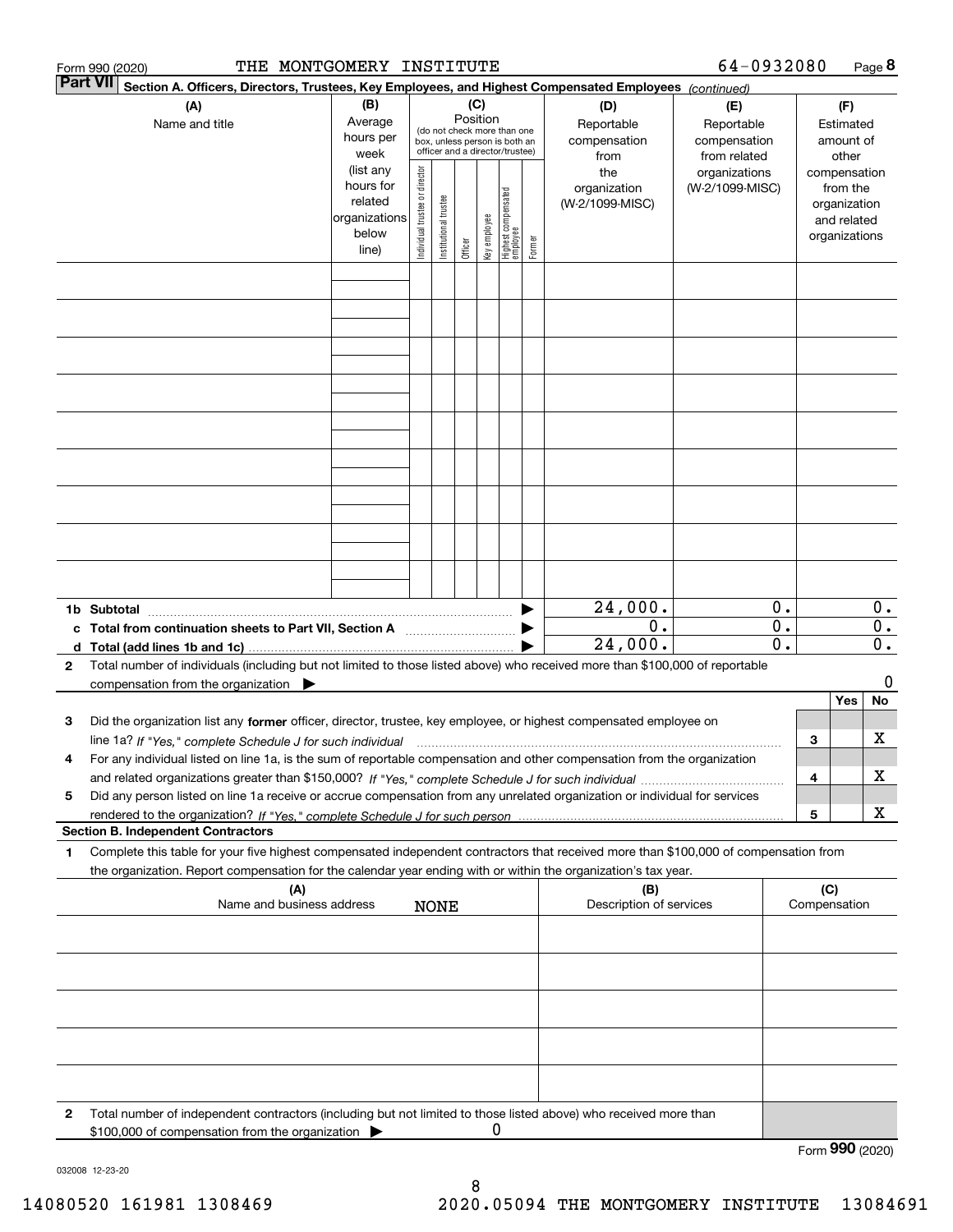|   | THE MONTGOMERY INSTITUTE<br>Form 990 (2020)                                                                                                                                              |                                                                      |                                |                       |                                                                                                                    |              |                                 |        |                                           | 64-0932080                                        |                  |     |                                                                          | Page 8           |
|---|------------------------------------------------------------------------------------------------------------------------------------------------------------------------------------------|----------------------------------------------------------------------|--------------------------------|-----------------------|--------------------------------------------------------------------------------------------------------------------|--------------|---------------------------------|--------|-------------------------------------------|---------------------------------------------------|------------------|-----|--------------------------------------------------------------------------|------------------|
|   | <b>Part VII</b><br>Section A. Officers, Directors, Trustees, Key Employees, and Highest Compensated Employees (continued)                                                                |                                                                      |                                |                       |                                                                                                                    |              |                                 |        |                                           |                                                   |                  |     |                                                                          |                  |
|   | (A)<br>Name and title                                                                                                                                                                    | (B)<br>Average<br>hours per<br>week                                  |                                |                       | (C)<br>Position<br>(do not check more than one<br>box, unless person is both an<br>officer and a director/trustee) |              |                                 |        | (D)<br>Reportable<br>compensation<br>from | (E)<br>Reportable<br>compensation<br>from related |                  |     | (F)<br>Estimated<br>amount of<br>other                                   |                  |
|   |                                                                                                                                                                                          | (list any<br>hours for<br>related<br>organizations<br>below<br>line) | Individual trustee or director | Institutional trustee | Officer                                                                                                            | Key employee | Highest compensated<br>employee | Former | the<br>organization<br>(W-2/1099-MISC)    | organizations<br>(W-2/1099-MISC)                  |                  |     | compensation<br>from the<br>organization<br>and related<br>organizations |                  |
|   |                                                                                                                                                                                          |                                                                      |                                |                       |                                                                                                                    |              |                                 |        |                                           |                                                   |                  |     |                                                                          |                  |
|   |                                                                                                                                                                                          |                                                                      |                                |                       |                                                                                                                    |              |                                 |        |                                           |                                                   |                  |     |                                                                          |                  |
|   |                                                                                                                                                                                          |                                                                      |                                |                       |                                                                                                                    |              |                                 |        |                                           |                                                   |                  |     |                                                                          |                  |
|   |                                                                                                                                                                                          |                                                                      |                                |                       |                                                                                                                    |              |                                 |        |                                           |                                                   |                  |     |                                                                          |                  |
|   |                                                                                                                                                                                          |                                                                      |                                |                       |                                                                                                                    |              |                                 |        |                                           |                                                   |                  |     |                                                                          |                  |
|   |                                                                                                                                                                                          |                                                                      |                                |                       |                                                                                                                    |              |                                 |        |                                           |                                                   |                  |     |                                                                          |                  |
|   |                                                                                                                                                                                          |                                                                      |                                |                       |                                                                                                                    |              |                                 |        | 24,000.                                   |                                                   | 0.               |     |                                                                          | $0$ .            |
|   | 1b Subtotal<br>c Total from continuation sheets to Part VII, Section A manuscreen continuum                                                                                              |                                                                      |                                |                       |                                                                                                                    |              |                                 |        | $0$ .                                     |                                                   | $\overline{0}$ . |     |                                                                          | $\overline{0}$ . |
|   |                                                                                                                                                                                          |                                                                      |                                |                       |                                                                                                                    |              |                                 |        | 24,000.                                   |                                                   | $\mathbf{0}$ .   |     |                                                                          | $\overline{0}$ . |
| 2 | Total number of individuals (including but not limited to those listed above) who received more than \$100,000 of reportable<br>compensation from the organization $\blacktriangleright$ |                                                                      |                                |                       |                                                                                                                    |              |                                 |        |                                           |                                                   |                  |     |                                                                          | 0                |
|   |                                                                                                                                                                                          |                                                                      |                                |                       |                                                                                                                    |              |                                 |        |                                           |                                                   |                  |     | Yes                                                                      | No               |
| з | Did the organization list any former officer, director, trustee, key employee, or highest compensated employee on                                                                        |                                                                      |                                |                       |                                                                                                                    |              |                                 |        |                                           |                                                   |                  |     |                                                                          |                  |
|   | line 1a? If "Yes," complete Schedule J for such individual manufactured contained and the Yes," complete Schedule                                                                        |                                                                      |                                |                       |                                                                                                                    |              |                                 |        |                                           |                                                   |                  | 3   |                                                                          | x                |
| 4 | For any individual listed on line 1a, is the sum of reportable compensation and other compensation from the organization                                                                 |                                                                      |                                |                       |                                                                                                                    |              |                                 |        |                                           |                                                   |                  | 4   |                                                                          | x                |
| 5 | Did any person listed on line 1a receive or accrue compensation from any unrelated organization or individual for services                                                               |                                                                      |                                |                       |                                                                                                                    |              |                                 |        |                                           |                                                   |                  |     |                                                                          |                  |
|   |                                                                                                                                                                                          |                                                                      |                                |                       |                                                                                                                    |              |                                 |        |                                           |                                                   |                  | 5   |                                                                          | X                |
| 1 | <b>Section B. Independent Contractors</b><br>Complete this table for your five highest compensated independent contractors that received more than \$100,000 of compensation from        |                                                                      |                                |                       |                                                                                                                    |              |                                 |        |                                           |                                                   |                  |     |                                                                          |                  |
|   | the organization. Report compensation for the calendar year ending with or within the organization's tax year.                                                                           |                                                                      |                                |                       |                                                                                                                    |              |                                 |        |                                           |                                                   |                  |     |                                                                          |                  |
|   | (A)<br>Name and business address                                                                                                                                                         |                                                                      |                                |                       |                                                                                                                    |              |                                 |        | (B)<br>Description of services            |                                                   |                  | (C) | Compensation                                                             |                  |
|   |                                                                                                                                                                                          |                                                                      |                                | <b>NONE</b>           |                                                                                                                    |              |                                 |        |                                           |                                                   |                  |     |                                                                          |                  |
|   |                                                                                                                                                                                          |                                                                      |                                |                       |                                                                                                                    |              |                                 |        |                                           |                                                   |                  |     |                                                                          |                  |
|   |                                                                                                                                                                                          |                                                                      |                                |                       |                                                                                                                    |              |                                 |        |                                           |                                                   |                  |     |                                                                          |                  |
|   |                                                                                                                                                                                          |                                                                      |                                |                       |                                                                                                                    |              |                                 |        |                                           |                                                   |                  |     |                                                                          |                  |
|   |                                                                                                                                                                                          |                                                                      |                                |                       |                                                                                                                    |              |                                 |        |                                           |                                                   |                  |     |                                                                          |                  |
| 2 | Total number of independent contractors (including but not limited to those listed above) who received more than<br>\$100,000 of compensation from the organization                      |                                                                      |                                |                       |                                                                                                                    | 0            |                                 |        |                                           |                                                   |                  |     |                                                                          |                  |
|   |                                                                                                                                                                                          |                                                                      |                                |                       |                                                                                                                    |              |                                 |        |                                           |                                                   |                  |     |                                                                          | Form 990 (2020)  |

032008 12-23-20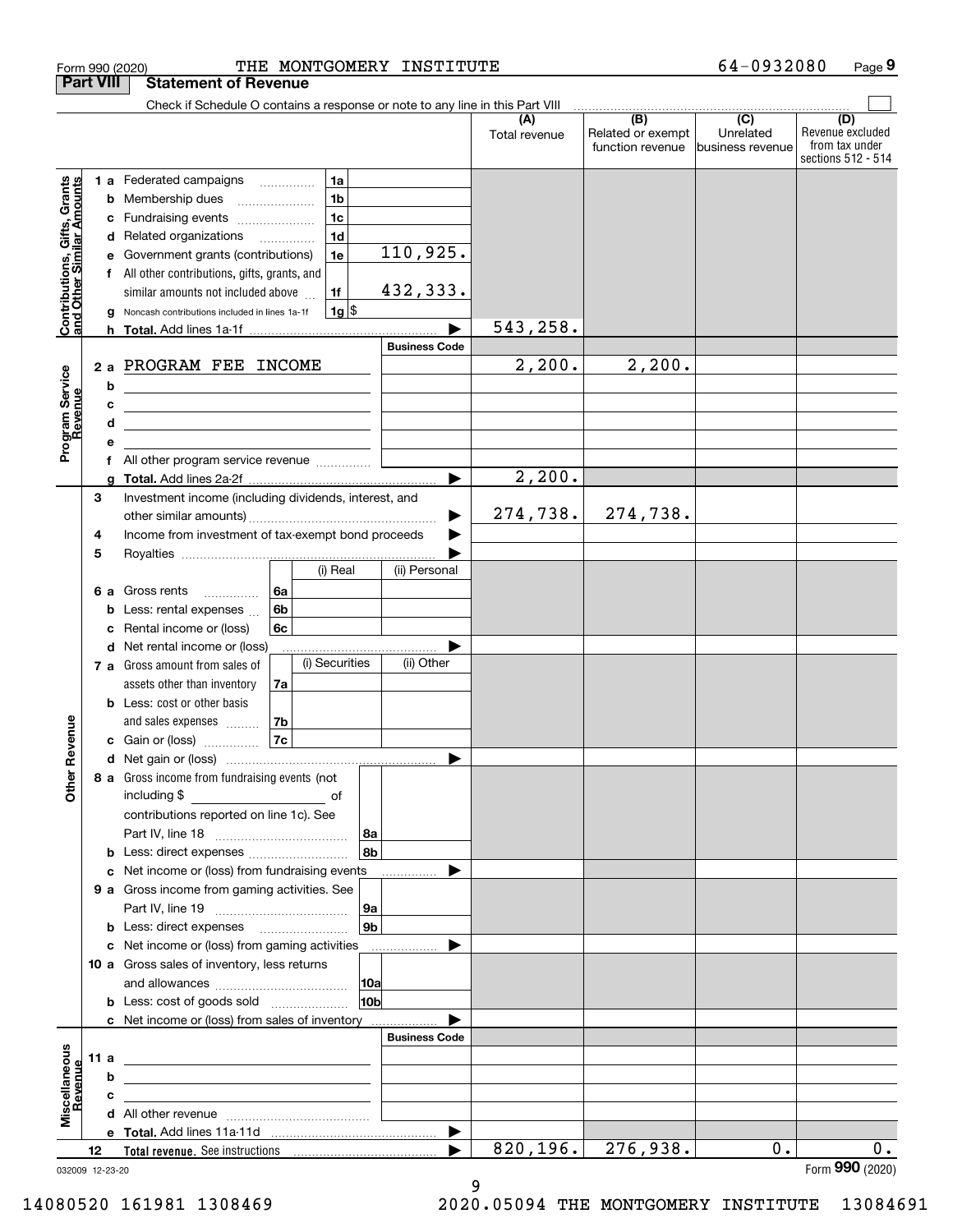| <b>Part VIII</b>                                          |      |   | Form 990 (2020)                                                                                                                                              | THE MONTGOMERY INSTITUTE |               |                                       | 64-0932080                    | Page 9                                                   |
|-----------------------------------------------------------|------|---|--------------------------------------------------------------------------------------------------------------------------------------------------------------|--------------------------|---------------|---------------------------------------|-------------------------------|----------------------------------------------------------|
|                                                           |      |   | <b>Statement of Revenue</b>                                                                                                                                  |                          |               |                                       |                               |                                                          |
|                                                           |      |   | Check if Schedule O contains a response or note to any line in this Part VIII                                                                                |                          | (A)           | (B)                                   | $\overline{C}$                | (D)                                                      |
|                                                           |      |   |                                                                                                                                                              |                          | Total revenue | Related or exempt<br>function revenue | Unrelated<br>business revenue | Revenue excluded<br>from tax under<br>sections 512 - 514 |
|                                                           |      |   | 1a<br>1 a Federated campaigns                                                                                                                                |                          |               |                                       |                               |                                                          |
| Contributions, Gifts, Grants<br>and Other Similar Amounts |      | b | 1 <sub>b</sub><br>Membership dues                                                                                                                            |                          |               |                                       |                               |                                                          |
|                                                           |      | с | 1 <sub>c</sub><br>Fundraising events                                                                                                                         |                          |               |                                       |                               |                                                          |
|                                                           |      | d | 1 <sub>d</sub><br>Related organizations<br>$\overline{\phantom{a}}$                                                                                          |                          |               |                                       |                               |                                                          |
|                                                           |      | е | 1e<br>Government grants (contributions)                                                                                                                      | 110,925.                 |               |                                       |                               |                                                          |
|                                                           |      |   | f All other contributions, gifts, grants, and                                                                                                                |                          |               |                                       |                               |                                                          |
|                                                           |      |   | similar amounts not included above<br>1f                                                                                                                     | 432,333.                 |               |                                       |                               |                                                          |
|                                                           |      | g | $1g$ \$<br>Noncash contributions included in lines 1a-1f                                                                                                     |                          | 543,258.      |                                       |                               |                                                          |
|                                                           |      |   |                                                                                                                                                              | <b>Business Code</b>     |               |                                       |                               |                                                          |
|                                                           | 2a   |   | PROGRAM FEE INCOME                                                                                                                                           |                          | 2,200.        | 2,200.                                |                               |                                                          |
| Program Service<br>Revenue                                |      | b | the control of the control of the control of the control of the control of                                                                                   |                          |               |                                       |                               |                                                          |
|                                                           |      | c | <u> 1989 - Johann Stein, mars an deus an deus Amerikaansk kommunister (</u>                                                                                  |                          |               |                                       |                               |                                                          |
|                                                           |      | d | the control of the control of the control of the control of the control of                                                                                   |                          |               |                                       |                               |                                                          |
|                                                           |      | е |                                                                                                                                                              |                          |               |                                       |                               |                                                          |
|                                                           |      | f |                                                                                                                                                              |                          |               |                                       |                               |                                                          |
|                                                           |      | g |                                                                                                                                                              | $\blacktriangleright$    | 2,200.        |                                       |                               |                                                          |
|                                                           | 3    |   | Investment income (including dividends, interest, and                                                                                                        |                          | 274,738.      | 274,738.                              |                               |                                                          |
|                                                           | 4    |   | Income from investment of tax-exempt bond proceeds                                                                                                           | ▶                        |               |                                       |                               |                                                          |
|                                                           | 5    |   |                                                                                                                                                              |                          |               |                                       |                               |                                                          |
|                                                           |      |   | (i) Real                                                                                                                                                     | (ii) Personal            |               |                                       |                               |                                                          |
|                                                           | 6а   |   | Gross rents<br>6a<br>.                                                                                                                                       |                          |               |                                       |                               |                                                          |
|                                                           |      | b | 6b<br>Less: rental expenses                                                                                                                                  |                          |               |                                       |                               |                                                          |
|                                                           |      | c | 6c<br>Rental income or (loss)                                                                                                                                |                          |               |                                       |                               |                                                          |
|                                                           |      | d | Net rental income or (loss)                                                                                                                                  |                          |               |                                       |                               |                                                          |
|                                                           |      |   | (i) Securities<br>7 a Gross amount from sales of                                                                                                             | (ii) Other               |               |                                       |                               |                                                          |
|                                                           |      |   | assets other than inventory<br>7a                                                                                                                            |                          |               |                                       |                               |                                                          |
|                                                           |      |   | <b>b</b> Less: cost or other basis                                                                                                                           |                          |               |                                       |                               |                                                          |
| auneve                                                    |      |   | and sales expenses<br>7b<br>7c                                                                                                                               |                          |               |                                       |                               |                                                          |
|                                                           |      |   | c Gain or (loss)                                                                                                                                             |                          |               |                                       |                               |                                                          |
| Other R                                                   |      |   | 8 a Gross income from fundraising events (not                                                                                                                |                          |               |                                       |                               |                                                          |
|                                                           |      |   | including \$<br>$\mathcal{L}^{\mathcal{L}}(\mathcal{L}^{\mathcal{L}})$ and $\mathcal{L}^{\mathcal{L}}(\mathcal{L}^{\mathcal{L}})$ . In the contract of<br>of |                          |               |                                       |                               |                                                          |
|                                                           |      |   | contributions reported on line 1c). See                                                                                                                      |                          |               |                                       |                               |                                                          |
|                                                           |      |   |                                                                                                                                                              | 8а                       |               |                                       |                               |                                                          |
|                                                           |      | b | Less: direct expenses <i></i>                                                                                                                                | 8 <sub>b</sub>           |               |                                       |                               |                                                          |
|                                                           |      | c | Net income or (loss) from fundraising events                                                                                                                 | .                        |               |                                       |                               |                                                          |
|                                                           |      |   | 9 a Gross income from gaming activities. See                                                                                                                 |                          |               |                                       |                               |                                                          |
|                                                           |      |   |                                                                                                                                                              | 9а                       |               |                                       |                               |                                                          |
|                                                           |      |   |                                                                                                                                                              | 9 <sub>b</sub>           |               |                                       |                               |                                                          |
|                                                           |      | с | Net income or (loss) from gaming activities<br>10 a Gross sales of inventory, less returns                                                                   |                          |               |                                       |                               |                                                          |
|                                                           |      |   |                                                                                                                                                              | 10a                      |               |                                       |                               |                                                          |
|                                                           |      |   |                                                                                                                                                              | 10 <sub>b</sub>          |               |                                       |                               |                                                          |
|                                                           |      |   | c Net income or (loss) from sales of inventory                                                                                                               |                          |               |                                       |                               |                                                          |
|                                                           |      |   |                                                                                                                                                              | <b>Business Code</b>     |               |                                       |                               |                                                          |
|                                                           | 11 a |   | <u> 1989 - Johann Barn, mars ann an t-Amhain ann an t-A</u>                                                                                                  |                          |               |                                       |                               |                                                          |
|                                                           |      | b |                                                                                                                                                              |                          |               |                                       |                               |                                                          |
| Miscellaneous<br>Revenue                                  |      | c |                                                                                                                                                              |                          |               |                                       |                               |                                                          |
|                                                           |      | d |                                                                                                                                                              |                          |               |                                       |                               |                                                          |
|                                                           |      |   |                                                                                                                                                              | $\blacktriangleright$    | 820, 196.     | 276,938.                              | 0.                            | 0.                                                       |
|                                                           | 12   |   | 032009 12-23-20                                                                                                                                              |                          |               |                                       |                               | Form 990 (2020)                                          |

9 14080520 161981 1308469 2020.05094 THE MONTGOMERY INSTITUTE 13084691

<sup>032009 12-23-20</sup>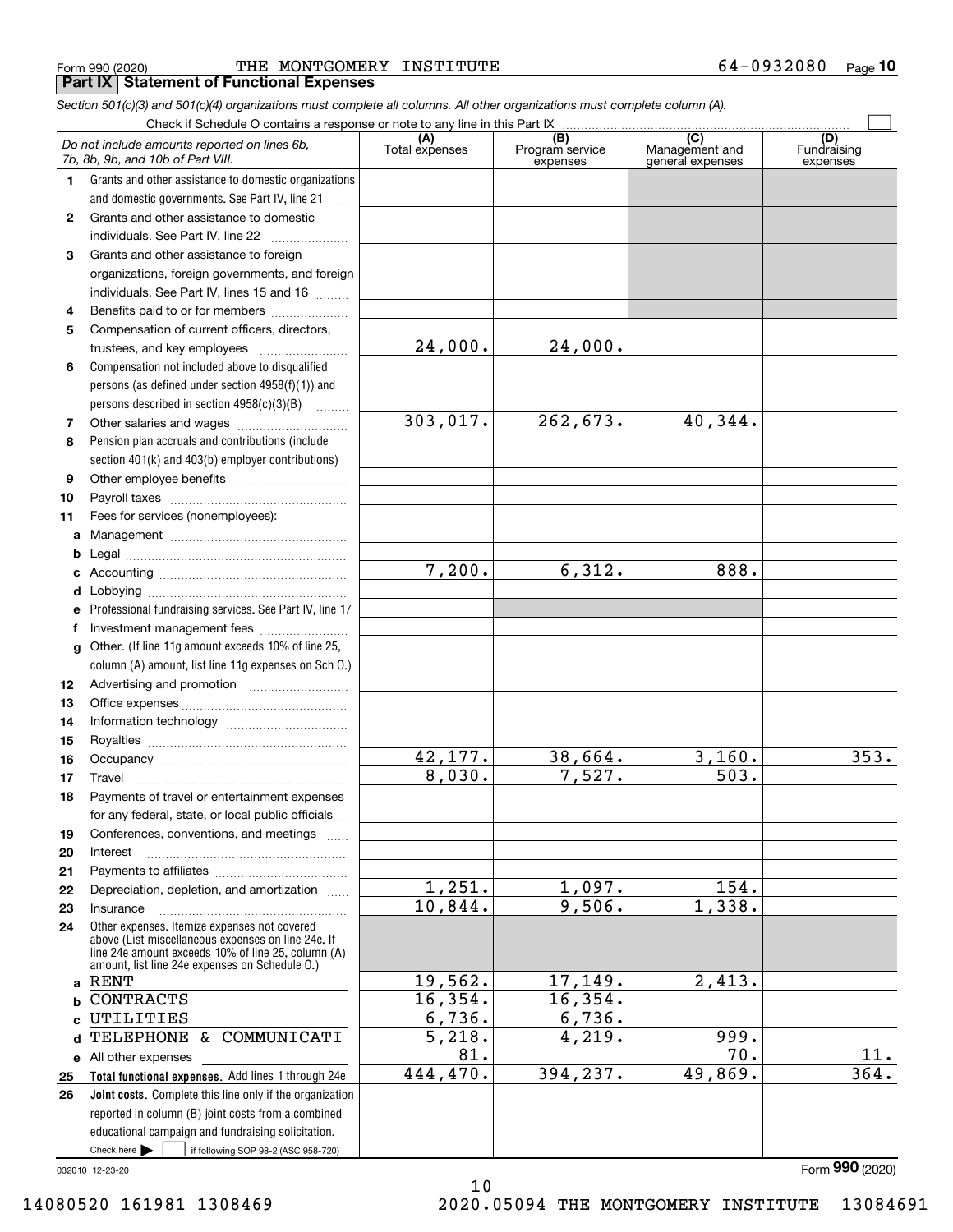Form 990 (2020) THE MONTGOMERY INSTITUTE 6 $4$ -0932080 <sub>Page</sub> **Part IX Statement of Functional Expenses**

*Section 501(c)(3) and 501(c)(4) organizations must complete all columns. All other organizations must complete column (A).*

|    | Do not include amounts reported on lines 6b,<br>7b, 8b, 9b, and 10b of Part VIII.                                                                                                                          | (A)<br>Total expenses | (B)<br>Program service<br>expenses | (C)<br>Management and<br>general expenses | (D)<br>Fundraising<br>expenses |
|----|------------------------------------------------------------------------------------------------------------------------------------------------------------------------------------------------------------|-----------------------|------------------------------------|-------------------------------------------|--------------------------------|
| 1  | Grants and other assistance to domestic organizations                                                                                                                                                      |                       |                                    |                                           |                                |
|    | and domestic governments. See Part IV, line 21                                                                                                                                                             |                       |                                    |                                           |                                |
| 2  | Grants and other assistance to domestic                                                                                                                                                                    |                       |                                    |                                           |                                |
|    | individuals. See Part IV, line 22                                                                                                                                                                          |                       |                                    |                                           |                                |
| 3  | Grants and other assistance to foreign                                                                                                                                                                     |                       |                                    |                                           |                                |
|    | organizations, foreign governments, and foreign                                                                                                                                                            |                       |                                    |                                           |                                |
|    | individuals. See Part IV, lines 15 and 16                                                                                                                                                                  |                       |                                    |                                           |                                |
| 4  | Benefits paid to or for members                                                                                                                                                                            |                       |                                    |                                           |                                |
| 5  | Compensation of current officers, directors,                                                                                                                                                               |                       |                                    |                                           |                                |
|    | trustees, and key employees                                                                                                                                                                                | 24,000.               | 24,000.                            |                                           |                                |
| 6  | Compensation not included above to disqualified                                                                                                                                                            |                       |                                    |                                           |                                |
|    | persons (as defined under section 4958(f)(1)) and                                                                                                                                                          |                       |                                    |                                           |                                |
|    | persons described in section 4958(c)(3)(B)                                                                                                                                                                 |                       |                                    |                                           |                                |
| 7  |                                                                                                                                                                                                            | 303,017.              | 262,673.                           | 40,344.                                   |                                |
| 8  | Pension plan accruals and contributions (include                                                                                                                                                           |                       |                                    |                                           |                                |
|    | section 401(k) and 403(b) employer contributions)                                                                                                                                                          |                       |                                    |                                           |                                |
| 9  |                                                                                                                                                                                                            |                       |                                    |                                           |                                |
| 10 |                                                                                                                                                                                                            |                       |                                    |                                           |                                |
| 11 | Fees for services (nonemployees):                                                                                                                                                                          |                       |                                    |                                           |                                |
| a  |                                                                                                                                                                                                            |                       |                                    |                                           |                                |
| b  |                                                                                                                                                                                                            |                       |                                    |                                           |                                |
| c  |                                                                                                                                                                                                            | 7,200.                | 6,312.                             | 888.                                      |                                |
| d  |                                                                                                                                                                                                            |                       |                                    |                                           |                                |
| е  | Professional fundraising services. See Part IV, line 17                                                                                                                                                    |                       |                                    |                                           |                                |
| f  | Investment management fees                                                                                                                                                                                 |                       |                                    |                                           |                                |
| g  | Other. (If line 11g amount exceeds 10% of line 25,                                                                                                                                                         |                       |                                    |                                           |                                |
|    | column (A) amount, list line 11g expenses on Sch O.)                                                                                                                                                       |                       |                                    |                                           |                                |
| 12 |                                                                                                                                                                                                            |                       |                                    |                                           |                                |
| 13 |                                                                                                                                                                                                            |                       |                                    |                                           |                                |
| 14 |                                                                                                                                                                                                            |                       |                                    |                                           |                                |
| 15 |                                                                                                                                                                                                            |                       |                                    |                                           |                                |
| 16 |                                                                                                                                                                                                            | 42,177.               | 38,664.                            | 3,160.                                    | 353.                           |
| 17 | Travel                                                                                                                                                                                                     | 8,030.                | 7,527.                             | 503.                                      |                                |
| 18 | Payments of travel or entertainment expenses                                                                                                                                                               |                       |                                    |                                           |                                |
|    | for any federal, state, or local public officials                                                                                                                                                          |                       |                                    |                                           |                                |
| 19 | Conferences, conventions, and meetings                                                                                                                                                                     |                       |                                    |                                           |                                |
| 20 | Interest                                                                                                                                                                                                   |                       |                                    |                                           |                                |
| 21 |                                                                                                                                                                                                            |                       |                                    |                                           |                                |
| 22 | Depreciation, depletion, and amortization                                                                                                                                                                  | 1,251.                | 1,097.                             | 154.                                      |                                |
| 23 | Insurance                                                                                                                                                                                                  | 10,844.               | 9,506.                             | 1,338.                                    |                                |
| 24 | Other expenses. Itemize expenses not covered<br>above (List miscellaneous expenses on line 24e. If<br>line 24e amount exceeds 10% of line 25, column (A)<br>amount. list line 24e expenses on Schedule 0.) |                       |                                    |                                           |                                |
| a  | <b>RENT</b>                                                                                                                                                                                                | 19,562.               | 17,149.                            | 2,413.                                    |                                |
| b  | <b>CONTRACTS</b>                                                                                                                                                                                           | 16,354.               | 16,354.                            |                                           |                                |
| c  | UTILITIES                                                                                                                                                                                                  | 6,736.                | 6,736.                             |                                           |                                |
| d  | COMMUNICATI<br>TELEPHONE<br>&.                                                                                                                                                                             | 5,218.                | 4,219.                             | 999.                                      |                                |
|    | e All other expenses                                                                                                                                                                                       | 81.                   |                                    | $\overline{70}$ .                         | $\overline{11}$ .              |
| 25 | Total functional expenses. Add lines 1 through 24e                                                                                                                                                         | 444,470.              | 394,237.                           | 49,869.                                   | 364.                           |
| 26 | Joint costs. Complete this line only if the organization                                                                                                                                                   |                       |                                    |                                           |                                |
|    | reported in column (B) joint costs from a combined                                                                                                                                                         |                       |                                    |                                           |                                |
|    | educational campaign and fundraising solicitation.                                                                                                                                                         |                       |                                    |                                           |                                |
|    | Check here $\blacktriangleright$<br>if following SOP 98-2 (ASC 958-720)                                                                                                                                    |                       |                                    |                                           |                                |

032010 12-23-20

10 14080520 161981 1308469 2020.05094 THE MONTGOMERY INSTITUTE 13084691

Form (2020) **990**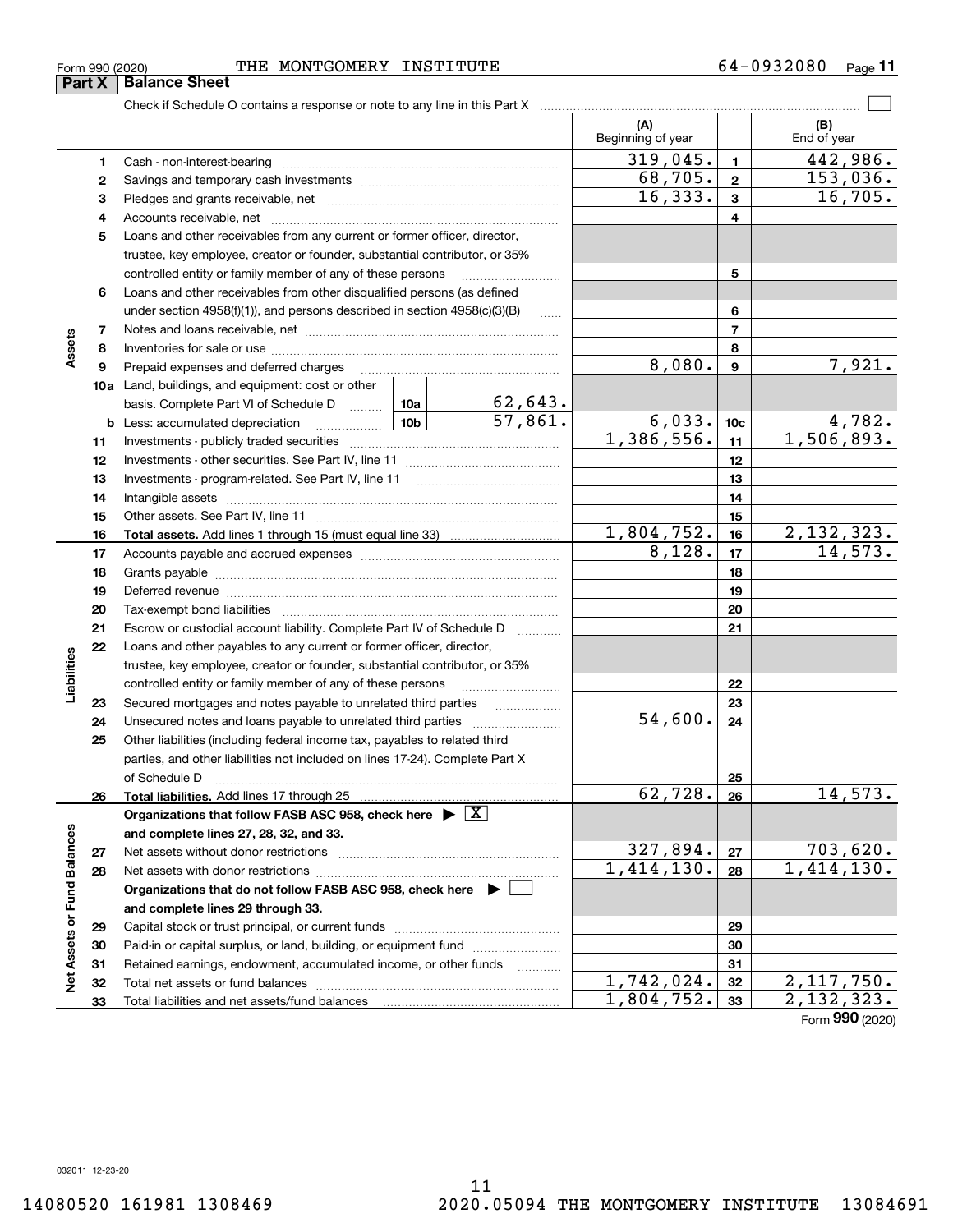# Form 990 (2020) THE MONTGOMERY INSTITUTE 6 $4$ -0932080 <sub>Page</sub>

Check if Schedule O contains a response or note to any line in this Part X

**(A) (B)** Beginning of year | End of year  $319,045.$   $1$   $442,986.$ **11**Cash - non-interest-bearing ~~~~~~~~~~~~~~~~~~~~~~~~~  $\overline{68,705.}$  2 153,036. **22**Savings and temporary cash investments ~~~~~~~~~~~~~~~~~~ $16,333.$   $3$  16,705. **33**Pledges and grants receivable, net ~~~~~~~~~~~~~~~~~~~~~ Accounts receivable, net ~~~~~~~~~~~~~~~~~~~~~~~~~~ **44**Loans and other receivables from any current or former officer, director, **5**trustee, key employee, creator or founder, substantial contributor, or 35% controlled entity or family member of any of these persons ............................ **5**Loans and other receivables from other disqualified persons (as defined **6**under section  $4958(f)(1)$ , and persons described in section  $4958(c)(3)(B)$ **677**Notes and loans receivable, net ~~~~~~~~~~~~~~~~~~~~~~~**Assets 88**Inventories for sale or use ~~~~~~~~~~~~~~~~~~~~~~~~~~  $8,080.$  9 7,921. **99**Prepaid expenses and deferred charges ~~~~~~~~~~~~~~~~~~ **10a**Land, buildings, and equipment: cost or other 62,643. basis. Complete Part VI of Schedule D ......... L 10a 57,861. 6,033.  $\vert$  10c  $\vert$  4,782. **10cb** Less: accumulated depreciation  $\ldots$  **10b**  $1,386,556.$  11 1,506,893. **1111**Investments - publicly traded securities ~~~~~~~~~~~~~~~~~~~ **1212**Investments - other securities. See Part IV, line 11 ~~~~~~~~~~~~~~ **1313**Investments - program-related. See Part IV, line 11 ~~~~~~~~~~~~~**1414**Intangible assets ~~~~~~~~~~~~~~~~~~~~~~~~~~~~~~ Other assets. See Part IV, line 11 ~~~~~~~~~~~~~~~~~~~~~~ **1515** $1,804,752.$  16  $2,132,323.$ **1616Total assets.**  Add lines 1 through 15 (must equal line 33)  $8,128.$  17 14,573. **1717**Accounts payable and accrued expenses ~~~~~~~~~~~~~~~~~~ **1818**Grants payable ~~~~~~~~~~~~~~~~~~~~~~~~~~~~~~~ **1919**Deferred revenue ~~~~~~~~~~~~~~~~~~~~~~~~~~~~~~ **2020**Tax-exempt bond liabilities …………………………………………………………… Escrow or custodial account liability. Complete Part IV of Schedule D **212122**Loans and other payables to any current or former officer, director, iabilities **Liabilities** trustee, key employee, creator or founder, substantial contributor, or 35% controlled entity or family member of any of these persons ~~~~~~~~~**2223**Secured mortgages and notes payable to unrelated third parties **23**54,600. Unsecured notes and loans payable to unrelated third parties ................... **242425**Other liabilities (including federal income tax, payables to related third parties, and other liabilities not included on lines 17-24). Complete Part X of Schedule D ~~~~~~~~~~~~~~~~~~~~~~~~~~~~~~~ **25** $62,728.$  26 14,573. **2626Total liabilities.**  Add lines 17 through 25 **Organizations that follow FASB ASC 958, check here** | X Net Assets or Fund Balances **Net Assets or Fund Balances and complete lines 27, 28, 32, and 33.**  $327,894. |z_7|$  703,620. **2727**Net assets without donor restrictions <sub>…………………………………………………</sub>……  $1,414,130. |28 | 1,414,130.$ **2828**Net assets with donor restrictions ~~~~~~~~~~~~~~~~~~~~~~**Organizations that do not follow FASB ASC 958, check here** | **and complete lines 29 through 33. 2929**Capital stock or trust principal, or current funds ~~~~~~~~~~~~~~~ **3030**Paid-in or capital surplus, or land, building, or equipment fund www.commun.com **31**Retained earnings, endowment, accumulated income, or other funds **31**Total net assets or fund balances ~~~~~~~~~~~~~~~~~~~~~~  $1,742,024.$   $32$   $2,117,750.$ **3232** $1,804,752.$  33  $2,132,323.$ Total liabilities and net assets/fund balances **3333**

Form (2020) **990**

 $\mathcal{L}^{\text{max}}$ 

| Form 990 (2020)             |  |  |
|-----------------------------|--|--|
| <b>Part X</b> Balance Sheet |  |  |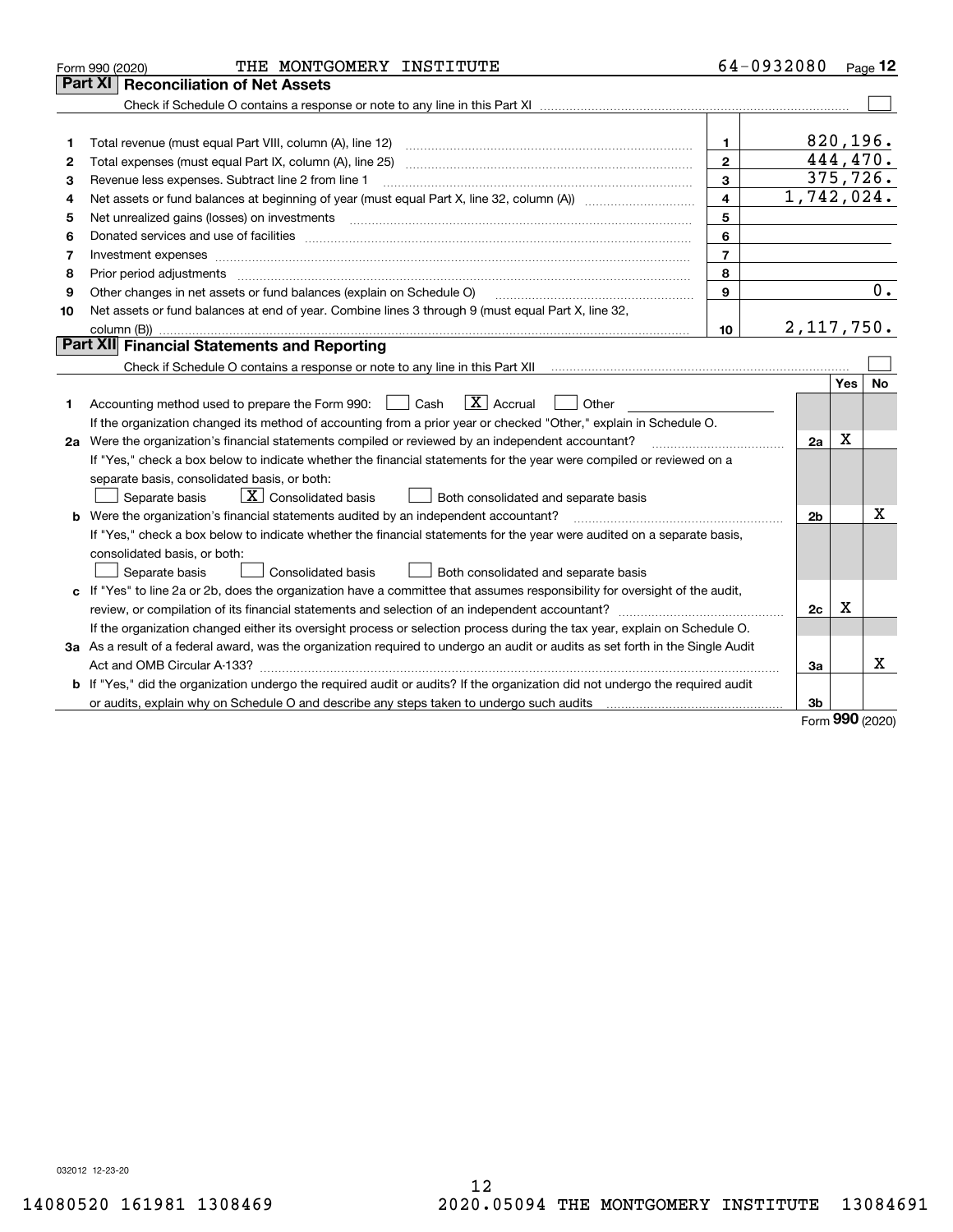| Part XI<br><b>Reconciliation of Net Assets</b><br>820, 196.<br>$\mathbf{1}$<br>1<br>444,470.<br>$\mathbf{2}$<br>Total expenses (must equal Part IX, column (A), line 25)<br>2<br>375,726.<br>3<br>Revenue less expenses. Subtract line 2 from line 1<br>З<br>1,742,024.<br>$\overline{\mathbf{4}}$<br>4<br>5<br>5<br>6<br>6<br>$\overline{7}$<br>7<br>8<br>8<br>Prior period adjustments manufactured contains and a state of the contract of the contract of the contract of<br>0.<br>Other changes in net assets or fund balances (explain on Schedule O)<br>9<br>9<br>Net assets or fund balances at end of year. Combine lines 3 through 9 (must equal Part X, line 32,<br>10<br>2, 117, 750.<br>10<br>Part XII Financial Statements and Reporting<br><b>Yes</b><br><b>No</b><br>$\boxed{\mathbf{X}}$ Accrual<br>Accounting method used to prepare the Form 990: <u>[</u> Cash<br>Other<br>1.<br>If the organization changed its method of accounting from a prior year or checked "Other," explain in Schedule O.<br>$\mathbf X$<br>2a Were the organization's financial statements compiled or reviewed by an independent accountant?<br>2a<br>If "Yes," check a box below to indicate whether the financial statements for the year were compiled or reviewed on a<br>separate basis, consolidated basis, or both:<br>$\boxed{\mathbf{X}}$ Consolidated basis<br>Separate basis<br>Both consolidated and separate basis<br>X<br><b>b</b> Were the organization's financial statements audited by an independent accountant?<br>2b<br>If "Yes," check a box below to indicate whether the financial statements for the year were audited on a separate basis,<br>consolidated basis, or both:<br>Separate basis<br><b>Consolidated basis</b><br>Both consolidated and separate basis<br>c If "Yes" to line 2a or 2b, does the organization have a committee that assumes responsibility for oversight of the audit,<br>х<br>2c<br>If the organization changed either its oversight process or selection process during the tax year, explain on Schedule O.<br>3a As a result of a federal award, was the organization required to undergo an audit or audits as set forth in the Single Audit<br>x<br>За<br>b If "Yes," did the organization undergo the required audit or audits? If the organization did not undergo the required audit<br>3b<br>nnn. | THE MONTGOMERY INSTITUTE<br>Form 990 (2020) | 64-0932080 |  | Page $12$ |
|----------------------------------------------------------------------------------------------------------------------------------------------------------------------------------------------------------------------------------------------------------------------------------------------------------------------------------------------------------------------------------------------------------------------------------------------------------------------------------------------------------------------------------------------------------------------------------------------------------------------------------------------------------------------------------------------------------------------------------------------------------------------------------------------------------------------------------------------------------------------------------------------------------------------------------------------------------------------------------------------------------------------------------------------------------------------------------------------------------------------------------------------------------------------------------------------------------------------------------------------------------------------------------------------------------------------------------------------------------------------------------------------------------------------------------------------------------------------------------------------------------------------------------------------------------------------------------------------------------------------------------------------------------------------------------------------------------------------------------------------------------------------------------------------------------------------------------------------------------------------------------------------------------------------------------------------------------------------------------------------------------------------------------------------------------------------------------------------------------------------------------------------------------------------------------------------------------------------------------------------------------------------------------------------------------------------------------------------------------------|---------------------------------------------|------------|--|-----------|
|                                                                                                                                                                                                                                                                                                                                                                                                                                                                                                                                                                                                                                                                                                                                                                                                                                                                                                                                                                                                                                                                                                                                                                                                                                                                                                                                                                                                                                                                                                                                                                                                                                                                                                                                                                                                                                                                                                                                                                                                                                                                                                                                                                                                                                                                                                                                                                |                                             |            |  |           |
|                                                                                                                                                                                                                                                                                                                                                                                                                                                                                                                                                                                                                                                                                                                                                                                                                                                                                                                                                                                                                                                                                                                                                                                                                                                                                                                                                                                                                                                                                                                                                                                                                                                                                                                                                                                                                                                                                                                                                                                                                                                                                                                                                                                                                                                                                                                                                                |                                             |            |  |           |
|                                                                                                                                                                                                                                                                                                                                                                                                                                                                                                                                                                                                                                                                                                                                                                                                                                                                                                                                                                                                                                                                                                                                                                                                                                                                                                                                                                                                                                                                                                                                                                                                                                                                                                                                                                                                                                                                                                                                                                                                                                                                                                                                                                                                                                                                                                                                                                |                                             |            |  |           |
|                                                                                                                                                                                                                                                                                                                                                                                                                                                                                                                                                                                                                                                                                                                                                                                                                                                                                                                                                                                                                                                                                                                                                                                                                                                                                                                                                                                                                                                                                                                                                                                                                                                                                                                                                                                                                                                                                                                                                                                                                                                                                                                                                                                                                                                                                                                                                                |                                             |            |  |           |
|                                                                                                                                                                                                                                                                                                                                                                                                                                                                                                                                                                                                                                                                                                                                                                                                                                                                                                                                                                                                                                                                                                                                                                                                                                                                                                                                                                                                                                                                                                                                                                                                                                                                                                                                                                                                                                                                                                                                                                                                                                                                                                                                                                                                                                                                                                                                                                |                                             |            |  |           |
|                                                                                                                                                                                                                                                                                                                                                                                                                                                                                                                                                                                                                                                                                                                                                                                                                                                                                                                                                                                                                                                                                                                                                                                                                                                                                                                                                                                                                                                                                                                                                                                                                                                                                                                                                                                                                                                                                                                                                                                                                                                                                                                                                                                                                                                                                                                                                                |                                             |            |  |           |
|                                                                                                                                                                                                                                                                                                                                                                                                                                                                                                                                                                                                                                                                                                                                                                                                                                                                                                                                                                                                                                                                                                                                                                                                                                                                                                                                                                                                                                                                                                                                                                                                                                                                                                                                                                                                                                                                                                                                                                                                                                                                                                                                                                                                                                                                                                                                                                |                                             |            |  |           |
|                                                                                                                                                                                                                                                                                                                                                                                                                                                                                                                                                                                                                                                                                                                                                                                                                                                                                                                                                                                                                                                                                                                                                                                                                                                                                                                                                                                                                                                                                                                                                                                                                                                                                                                                                                                                                                                                                                                                                                                                                                                                                                                                                                                                                                                                                                                                                                |                                             |            |  |           |
|                                                                                                                                                                                                                                                                                                                                                                                                                                                                                                                                                                                                                                                                                                                                                                                                                                                                                                                                                                                                                                                                                                                                                                                                                                                                                                                                                                                                                                                                                                                                                                                                                                                                                                                                                                                                                                                                                                                                                                                                                                                                                                                                                                                                                                                                                                                                                                |                                             |            |  |           |
|                                                                                                                                                                                                                                                                                                                                                                                                                                                                                                                                                                                                                                                                                                                                                                                                                                                                                                                                                                                                                                                                                                                                                                                                                                                                                                                                                                                                                                                                                                                                                                                                                                                                                                                                                                                                                                                                                                                                                                                                                                                                                                                                                                                                                                                                                                                                                                |                                             |            |  |           |
|                                                                                                                                                                                                                                                                                                                                                                                                                                                                                                                                                                                                                                                                                                                                                                                                                                                                                                                                                                                                                                                                                                                                                                                                                                                                                                                                                                                                                                                                                                                                                                                                                                                                                                                                                                                                                                                                                                                                                                                                                                                                                                                                                                                                                                                                                                                                                                |                                             |            |  |           |
|                                                                                                                                                                                                                                                                                                                                                                                                                                                                                                                                                                                                                                                                                                                                                                                                                                                                                                                                                                                                                                                                                                                                                                                                                                                                                                                                                                                                                                                                                                                                                                                                                                                                                                                                                                                                                                                                                                                                                                                                                                                                                                                                                                                                                                                                                                                                                                |                                             |            |  |           |
|                                                                                                                                                                                                                                                                                                                                                                                                                                                                                                                                                                                                                                                                                                                                                                                                                                                                                                                                                                                                                                                                                                                                                                                                                                                                                                                                                                                                                                                                                                                                                                                                                                                                                                                                                                                                                                                                                                                                                                                                                                                                                                                                                                                                                                                                                                                                                                |                                             |            |  |           |
|                                                                                                                                                                                                                                                                                                                                                                                                                                                                                                                                                                                                                                                                                                                                                                                                                                                                                                                                                                                                                                                                                                                                                                                                                                                                                                                                                                                                                                                                                                                                                                                                                                                                                                                                                                                                                                                                                                                                                                                                                                                                                                                                                                                                                                                                                                                                                                |                                             |            |  |           |
|                                                                                                                                                                                                                                                                                                                                                                                                                                                                                                                                                                                                                                                                                                                                                                                                                                                                                                                                                                                                                                                                                                                                                                                                                                                                                                                                                                                                                                                                                                                                                                                                                                                                                                                                                                                                                                                                                                                                                                                                                                                                                                                                                                                                                                                                                                                                                                |                                             |            |  |           |
|                                                                                                                                                                                                                                                                                                                                                                                                                                                                                                                                                                                                                                                                                                                                                                                                                                                                                                                                                                                                                                                                                                                                                                                                                                                                                                                                                                                                                                                                                                                                                                                                                                                                                                                                                                                                                                                                                                                                                                                                                                                                                                                                                                                                                                                                                                                                                                |                                             |            |  |           |
|                                                                                                                                                                                                                                                                                                                                                                                                                                                                                                                                                                                                                                                                                                                                                                                                                                                                                                                                                                                                                                                                                                                                                                                                                                                                                                                                                                                                                                                                                                                                                                                                                                                                                                                                                                                                                                                                                                                                                                                                                                                                                                                                                                                                                                                                                                                                                                |                                             |            |  |           |
|                                                                                                                                                                                                                                                                                                                                                                                                                                                                                                                                                                                                                                                                                                                                                                                                                                                                                                                                                                                                                                                                                                                                                                                                                                                                                                                                                                                                                                                                                                                                                                                                                                                                                                                                                                                                                                                                                                                                                                                                                                                                                                                                                                                                                                                                                                                                                                |                                             |            |  |           |
|                                                                                                                                                                                                                                                                                                                                                                                                                                                                                                                                                                                                                                                                                                                                                                                                                                                                                                                                                                                                                                                                                                                                                                                                                                                                                                                                                                                                                                                                                                                                                                                                                                                                                                                                                                                                                                                                                                                                                                                                                                                                                                                                                                                                                                                                                                                                                                |                                             |            |  |           |
|                                                                                                                                                                                                                                                                                                                                                                                                                                                                                                                                                                                                                                                                                                                                                                                                                                                                                                                                                                                                                                                                                                                                                                                                                                                                                                                                                                                                                                                                                                                                                                                                                                                                                                                                                                                                                                                                                                                                                                                                                                                                                                                                                                                                                                                                                                                                                                |                                             |            |  |           |
|                                                                                                                                                                                                                                                                                                                                                                                                                                                                                                                                                                                                                                                                                                                                                                                                                                                                                                                                                                                                                                                                                                                                                                                                                                                                                                                                                                                                                                                                                                                                                                                                                                                                                                                                                                                                                                                                                                                                                                                                                                                                                                                                                                                                                                                                                                                                                                |                                             |            |  |           |
|                                                                                                                                                                                                                                                                                                                                                                                                                                                                                                                                                                                                                                                                                                                                                                                                                                                                                                                                                                                                                                                                                                                                                                                                                                                                                                                                                                                                                                                                                                                                                                                                                                                                                                                                                                                                                                                                                                                                                                                                                                                                                                                                                                                                                                                                                                                                                                |                                             |            |  |           |
|                                                                                                                                                                                                                                                                                                                                                                                                                                                                                                                                                                                                                                                                                                                                                                                                                                                                                                                                                                                                                                                                                                                                                                                                                                                                                                                                                                                                                                                                                                                                                                                                                                                                                                                                                                                                                                                                                                                                                                                                                                                                                                                                                                                                                                                                                                                                                                |                                             |            |  |           |
|                                                                                                                                                                                                                                                                                                                                                                                                                                                                                                                                                                                                                                                                                                                                                                                                                                                                                                                                                                                                                                                                                                                                                                                                                                                                                                                                                                                                                                                                                                                                                                                                                                                                                                                                                                                                                                                                                                                                                                                                                                                                                                                                                                                                                                                                                                                                                                |                                             |            |  |           |
|                                                                                                                                                                                                                                                                                                                                                                                                                                                                                                                                                                                                                                                                                                                                                                                                                                                                                                                                                                                                                                                                                                                                                                                                                                                                                                                                                                                                                                                                                                                                                                                                                                                                                                                                                                                                                                                                                                                                                                                                                                                                                                                                                                                                                                                                                                                                                                |                                             |            |  |           |
|                                                                                                                                                                                                                                                                                                                                                                                                                                                                                                                                                                                                                                                                                                                                                                                                                                                                                                                                                                                                                                                                                                                                                                                                                                                                                                                                                                                                                                                                                                                                                                                                                                                                                                                                                                                                                                                                                                                                                                                                                                                                                                                                                                                                                                                                                                                                                                |                                             |            |  |           |
|                                                                                                                                                                                                                                                                                                                                                                                                                                                                                                                                                                                                                                                                                                                                                                                                                                                                                                                                                                                                                                                                                                                                                                                                                                                                                                                                                                                                                                                                                                                                                                                                                                                                                                                                                                                                                                                                                                                                                                                                                                                                                                                                                                                                                                                                                                                                                                |                                             |            |  |           |
|                                                                                                                                                                                                                                                                                                                                                                                                                                                                                                                                                                                                                                                                                                                                                                                                                                                                                                                                                                                                                                                                                                                                                                                                                                                                                                                                                                                                                                                                                                                                                                                                                                                                                                                                                                                                                                                                                                                                                                                                                                                                                                                                                                                                                                                                                                                                                                |                                             |            |  |           |
|                                                                                                                                                                                                                                                                                                                                                                                                                                                                                                                                                                                                                                                                                                                                                                                                                                                                                                                                                                                                                                                                                                                                                                                                                                                                                                                                                                                                                                                                                                                                                                                                                                                                                                                                                                                                                                                                                                                                                                                                                                                                                                                                                                                                                                                                                                                                                                |                                             |            |  |           |
|                                                                                                                                                                                                                                                                                                                                                                                                                                                                                                                                                                                                                                                                                                                                                                                                                                                                                                                                                                                                                                                                                                                                                                                                                                                                                                                                                                                                                                                                                                                                                                                                                                                                                                                                                                                                                                                                                                                                                                                                                                                                                                                                                                                                                                                                                                                                                                |                                             |            |  |           |
|                                                                                                                                                                                                                                                                                                                                                                                                                                                                                                                                                                                                                                                                                                                                                                                                                                                                                                                                                                                                                                                                                                                                                                                                                                                                                                                                                                                                                                                                                                                                                                                                                                                                                                                                                                                                                                                                                                                                                                                                                                                                                                                                                                                                                                                                                                                                                                |                                             |            |  |           |
|                                                                                                                                                                                                                                                                                                                                                                                                                                                                                                                                                                                                                                                                                                                                                                                                                                                                                                                                                                                                                                                                                                                                                                                                                                                                                                                                                                                                                                                                                                                                                                                                                                                                                                                                                                                                                                                                                                                                                                                                                                                                                                                                                                                                                                                                                                                                                                |                                             |            |  |           |
|                                                                                                                                                                                                                                                                                                                                                                                                                                                                                                                                                                                                                                                                                                                                                                                                                                                                                                                                                                                                                                                                                                                                                                                                                                                                                                                                                                                                                                                                                                                                                                                                                                                                                                                                                                                                                                                                                                                                                                                                                                                                                                                                                                                                                                                                                                                                                                |                                             |            |  |           |
|                                                                                                                                                                                                                                                                                                                                                                                                                                                                                                                                                                                                                                                                                                                                                                                                                                                                                                                                                                                                                                                                                                                                                                                                                                                                                                                                                                                                                                                                                                                                                                                                                                                                                                                                                                                                                                                                                                                                                                                                                                                                                                                                                                                                                                                                                                                                                                |                                             |            |  |           |

Form (2020) **990**

032012 12-23-20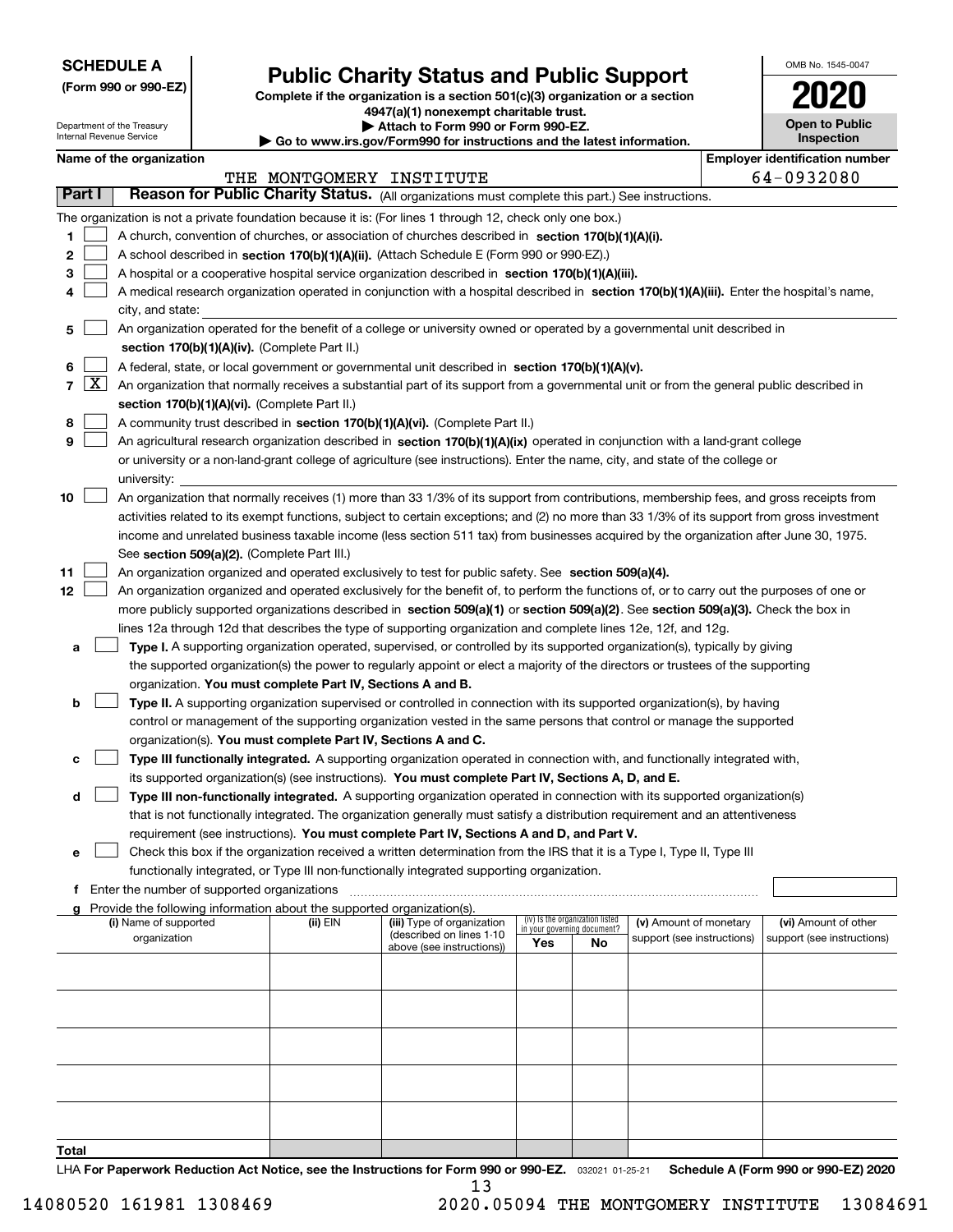| <b>SCHEDULE A</b> |
|-------------------|
|-------------------|

Department of the Treasury Internal Revenue Service

**(Form 990 or 990-EZ)**

# **Public Charity Status and Public Support**

**Complete if the organization is a section 501(c)(3) organization or a section 4947(a)(1) nonexempt charitable trust.**

**| Attach to Form 990 or Form 990-EZ.** 

**| Go to www.irs.gov/Form990 for instructions and the latest information.**

| OMB No. 1545-0047                   |
|-------------------------------------|
| 702<br>U                            |
| <b>Open to Public</b><br>Inspection |

|  | Name of the organization |
|--|--------------------------|
|--|--------------------------|

|                     |                     | Name of the organization                                                                                                                                                                                                                                                                                                                                                                                                                                                                                                                                                                                                                                                                                                                                                                                                                                                                                                                                                                                                                                                                                                                                                                                                                                                                                                       |                          |                                                        |     |                                                                |                            | <b>Employer identification number</b> |
|---------------------|---------------------|--------------------------------------------------------------------------------------------------------------------------------------------------------------------------------------------------------------------------------------------------------------------------------------------------------------------------------------------------------------------------------------------------------------------------------------------------------------------------------------------------------------------------------------------------------------------------------------------------------------------------------------------------------------------------------------------------------------------------------------------------------------------------------------------------------------------------------------------------------------------------------------------------------------------------------------------------------------------------------------------------------------------------------------------------------------------------------------------------------------------------------------------------------------------------------------------------------------------------------------------------------------------------------------------------------------------------------|--------------------------|--------------------------------------------------------|-----|----------------------------------------------------------------|----------------------------|---------------------------------------|
|                     |                     |                                                                                                                                                                                                                                                                                                                                                                                                                                                                                                                                                                                                                                                                                                                                                                                                                                                                                                                                                                                                                                                                                                                                                                                                                                                                                                                                | THE MONTGOMERY INSTITUTE |                                                        |     |                                                                |                            | 64-0932080                            |
| Part I              |                     | Reason for Public Charity Status. (All organizations must complete this part.) See instructions.                                                                                                                                                                                                                                                                                                                                                                                                                                                                                                                                                                                                                                                                                                                                                                                                                                                                                                                                                                                                                                                                                                                                                                                                                               |                          |                                                        |     |                                                                |                            |                                       |
|                     |                     | The organization is not a private foundation because it is: (For lines 1 through 12, check only one box.)                                                                                                                                                                                                                                                                                                                                                                                                                                                                                                                                                                                                                                                                                                                                                                                                                                                                                                                                                                                                                                                                                                                                                                                                                      |                          |                                                        |     |                                                                |                            |                                       |
| 1                   |                     | A church, convention of churches, or association of churches described in section 170(b)(1)(A)(i).                                                                                                                                                                                                                                                                                                                                                                                                                                                                                                                                                                                                                                                                                                                                                                                                                                                                                                                                                                                                                                                                                                                                                                                                                             |                          |                                                        |     |                                                                |                            |                                       |
| 2                   |                     | A school described in section 170(b)(1)(A)(ii). (Attach Schedule E (Form 990 or 990-EZ).)                                                                                                                                                                                                                                                                                                                                                                                                                                                                                                                                                                                                                                                                                                                                                                                                                                                                                                                                                                                                                                                                                                                                                                                                                                      |                          |                                                        |     |                                                                |                            |                                       |
| з                   |                     | A hospital or a cooperative hospital service organization described in section 170(b)(1)(A)(iii).                                                                                                                                                                                                                                                                                                                                                                                                                                                                                                                                                                                                                                                                                                                                                                                                                                                                                                                                                                                                                                                                                                                                                                                                                              |                          |                                                        |     |                                                                |                            |                                       |
|                     |                     | A medical research organization operated in conjunction with a hospital described in section 170(b)(1)(A)(iii). Enter the hospital's name,                                                                                                                                                                                                                                                                                                                                                                                                                                                                                                                                                                                                                                                                                                                                                                                                                                                                                                                                                                                                                                                                                                                                                                                     |                          |                                                        |     |                                                                |                            |                                       |
|                     |                     | city, and state:                                                                                                                                                                                                                                                                                                                                                                                                                                                                                                                                                                                                                                                                                                                                                                                                                                                                                                                                                                                                                                                                                                                                                                                                                                                                                                               |                          |                                                        |     |                                                                |                            |                                       |
| 5                   |                     | An organization operated for the benefit of a college or university owned or operated by a governmental unit described in<br>section 170(b)(1)(A)(iv). (Complete Part II.)                                                                                                                                                                                                                                                                                                                                                                                                                                                                                                                                                                                                                                                                                                                                                                                                                                                                                                                                                                                                                                                                                                                                                     |                          |                                                        |     |                                                                |                            |                                       |
| 6                   |                     | A federal, state, or local government or governmental unit described in section 170(b)(1)(A)(v).                                                                                                                                                                                                                                                                                                                                                                                                                                                                                                                                                                                                                                                                                                                                                                                                                                                                                                                                                                                                                                                                                                                                                                                                                               |                          |                                                        |     |                                                                |                            |                                       |
| 7                   | $\lfloor x \rfloor$ | An organization that normally receives a substantial part of its support from a governmental unit or from the general public described in                                                                                                                                                                                                                                                                                                                                                                                                                                                                                                                                                                                                                                                                                                                                                                                                                                                                                                                                                                                                                                                                                                                                                                                      |                          |                                                        |     |                                                                |                            |                                       |
|                     |                     | section 170(b)(1)(A)(vi). (Complete Part II.)                                                                                                                                                                                                                                                                                                                                                                                                                                                                                                                                                                                                                                                                                                                                                                                                                                                                                                                                                                                                                                                                                                                                                                                                                                                                                  |                          |                                                        |     |                                                                |                            |                                       |
| 8                   |                     | A community trust described in section 170(b)(1)(A)(vi). (Complete Part II.)                                                                                                                                                                                                                                                                                                                                                                                                                                                                                                                                                                                                                                                                                                                                                                                                                                                                                                                                                                                                                                                                                                                                                                                                                                                   |                          |                                                        |     |                                                                |                            |                                       |
| 9                   |                     | An agricultural research organization described in section 170(b)(1)(A)(ix) operated in conjunction with a land-grant college                                                                                                                                                                                                                                                                                                                                                                                                                                                                                                                                                                                                                                                                                                                                                                                                                                                                                                                                                                                                                                                                                                                                                                                                  |                          |                                                        |     |                                                                |                            |                                       |
|                     |                     | or university or a non-land-grant college of agriculture (see instructions). Enter the name, city, and state of the college or                                                                                                                                                                                                                                                                                                                                                                                                                                                                                                                                                                                                                                                                                                                                                                                                                                                                                                                                                                                                                                                                                                                                                                                                 |                          |                                                        |     |                                                                |                            |                                       |
|                     |                     | university:                                                                                                                                                                                                                                                                                                                                                                                                                                                                                                                                                                                                                                                                                                                                                                                                                                                                                                                                                                                                                                                                                                                                                                                                                                                                                                                    |                          |                                                        |     |                                                                |                            |                                       |
| 10<br>11<br>12<br>а |                     | An organization that normally receives (1) more than 33 1/3% of its support from contributions, membership fees, and gross receipts from<br>activities related to its exempt functions, subject to certain exceptions; and (2) no more than 33 1/3% of its support from gross investment<br>income and unrelated business taxable income (less section 511 tax) from businesses acquired by the organization after June 30, 1975.<br>See section 509(a)(2). (Complete Part III.)<br>An organization organized and operated exclusively to test for public safety. See section 509(a)(4).<br>An organization organized and operated exclusively for the benefit of, to perform the functions of, or to carry out the purposes of one or<br>more publicly supported organizations described in section 509(a)(1) or section 509(a)(2). See section 509(a)(3). Check the box in<br>lines 12a through 12d that describes the type of supporting organization and complete lines 12e, 12f, and 12g.<br>Type I. A supporting organization operated, supervised, or controlled by its supported organization(s), typically by giving<br>the supported organization(s) the power to regularly appoint or elect a majority of the directors or trustees of the supporting<br>organization. You must complete Part IV, Sections A and B. |                          |                                                        |     |                                                                |                            |                                       |
| b                   |                     | Type II. A supporting organization supervised or controlled in connection with its supported organization(s), by having                                                                                                                                                                                                                                                                                                                                                                                                                                                                                                                                                                                                                                                                                                                                                                                                                                                                                                                                                                                                                                                                                                                                                                                                        |                          |                                                        |     |                                                                |                            |                                       |
|                     |                     | control or management of the supporting organization vested in the same persons that control or manage the supported                                                                                                                                                                                                                                                                                                                                                                                                                                                                                                                                                                                                                                                                                                                                                                                                                                                                                                                                                                                                                                                                                                                                                                                                           |                          |                                                        |     |                                                                |                            |                                       |
|                     |                     | organization(s). You must complete Part IV, Sections A and C.                                                                                                                                                                                                                                                                                                                                                                                                                                                                                                                                                                                                                                                                                                                                                                                                                                                                                                                                                                                                                                                                                                                                                                                                                                                                  |                          |                                                        |     |                                                                |                            |                                       |
| с                   |                     | Type III functionally integrated. A supporting organization operated in connection with, and functionally integrated with,                                                                                                                                                                                                                                                                                                                                                                                                                                                                                                                                                                                                                                                                                                                                                                                                                                                                                                                                                                                                                                                                                                                                                                                                     |                          |                                                        |     |                                                                |                            |                                       |
|                     |                     | its supported organization(s) (see instructions). You must complete Part IV, Sections A, D, and E.                                                                                                                                                                                                                                                                                                                                                                                                                                                                                                                                                                                                                                                                                                                                                                                                                                                                                                                                                                                                                                                                                                                                                                                                                             |                          |                                                        |     |                                                                |                            |                                       |
| d                   |                     | Type III non-functionally integrated. A supporting organization operated in connection with its supported organization(s)                                                                                                                                                                                                                                                                                                                                                                                                                                                                                                                                                                                                                                                                                                                                                                                                                                                                                                                                                                                                                                                                                                                                                                                                      |                          |                                                        |     |                                                                |                            |                                       |
|                     |                     | that is not functionally integrated. The organization generally must satisfy a distribution requirement and an attentiveness                                                                                                                                                                                                                                                                                                                                                                                                                                                                                                                                                                                                                                                                                                                                                                                                                                                                                                                                                                                                                                                                                                                                                                                                   |                          |                                                        |     |                                                                |                            |                                       |
|                     |                     | requirement (see instructions). You must complete Part IV, Sections A and D, and Part V.                                                                                                                                                                                                                                                                                                                                                                                                                                                                                                                                                                                                                                                                                                                                                                                                                                                                                                                                                                                                                                                                                                                                                                                                                                       |                          |                                                        |     |                                                                |                            |                                       |
| е                   |                     | Check this box if the organization received a written determination from the IRS that it is a Type I, Type II, Type III                                                                                                                                                                                                                                                                                                                                                                                                                                                                                                                                                                                                                                                                                                                                                                                                                                                                                                                                                                                                                                                                                                                                                                                                        |                          |                                                        |     |                                                                |                            |                                       |
|                     |                     | functionally integrated, or Type III non-functionally integrated supporting organization.                                                                                                                                                                                                                                                                                                                                                                                                                                                                                                                                                                                                                                                                                                                                                                                                                                                                                                                                                                                                                                                                                                                                                                                                                                      |                          |                                                        |     |                                                                |                            |                                       |
|                     |                     | f Enter the number of supported organizations                                                                                                                                                                                                                                                                                                                                                                                                                                                                                                                                                                                                                                                                                                                                                                                                                                                                                                                                                                                                                                                                                                                                                                                                                                                                                  |                          |                                                        |     |                                                                |                            |                                       |
|                     |                     | g Provide the following information about the supported organization(s).                                                                                                                                                                                                                                                                                                                                                                                                                                                                                                                                                                                                                                                                                                                                                                                                                                                                                                                                                                                                                                                                                                                                                                                                                                                       |                          |                                                        |     |                                                                |                            |                                       |
|                     |                     | (i) Name of supported                                                                                                                                                                                                                                                                                                                                                                                                                                                                                                                                                                                                                                                                                                                                                                                                                                                                                                                                                                                                                                                                                                                                                                                                                                                                                                          | (ii) EIN                 | (iii) Type of organization<br>(described on lines 1-10 |     | (iv) Is the organization listed<br>in your governing document? | (v) Amount of monetary     | (vi) Amount of other                  |
|                     |                     | organization                                                                                                                                                                                                                                                                                                                                                                                                                                                                                                                                                                                                                                                                                                                                                                                                                                                                                                                                                                                                                                                                                                                                                                                                                                                                                                                   |                          | above (see instructions))                              | Yes | No                                                             | support (see instructions) | support (see instructions)            |
|                     |                     |                                                                                                                                                                                                                                                                                                                                                                                                                                                                                                                                                                                                                                                                                                                                                                                                                                                                                                                                                                                                                                                                                                                                                                                                                                                                                                                                |                          |                                                        |     |                                                                |                            |                                       |
|                     |                     |                                                                                                                                                                                                                                                                                                                                                                                                                                                                                                                                                                                                                                                                                                                                                                                                                                                                                                                                                                                                                                                                                                                                                                                                                                                                                                                                |                          |                                                        |     |                                                                |                            |                                       |
|                     |                     |                                                                                                                                                                                                                                                                                                                                                                                                                                                                                                                                                                                                                                                                                                                                                                                                                                                                                                                                                                                                                                                                                                                                                                                                                                                                                                                                |                          |                                                        |     |                                                                |                            |                                       |
|                     |                     |                                                                                                                                                                                                                                                                                                                                                                                                                                                                                                                                                                                                                                                                                                                                                                                                                                                                                                                                                                                                                                                                                                                                                                                                                                                                                                                                |                          |                                                        |     |                                                                |                            |                                       |
|                     |                     |                                                                                                                                                                                                                                                                                                                                                                                                                                                                                                                                                                                                                                                                                                                                                                                                                                                                                                                                                                                                                                                                                                                                                                                                                                                                                                                                |                          |                                                        |     |                                                                |                            |                                       |
|                     |                     |                                                                                                                                                                                                                                                                                                                                                                                                                                                                                                                                                                                                                                                                                                                                                                                                                                                                                                                                                                                                                                                                                                                                                                                                                                                                                                                                |                          |                                                        |     |                                                                |                            |                                       |
|                     |                     |                                                                                                                                                                                                                                                                                                                                                                                                                                                                                                                                                                                                                                                                                                                                                                                                                                                                                                                                                                                                                                                                                                                                                                                                                                                                                                                                |                          |                                                        |     |                                                                |                            |                                       |
|                     |                     |                                                                                                                                                                                                                                                                                                                                                                                                                                                                                                                                                                                                                                                                                                                                                                                                                                                                                                                                                                                                                                                                                                                                                                                                                                                                                                                                |                          |                                                        |     |                                                                |                            |                                       |
|                     |                     |                                                                                                                                                                                                                                                                                                                                                                                                                                                                                                                                                                                                                                                                                                                                                                                                                                                                                                                                                                                                                                                                                                                                                                                                                                                                                                                                |                          |                                                        |     |                                                                |                            |                                       |
| Total               |                     |                                                                                                                                                                                                                                                                                                                                                                                                                                                                                                                                                                                                                                                                                                                                                                                                                                                                                                                                                                                                                                                                                                                                                                                                                                                                                                                                |                          |                                                        |     |                                                                |                            |                                       |

LHA For Paperwork Reduction Act Notice, see the Instructions for Form 990 or 990-EZ. <sub>032021</sub> o1-25-21 Schedule A (Form 990 or 990-EZ) 2020

13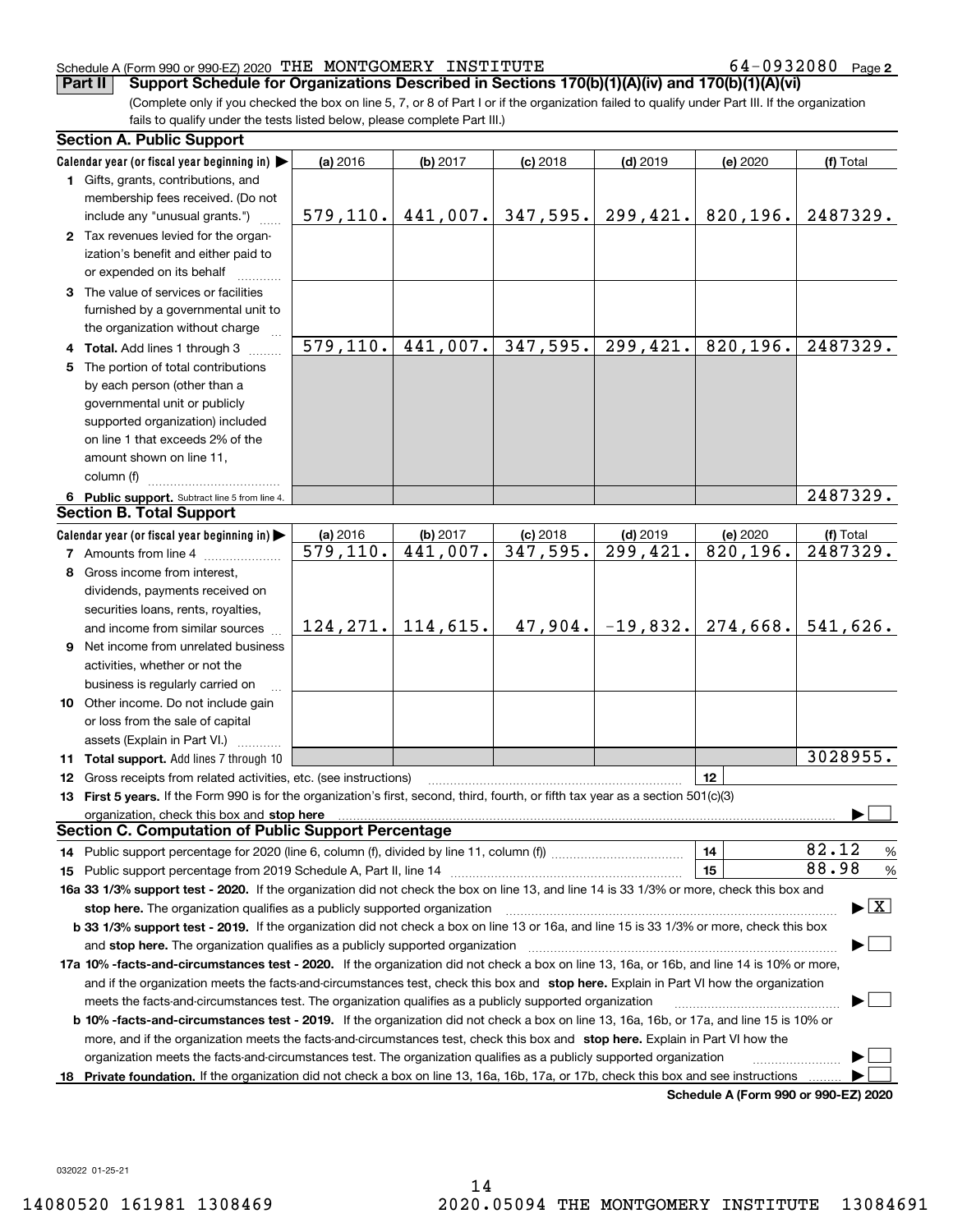**2**

(Complete only if you checked the box on line 5, 7, or 8 of Part I or if the organization failed to qualify under Part III. If the organization fails to qualify under the tests listed below, please complete Part III.) **Part II** Support Schedule for Organizations Described in Sections 170(b)(1)(A)(iv) and 170(b)(1)(A)(vi)

|    | <b>Section A. Public Support</b>                                                                                                               |           |                      |                     |                                |                                      |                                          |
|----|------------------------------------------------------------------------------------------------------------------------------------------------|-----------|----------------------|---------------------|--------------------------------|--------------------------------------|------------------------------------------|
|    | Calendar year (or fiscal year beginning in) $\blacktriangleright$                                                                              | (a) 2016  | (b) 2017             | $(c)$ 2018          | $(d)$ 2019                     | (e) 2020                             | (f) Total                                |
|    | <b>1</b> Gifts, grants, contributions, and<br>membership fees received. (Do not                                                                |           |                      |                     |                                |                                      |                                          |
|    | include any "unusual grants.")                                                                                                                 | 579, 110. |                      | $441,007.$ 347,595. | 299,421.                       | 820, 196.                            | 2487329.                                 |
|    | 2 Tax revenues levied for the organ-<br>ization's benefit and either paid to<br>or expended on its behalf                                      |           |                      |                     |                                |                                      |                                          |
|    | 3 The value of services or facilities                                                                                                          |           |                      |                     |                                |                                      |                                          |
|    | furnished by a governmental unit to                                                                                                            |           |                      |                     |                                |                                      |                                          |
|    | the organization without charge                                                                                                                |           |                      |                     |                                |                                      |                                          |
|    | 4 Total. Add lines 1 through 3                                                                                                                 | 579, 110. |                      |                     | $441,007.$ 347, 595. 299, 421. | 820, 196.                            | 2487329.                                 |
|    | 5 The portion of total contributions                                                                                                           |           |                      |                     |                                |                                      |                                          |
|    | by each person (other than a                                                                                                                   |           |                      |                     |                                |                                      |                                          |
|    | governmental unit or publicly                                                                                                                  |           |                      |                     |                                |                                      |                                          |
|    | supported organization) included                                                                                                               |           |                      |                     |                                |                                      |                                          |
|    | on line 1 that exceeds 2% of the                                                                                                               |           |                      |                     |                                |                                      |                                          |
|    | amount shown on line 11,                                                                                                                       |           |                      |                     |                                |                                      |                                          |
|    | column (f)                                                                                                                                     |           |                      |                     |                                |                                      |                                          |
|    | 6 Public support. Subtract line 5 from line 4.                                                                                                 |           |                      |                     |                                |                                      | 2487329.                                 |
|    | <b>Section B. Total Support</b>                                                                                                                |           |                      |                     |                                |                                      |                                          |
|    | Calendar year (or fiscal year beginning in)                                                                                                    | (a) 2016  | (b) 2017             | $(c)$ 2018          | $(d)$ 2019                     | (e) 2020                             | (f) Total                                |
|    | <b>7</b> Amounts from line 4                                                                                                                   | 579, 110. | 441,007.             | 347,595.            | 299,421.                       | $\overline{820,196}$ .               | 2487329.                                 |
|    | 8 Gross income from interest,                                                                                                                  |           |                      |                     |                                |                                      |                                          |
|    | dividends, payments received on                                                                                                                |           |                      |                     |                                |                                      |                                          |
|    | securities loans, rents, royalties,                                                                                                            |           |                      |                     |                                |                                      |                                          |
|    | and income from similar sources                                                                                                                |           | $124, 271.$ 114,615. |                     | $47,904. -19,832.$             | 274,668.                             | 541,626.                                 |
|    | 9 Net income from unrelated business                                                                                                           |           |                      |                     |                                |                                      |                                          |
|    | activities, whether or not the                                                                                                                 |           |                      |                     |                                |                                      |                                          |
|    | business is regularly carried on                                                                                                               |           |                      |                     |                                |                                      |                                          |
|    | 10 Other income. Do not include gain                                                                                                           |           |                      |                     |                                |                                      |                                          |
|    | or loss from the sale of capital                                                                                                               |           |                      |                     |                                |                                      |                                          |
|    | assets (Explain in Part VI.)                                                                                                                   |           |                      |                     |                                |                                      | 3028955.                                 |
|    | 11 Total support. Add lines 7 through 10                                                                                                       |           |                      |                     |                                |                                      |                                          |
|    | <b>12</b> Gross receipts from related activities, etc. (see instructions)                                                                      |           |                      |                     |                                | 12                                   |                                          |
|    | 13 First 5 years. If the Form 990 is for the organization's first, second, third, fourth, or fifth tax year as a section 501(c)(3)             |           |                      |                     |                                |                                      |                                          |
|    | <b>Section C. Computation of Public Support Percentage</b>                                                                                     |           |                      |                     |                                |                                      |                                          |
|    |                                                                                                                                                |           |                      |                     |                                | 14                                   | 82.12<br>%                               |
|    |                                                                                                                                                |           |                      |                     |                                | 15                                   | 88.98<br>$\%$                            |
|    | 16a 33 1/3% support test - 2020. If the organization did not check the box on line 13, and line 14 is 33 1/3% or more, check this box and      |           |                      |                     |                                |                                      |                                          |
|    | stop here. The organization qualifies as a publicly supported organization                                                                     |           |                      |                     |                                |                                      | $\blacktriangleright$ $\boxed{\text{X}}$ |
|    | b 33 1/3% support test - 2019. If the organization did not check a box on line 13 or 16a, and line 15 is 33 1/3% or more, check this box       |           |                      |                     |                                |                                      |                                          |
|    | and stop here. The organization qualifies as a publicly supported organization                                                                 |           |                      |                     |                                |                                      |                                          |
|    | 17a 10% -facts-and-circumstances test - 2020. If the organization did not check a box on line 13, 16a, or 16b, and line 14 is 10% or more,     |           |                      |                     |                                |                                      |                                          |
|    | and if the organization meets the facts-and-circumstances test, check this box and stop here. Explain in Part VI how the organization          |           |                      |                     |                                |                                      |                                          |
|    | meets the facts-and-circumstances test. The organization qualifies as a publicly supported organization                                        |           |                      |                     |                                |                                      |                                          |
|    | <b>b 10% -facts-and-circumstances test - 2019.</b> If the organization did not check a box on line 13, 16a, 16b, or 17a, and line 15 is 10% or |           |                      |                     |                                |                                      |                                          |
|    | more, and if the organization meets the facts-and-circumstances test, check this box and stop here. Explain in Part VI how the                 |           |                      |                     |                                |                                      |                                          |
|    | organization meets the facts-and-circumstances test. The organization qualifies as a publicly supported organization                           |           |                      |                     |                                |                                      |                                          |
| 18 | Private foundation. If the organization did not check a box on line 13, 16a, 16b, 17a, or 17b, check this box and see instructions             |           |                      |                     |                                |                                      |                                          |
|    |                                                                                                                                                |           |                      |                     |                                | Schedule A (Form 990 or 990-EZ) 2020 |                                          |

032022 01-25-21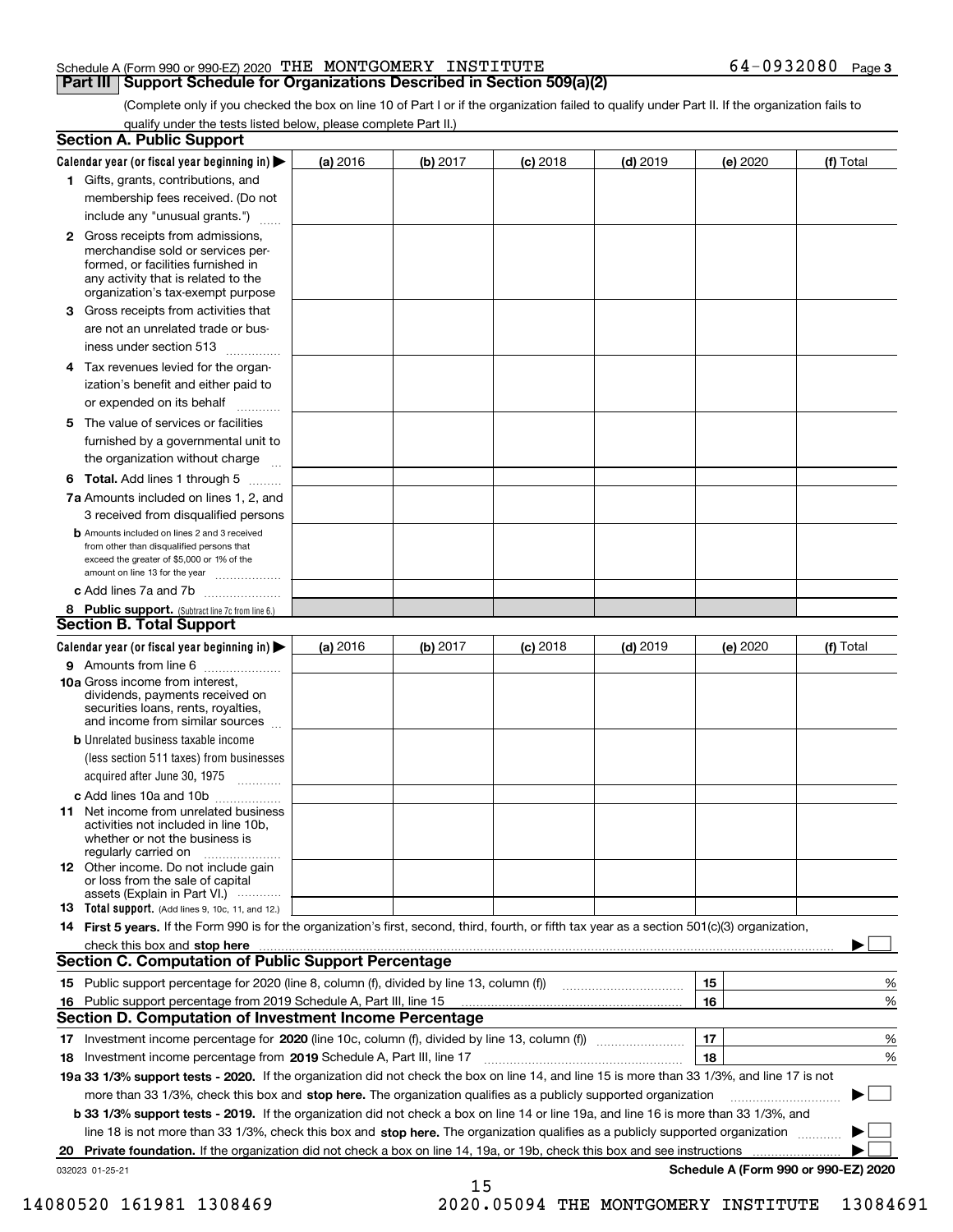(Complete only if you checked the box on line 10 of Part I or if the organization failed to qualify under Part II. If the organization fails to qualify under the tests listed below, please complete Part II.)

|    | <b>Section A. Public Support</b>                                                                                                                                                                                               |          |          |            |            |          |                                      |
|----|--------------------------------------------------------------------------------------------------------------------------------------------------------------------------------------------------------------------------------|----------|----------|------------|------------|----------|--------------------------------------|
|    | Calendar year (or fiscal year beginning in) $\blacktriangleright$                                                                                                                                                              | (a) 2016 | (b) 2017 | $(c)$ 2018 | $(d)$ 2019 | (e) 2020 | (f) Total                            |
|    | 1 Gifts, grants, contributions, and                                                                                                                                                                                            |          |          |            |            |          |                                      |
|    | membership fees received. (Do not                                                                                                                                                                                              |          |          |            |            |          |                                      |
|    | include any "unusual grants.")                                                                                                                                                                                                 |          |          |            |            |          |                                      |
|    | 2 Gross receipts from admissions,<br>merchandise sold or services per-<br>formed, or facilities furnished in<br>any activity that is related to the<br>organization's tax-exempt purpose                                       |          |          |            |            |          |                                      |
|    | <b>3</b> Gross receipts from activities that                                                                                                                                                                                   |          |          |            |            |          |                                      |
|    | are not an unrelated trade or bus-                                                                                                                                                                                             |          |          |            |            |          |                                      |
|    | iness under section 513                                                                                                                                                                                                        |          |          |            |            |          |                                      |
|    | 4 Tax revenues levied for the organ-                                                                                                                                                                                           |          |          |            |            |          |                                      |
|    | ization's benefit and either paid to<br>or expended on its behalf<br>.                                                                                                                                                         |          |          |            |            |          |                                      |
|    | 5 The value of services or facilities                                                                                                                                                                                          |          |          |            |            |          |                                      |
|    | furnished by a governmental unit to                                                                                                                                                                                            |          |          |            |            |          |                                      |
|    | the organization without charge                                                                                                                                                                                                |          |          |            |            |          |                                      |
|    | <b>6 Total.</b> Add lines 1 through 5                                                                                                                                                                                          |          |          |            |            |          |                                      |
|    | 7a Amounts included on lines 1, 2, and                                                                                                                                                                                         |          |          |            |            |          |                                      |
|    | 3 received from disqualified persons                                                                                                                                                                                           |          |          |            |            |          |                                      |
|    | <b>b</b> Amounts included on lines 2 and 3 received<br>from other than disqualified persons that<br>exceed the greater of \$5,000 or 1% of the<br>amount on line 13 for the year                                               |          |          |            |            |          |                                      |
|    | c Add lines 7a and 7b                                                                                                                                                                                                          |          |          |            |            |          |                                      |
|    | 8 Public support. (Subtract line 7c from line 6.)                                                                                                                                                                              |          |          |            |            |          |                                      |
|    | <b>Section B. Total Support</b>                                                                                                                                                                                                |          |          |            |            |          |                                      |
|    | Calendar year (or fiscal year beginning in)                                                                                                                                                                                    | (a) 2016 | (b) 2017 | $(c)$ 2018 | $(d)$ 2019 | (e) 2020 | (f) Total                            |
|    | 9 Amounts from line 6                                                                                                                                                                                                          |          |          |            |            |          |                                      |
|    | <b>10a</b> Gross income from interest,<br>dividends, payments received on<br>securities loans, rents, royalties,<br>and income from similar sources                                                                            |          |          |            |            |          |                                      |
|    | <b>b</b> Unrelated business taxable income                                                                                                                                                                                     |          |          |            |            |          |                                      |
|    | (less section 511 taxes) from businesses                                                                                                                                                                                       |          |          |            |            |          |                                      |
|    | acquired after June 30, 1975                                                                                                                                                                                                   |          |          |            |            |          |                                      |
|    | c Add lines 10a and 10b                                                                                                                                                                                                        |          |          |            |            |          |                                      |
|    | 11 Net income from unrelated business<br>activities not included in line 10b,<br>whether or not the business is<br>regularly carried on                                                                                        |          |          |            |            |          |                                      |
|    | 12 Other income. Do not include gain<br>or loss from the sale of capital<br>assets (Explain in Part VI.)                                                                                                                       |          |          |            |            |          |                                      |
|    | 13 Total support. (Add lines 9, 10c, 11, and 12.)                                                                                                                                                                              |          |          |            |            |          |                                      |
|    | 14 First 5 years. If the Form 990 is for the organization's first, second, third, fourth, or fifth tax year as a section 501(c)(3) organization,                                                                               |          |          |            |            |          |                                      |
|    | check this box and stop here www.altamana.com/management/community/community/community/community/community/community/community/community/community/community/community/community/community/community/community/community/commu |          |          |            |            |          |                                      |
|    | <b>Section C. Computation of Public Support Percentage</b>                                                                                                                                                                     |          |          |            |            |          |                                      |
|    |                                                                                                                                                                                                                                |          |          |            |            | 15       | %                                    |
|    | 16 Public support percentage from 2019 Schedule A, Part III, line 15                                                                                                                                                           |          |          |            |            | 16       | %                                    |
|    | <b>Section D. Computation of Investment Income Percentage</b>                                                                                                                                                                  |          |          |            |            |          |                                      |
| 17 |                                                                                                                                                                                                                                |          |          |            |            | 17       | %                                    |
| 18 | Investment income percentage from 2019 Schedule A, Part III, line 17                                                                                                                                                           |          |          |            |            | 18       | %                                    |
|    | 19a 33 1/3% support tests - 2020. If the organization did not check the box on line 14, and line 15 is more than 33 1/3%, and line 17 is not                                                                                   |          |          |            |            |          |                                      |
|    | more than 33 1/3%, check this box and stop here. The organization qualifies as a publicly supported organization                                                                                                               |          |          |            |            |          | ▶                                    |
|    | b 33 1/3% support tests - 2019. If the organization did not check a box on line 14 or line 19a, and line 16 is more than 33 1/3%, and                                                                                          |          |          |            |            |          |                                      |
|    | line 18 is not more than 33 1/3%, check this box and stop here. The organization qualifies as a publicly supported organization                                                                                                |          |          |            |            |          |                                      |
| 20 | Private foundation. If the organization did not check a box on line 14, 19a, or 19b, check this box and see instructions                                                                                                       |          |          |            |            |          |                                      |
|    | 032023 01-25-21                                                                                                                                                                                                                |          |          |            |            |          | Schedule A (Form 990 or 990-EZ) 2020 |
|    |                                                                                                                                                                                                                                |          | 15       |            |            |          |                                      |

 <sup>14080520 161981 1308469 2020.05094</sup> THE MONTGOMERY INSTITUTE 13084691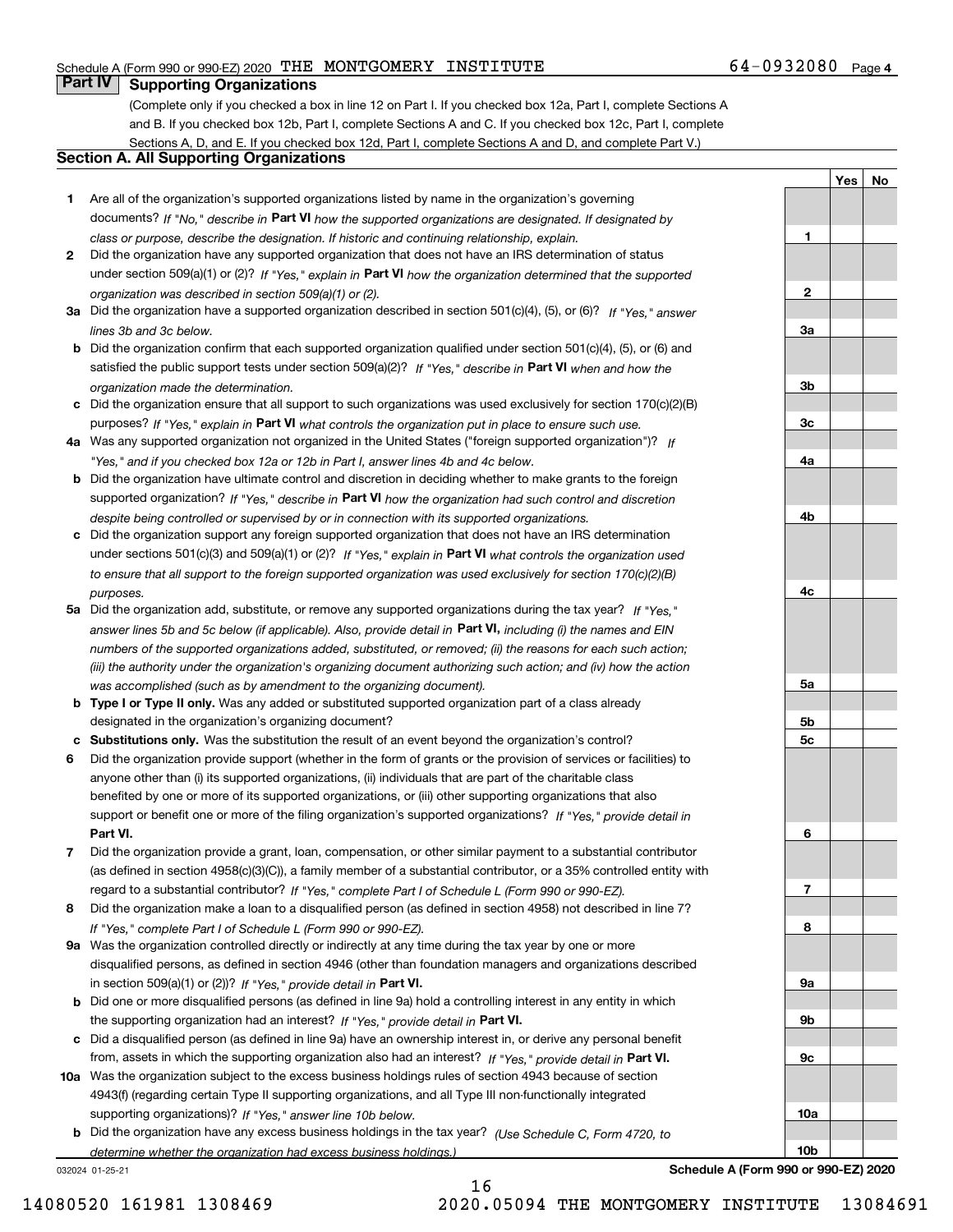# 64-0932080 Page 4

**1**

**2**

**3a**

**3b**

**3c**

**4a**

**4b**

**4c**

**5a**

**5b5c**

**6**

**7**

**YesNo**

# **Part IV Supporting Organizations**

(Complete only if you checked a box in line 12 on Part I. If you checked box 12a, Part I, complete Sections A and B. If you checked box 12b, Part I, complete Sections A and C. If you checked box 12c, Part I, complete Sections A, D, and E. If you checked box 12d, Part I, complete Sections A and D, and complete Part V.)

# **Section A. All Supporting Organizations**

- **1** Are all of the organization's supported organizations listed by name in the organization's governing documents? If "No," describe in **Part VI** how the supported organizations are designated. If designated by *class or purpose, describe the designation. If historic and continuing relationship, explain.*
- **2** Did the organization have any supported organization that does not have an IRS determination of status under section 509(a)(1) or (2)? If "Yes," explain in Part VI how the organization determined that the supported *organization was described in section 509(a)(1) or (2).*
- **3a** Did the organization have a supported organization described in section 501(c)(4), (5), or (6)? If "Yes," answer *lines 3b and 3c below.*
- **b** Did the organization confirm that each supported organization qualified under section 501(c)(4), (5), or (6) and satisfied the public support tests under section 509(a)(2)? If "Yes," describe in **Part VI** when and how the *organization made the determination.*
- **c**Did the organization ensure that all support to such organizations was used exclusively for section 170(c)(2)(B) purposes? If "Yes," explain in **Part VI** what controls the organization put in place to ensure such use.
- **4a***If* Was any supported organization not organized in the United States ("foreign supported organization")? *"Yes," and if you checked box 12a or 12b in Part I, answer lines 4b and 4c below.*
- **b** Did the organization have ultimate control and discretion in deciding whether to make grants to the foreign supported organization? If "Yes," describe in **Part VI** how the organization had such control and discretion *despite being controlled or supervised by or in connection with its supported organizations.*
- **c** Did the organization support any foreign supported organization that does not have an IRS determination under sections 501(c)(3) and 509(a)(1) or (2)? If "Yes," explain in **Part VI** what controls the organization used *to ensure that all support to the foreign supported organization was used exclusively for section 170(c)(2)(B) purposes.*
- **5a** Did the organization add, substitute, or remove any supported organizations during the tax year? If "Yes," answer lines 5b and 5c below (if applicable). Also, provide detail in **Part VI,** including (i) the names and EIN *numbers of the supported organizations added, substituted, or removed; (ii) the reasons for each such action; (iii) the authority under the organization's organizing document authorizing such action; and (iv) how the action was accomplished (such as by amendment to the organizing document).*
- **b** Type I or Type II only. Was any added or substituted supported organization part of a class already designated in the organization's organizing document?
- **cSubstitutions only.**  Was the substitution the result of an event beyond the organization's control?
- **6** Did the organization provide support (whether in the form of grants or the provision of services or facilities) to **Part VI.** *If "Yes," provide detail in* support or benefit one or more of the filing organization's supported organizations? anyone other than (i) its supported organizations, (ii) individuals that are part of the charitable class benefited by one or more of its supported organizations, or (iii) other supporting organizations that also
- **7**Did the organization provide a grant, loan, compensation, or other similar payment to a substantial contributor *If "Yes," complete Part I of Schedule L (Form 990 or 990-EZ).* regard to a substantial contributor? (as defined in section 4958(c)(3)(C)), a family member of a substantial contributor, or a 35% controlled entity with
- **8** Did the organization make a loan to a disqualified person (as defined in section 4958) not described in line 7? *If "Yes," complete Part I of Schedule L (Form 990 or 990-EZ).*
- **9a** Was the organization controlled directly or indirectly at any time during the tax year by one or more in section 509(a)(1) or (2))? If "Yes," *provide detail in* <code>Part VI.</code> disqualified persons, as defined in section 4946 (other than foundation managers and organizations described
- **b** Did one or more disqualified persons (as defined in line 9a) hold a controlling interest in any entity in which the supporting organization had an interest? If "Yes," provide detail in P**art VI**.
- **c**Did a disqualified person (as defined in line 9a) have an ownership interest in, or derive any personal benefit from, assets in which the supporting organization also had an interest? If "Yes," provide detail in P**art VI.**
- **10a** Was the organization subject to the excess business holdings rules of section 4943 because of section supporting organizations)? If "Yes," answer line 10b below. 4943(f) (regarding certain Type II supporting organizations, and all Type III non-functionally integrated
- **b** Did the organization have any excess business holdings in the tax year? (Use Schedule C, Form 4720, to *determine whether the organization had excess business holdings.)*

032024 01-25-21

**89a 9b9c10a10bSchedule A (Form 990 or 990-EZ) 2020**

16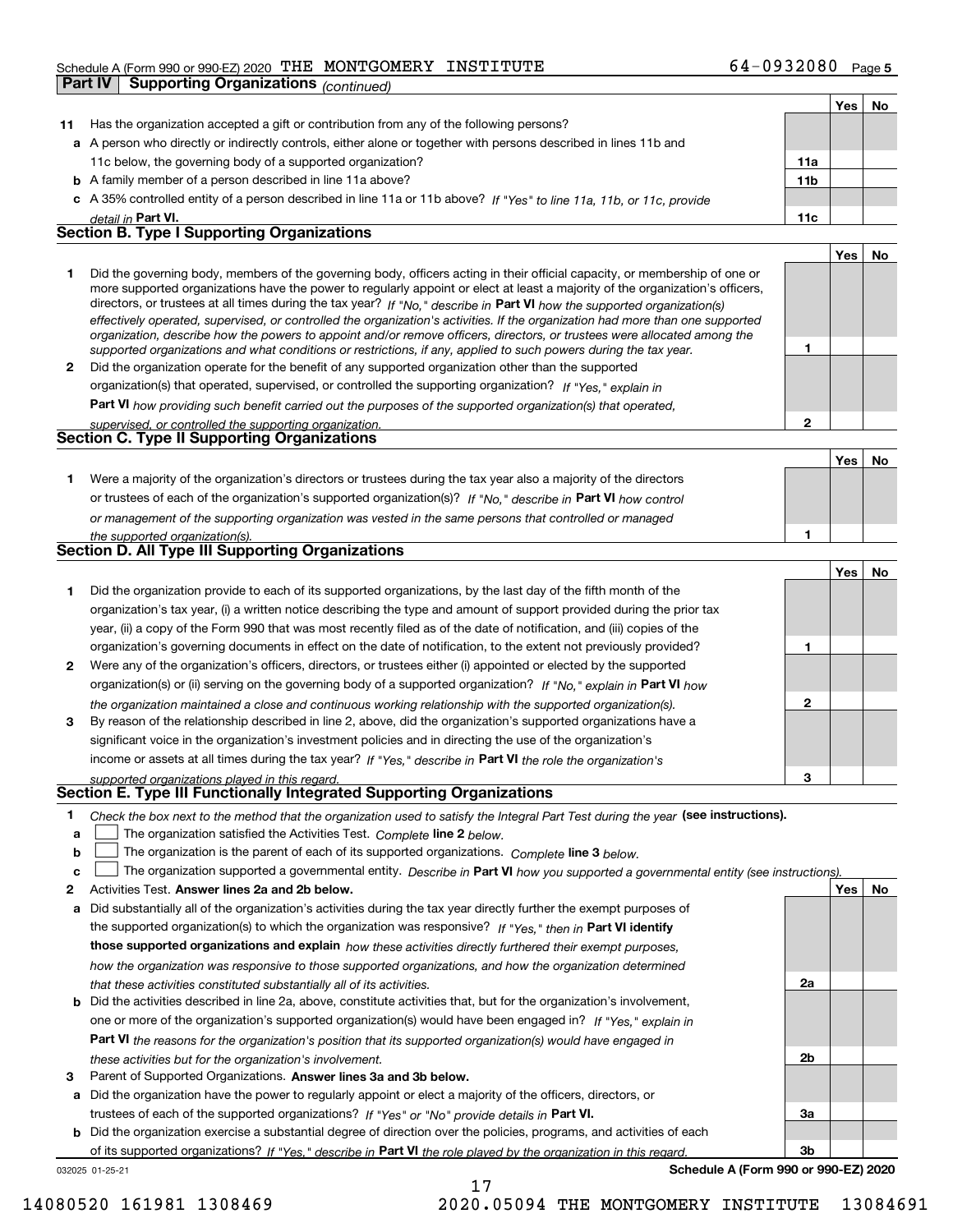|              | <b>Supporting Organizations (continued)</b><br>Part IV                                                                                                                                                                                                                                                                                                                                                                                                                                                                                                                                                                                               |              |     |    |
|--------------|------------------------------------------------------------------------------------------------------------------------------------------------------------------------------------------------------------------------------------------------------------------------------------------------------------------------------------------------------------------------------------------------------------------------------------------------------------------------------------------------------------------------------------------------------------------------------------------------------------------------------------------------------|--------------|-----|----|
|              |                                                                                                                                                                                                                                                                                                                                                                                                                                                                                                                                                                                                                                                      |              | Yes | No |
| 11           | Has the organization accepted a gift or contribution from any of the following persons?                                                                                                                                                                                                                                                                                                                                                                                                                                                                                                                                                              |              |     |    |
|              | a A person who directly or indirectly controls, either alone or together with persons described in lines 11b and                                                                                                                                                                                                                                                                                                                                                                                                                                                                                                                                     |              |     |    |
|              | 11c below, the governing body of a supported organization?                                                                                                                                                                                                                                                                                                                                                                                                                                                                                                                                                                                           | 11a          |     |    |
|              | <b>b</b> A family member of a person described in line 11a above?                                                                                                                                                                                                                                                                                                                                                                                                                                                                                                                                                                                    | 11b          |     |    |
| с            | A 35% controlled entity of a person described in line 11a or 11b above? If "Yes" to line 11a, 11b, or 11c, provide                                                                                                                                                                                                                                                                                                                                                                                                                                                                                                                                   |              |     |    |
|              | detail in Part VI.                                                                                                                                                                                                                                                                                                                                                                                                                                                                                                                                                                                                                                   | 11c          |     |    |
|              | <b>Section B. Type I Supporting Organizations</b>                                                                                                                                                                                                                                                                                                                                                                                                                                                                                                                                                                                                    |              |     |    |
|              |                                                                                                                                                                                                                                                                                                                                                                                                                                                                                                                                                                                                                                                      |              | Yes | No |
| 1.           | Did the governing body, members of the governing body, officers acting in their official capacity, or membership of one or<br>more supported organizations have the power to regularly appoint or elect at least a majority of the organization's officers,<br>directors, or trustees at all times during the tax year? If "No," describe in Part VI how the supported organization(s)<br>effectively operated, supervised, or controlled the organization's activities. If the organization had more than one supported<br>organization, describe how the powers to appoint and/or remove officers, directors, or trustees were allocated among the |              |     |    |
|              | supported organizations and what conditions or restrictions, if any, applied to such powers during the tax year.                                                                                                                                                                                                                                                                                                                                                                                                                                                                                                                                     | 1            |     |    |
| 2            | Did the organization operate for the benefit of any supported organization other than the supported                                                                                                                                                                                                                                                                                                                                                                                                                                                                                                                                                  |              |     |    |
|              | organization(s) that operated, supervised, or controlled the supporting organization? If "Yes," explain in                                                                                                                                                                                                                                                                                                                                                                                                                                                                                                                                           |              |     |    |
|              | Part VI how providing such benefit carried out the purposes of the supported organization(s) that operated,                                                                                                                                                                                                                                                                                                                                                                                                                                                                                                                                          |              |     |    |
|              | supervised, or controlled the supporting organization.                                                                                                                                                                                                                                                                                                                                                                                                                                                                                                                                                                                               | $\mathbf{2}$ |     |    |
|              | Section C. Type II Supporting Organizations                                                                                                                                                                                                                                                                                                                                                                                                                                                                                                                                                                                                          |              |     |    |
|              |                                                                                                                                                                                                                                                                                                                                                                                                                                                                                                                                                                                                                                                      |              | Yes | No |
| 1.           | Were a majority of the organization's directors or trustees during the tax year also a majority of the directors                                                                                                                                                                                                                                                                                                                                                                                                                                                                                                                                     |              |     |    |
|              | or trustees of each of the organization's supported organization(s)? If "No." describe in Part VI how control                                                                                                                                                                                                                                                                                                                                                                                                                                                                                                                                        |              |     |    |
|              | or management of the supporting organization was vested in the same persons that controlled or managed                                                                                                                                                                                                                                                                                                                                                                                                                                                                                                                                               |              |     |    |
|              | the supported organization(s).                                                                                                                                                                                                                                                                                                                                                                                                                                                                                                                                                                                                                       | 1            |     |    |
|              | Section D. All Type III Supporting Organizations                                                                                                                                                                                                                                                                                                                                                                                                                                                                                                                                                                                                     |              |     |    |
|              |                                                                                                                                                                                                                                                                                                                                                                                                                                                                                                                                                                                                                                                      |              | Yes | No |
| 1.           | Did the organization provide to each of its supported organizations, by the last day of the fifth month of the                                                                                                                                                                                                                                                                                                                                                                                                                                                                                                                                       |              |     |    |
|              | organization's tax year, (i) a written notice describing the type and amount of support provided during the prior tax                                                                                                                                                                                                                                                                                                                                                                                                                                                                                                                                |              |     |    |
|              | year, (ii) a copy of the Form 990 that was most recently filed as of the date of notification, and (iii) copies of the                                                                                                                                                                                                                                                                                                                                                                                                                                                                                                                               |              |     |    |
|              | organization's governing documents in effect on the date of notification, to the extent not previously provided?                                                                                                                                                                                                                                                                                                                                                                                                                                                                                                                                     | 1            |     |    |
| 2            | Were any of the organization's officers, directors, or trustees either (i) appointed or elected by the supported                                                                                                                                                                                                                                                                                                                                                                                                                                                                                                                                     |              |     |    |
|              | organization(s) or (ii) serving on the governing body of a supported organization? If "No," explain in Part VI how                                                                                                                                                                                                                                                                                                                                                                                                                                                                                                                                   |              |     |    |
| 3            | the organization maintained a close and continuous working relationship with the supported organization(s).<br>By reason of the relationship described in line 2, above, did the organization's supported organizations have a                                                                                                                                                                                                                                                                                                                                                                                                                       | $\mathbf 2$  |     |    |
|              | significant voice in the organization's investment policies and in directing the use of the organization's                                                                                                                                                                                                                                                                                                                                                                                                                                                                                                                                           |              |     |    |
|              | income or assets at all times during the tax year? If "Yes," describe in Part VI the role the organization's                                                                                                                                                                                                                                                                                                                                                                                                                                                                                                                                         |              |     |    |
|              | supported organizations played in this regard.                                                                                                                                                                                                                                                                                                                                                                                                                                                                                                                                                                                                       | 3            |     |    |
|              | Section E. Type III Functionally Integrated Supporting Organizations                                                                                                                                                                                                                                                                                                                                                                                                                                                                                                                                                                                 |              |     |    |
| 1.<br>a<br>b | Check the box next to the method that the organization used to satisfy the Integral Part Test during the year (see instructions).<br>The organization satisfied the Activities Test. Complete line 2 below.<br>The organization is the parent of each of its supported organizations. Complete line 3 below.                                                                                                                                                                                                                                                                                                                                         |              |     |    |
| c            | The organization supported a governmental entity. Describe in Part VI how you supported a governmental entity (see instructions)                                                                                                                                                                                                                                                                                                                                                                                                                                                                                                                     |              |     |    |
| 2            | Activities Test. Answer lines 2a and 2b below.<br>Did substantially all of the organization's activities during the tax year directly further the exempt purposes of                                                                                                                                                                                                                                                                                                                                                                                                                                                                                 |              | Yes | No |
| а            | the supported organization(s) to which the organization was responsive? If "Yes." then in Part VI identify                                                                                                                                                                                                                                                                                                                                                                                                                                                                                                                                           |              |     |    |

| those supported organizations and explain how these activities directly furthered their exempt purposes,                     |
|------------------------------------------------------------------------------------------------------------------------------|
| how the organization was responsive to those supported organizations, and how the organization determined                    |
| that these activities constituted substantially all of its activities.                                                       |
| <b>b</b> Did the activities described in line 2a, above, constitute activities that, but for the organization's involvement, |
| one or more of the organization's supported organization(s) would have been engaged in? If "Yes," explain in                 |

**Part VI**  *the reasons for the organization's position that its supported organization(s) would have engaged in*

17

**a** Did the organization have the power to regularly appoint or elect a majority of the officers, directors, or

trustees of each of the supported organizations? If "Yes" or "No" provide details in P**art VI.** 

# **b** Did the organization exercise a substantial degree of direction over the policies, programs, and activities of each **2a 2b 3a**

032025 01-25-21 of its supported organizations? If "Yes," describe in Part VI the role played by the organization in this regard.

**3** Parent of Supported Organizations. Answer lines 3a and 3b below.

*these activities but for the organization's involvement.*

**Schedule A (Form 990 or 990-EZ) 2020**

**3b**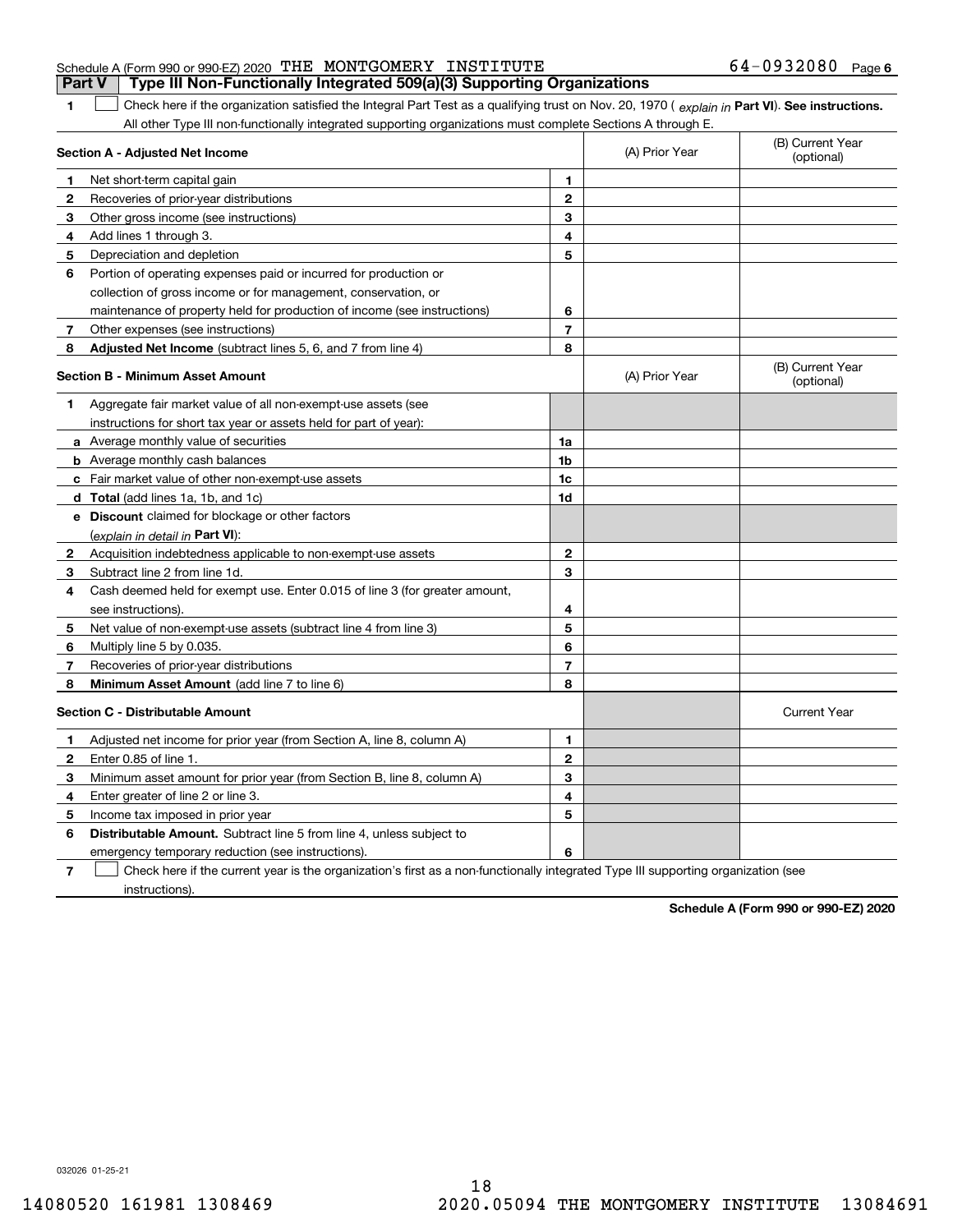|                                                               |  | <b>Part V</b> Type III Non-Functionally Integrated 509(a)(3) Supporting Organizations |                     |  |
|---------------------------------------------------------------|--|---------------------------------------------------------------------------------------|---------------------|--|
| Schedule A (Form 990 or 990-EZ) 2020 THE MONTGOMERY INSTITUTE |  |                                                                                       | $64-0932080$ Page 6 |  |

1 Check here if the organization satisfied the Integral Part Test as a qualifying trust on Nov. 20, 1970 (explain in Part VI). See instructions. All other Type III non-functionally integrated supporting organizations must complete Sections A through E.

|    | Section A - Adjusted Net Income                                             |                | (A) Prior Year | (B) Current Year<br>(optional) |
|----|-----------------------------------------------------------------------------|----------------|----------------|--------------------------------|
| 1. | Net short-term capital gain                                                 | 1              |                |                                |
| 2  | Recoveries of prior-year distributions                                      | $\overline{2}$ |                |                                |
| 3  | Other gross income (see instructions)                                       | 3              |                |                                |
| 4  | Add lines 1 through 3.                                                      | 4              |                |                                |
| 5  | Depreciation and depletion                                                  | 5              |                |                                |
| 6  | Portion of operating expenses paid or incurred for production or            |                |                |                                |
|    | collection of gross income or for management, conservation, or              |                |                |                                |
|    | maintenance of property held for production of income (see instructions)    | 6              |                |                                |
| 7  | Other expenses (see instructions)                                           | $\overline{7}$ |                |                                |
| 8  | Adjusted Net Income (subtract lines 5, 6, and 7 from line 4)                | 8              |                |                                |
|    | <b>Section B - Minimum Asset Amount</b>                                     |                | (A) Prior Year | (B) Current Year<br>(optional) |
| 1  | Aggregate fair market value of all non-exempt-use assets (see               |                |                |                                |
|    | instructions for short tax year or assets held for part of year):           |                |                |                                |
|    | a Average monthly value of securities                                       | 1a             |                |                                |
|    | <b>b</b> Average monthly cash balances                                      | 1b             |                |                                |
|    | c Fair market value of other non-exempt-use assets                          | 1c             |                |                                |
|    | d Total (add lines 1a, 1b, and 1c)                                          | 1d             |                |                                |
|    | <b>e</b> Discount claimed for blockage or other factors                     |                |                |                                |
|    | (explain in detail in Part VI):                                             |                |                |                                |
| 2  | Acquisition indebtedness applicable to non-exempt-use assets                | $\mathbf{2}$   |                |                                |
| З  | Subtract line 2 from line 1d.                                               | 3              |                |                                |
| 4  | Cash deemed held for exempt use. Enter 0.015 of line 3 (for greater amount, |                |                |                                |
|    | see instructions).                                                          | 4              |                |                                |
| 5  | Net value of non-exempt-use assets (subtract line 4 from line 3)            | 5              |                |                                |
| 6  | Multiply line 5 by 0.035.                                                   | 6              |                |                                |
| 7  | Recoveries of prior-year distributions                                      | 7              |                |                                |
| 8  | Minimum Asset Amount (add line 7 to line 6)                                 | 8              |                |                                |
|    | <b>Section C - Distributable Amount</b>                                     |                |                | <b>Current Year</b>            |
| 1  | Adjusted net income for prior year (from Section A, line 8, column A)       | 1              |                |                                |
| 2  | Enter 0.85 of line 1                                                        | $\mathbf{2}$   |                |                                |
| з  | Minimum asset amount for prior year (from Section B, line 8, column A)      | 3              |                |                                |
| 4  | Enter greater of line 2 or line 3.                                          | 4              |                |                                |
| 5  | Income tax imposed in prior year                                            | 5              |                |                                |
| 6  | <b>Distributable Amount.</b> Subtract line 5 from line 4, unless subject to |                |                |                                |
|    | emergency temporary reduction (see instructions).                           | 6              |                |                                |
|    |                                                                             |                |                |                                |

**7**Check here if the current year is the organization's first as a non-functionally integrated Type III supporting organization (see instructions).

**Schedule A (Form 990 or 990-EZ) 2020**

032026 01-25-21

**1**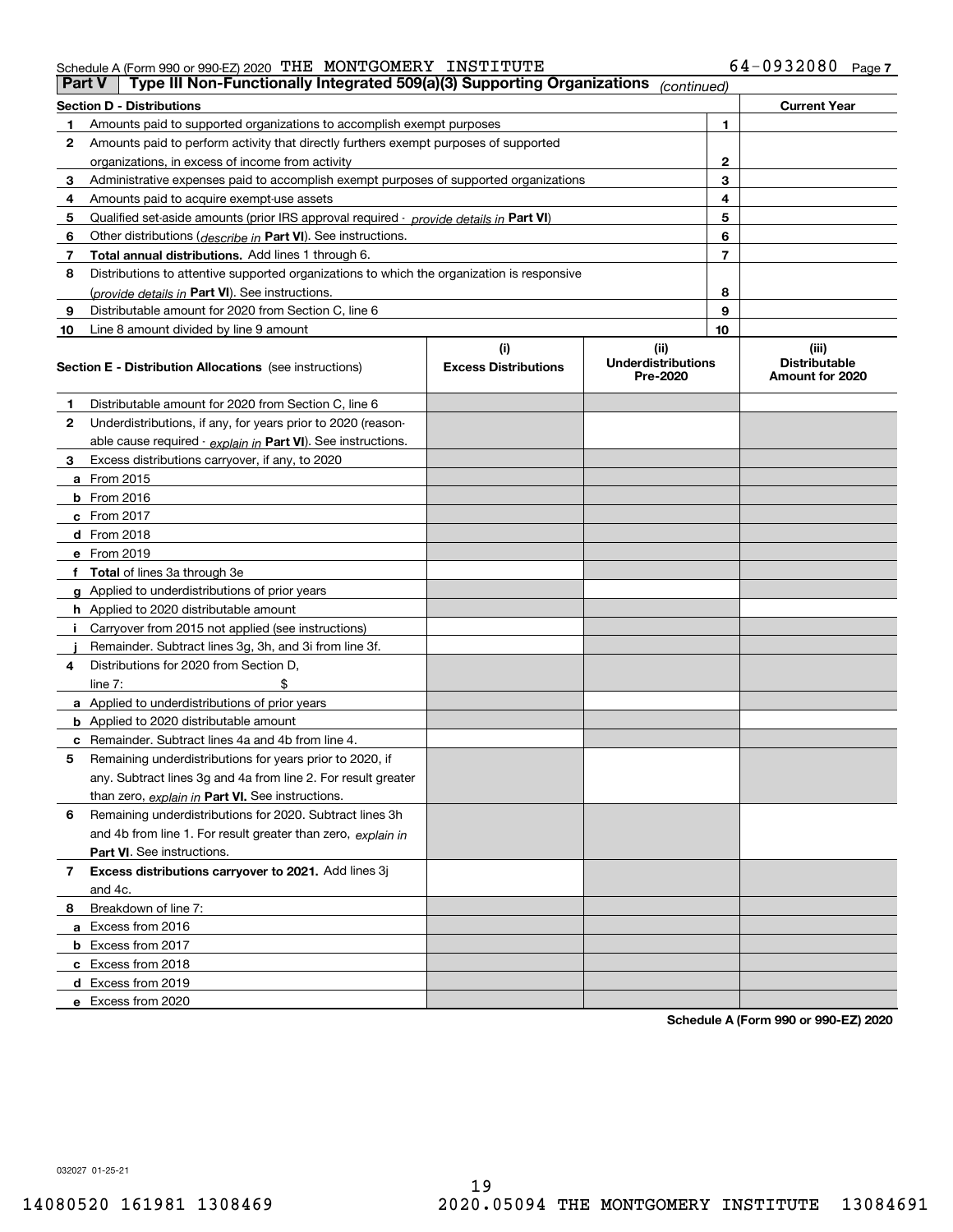| Part V | Type III Non-Functionally Integrated 509(a)(3) Supporting Organizations                    |                             | (continued)                           |   |                                         |
|--------|--------------------------------------------------------------------------------------------|-----------------------------|---------------------------------------|---|-----------------------------------------|
|        | <b>Section D - Distributions</b>                                                           |                             |                                       |   | <b>Current Year</b>                     |
| 1      | Amounts paid to supported organizations to accomplish exempt purposes                      |                             | 1                                     |   |                                         |
| 2      | Amounts paid to perform activity that directly furthers exempt purposes of supported       |                             |                                       |   |                                         |
|        | organizations, in excess of income from activity                                           |                             | $\mathbf 2$                           |   |                                         |
| 3      | Administrative expenses paid to accomplish exempt purposes of supported organizations      |                             | 3                                     |   |                                         |
| 4      | Amounts paid to acquire exempt-use assets                                                  |                             | 4                                     |   |                                         |
| 5      | Qualified set-aside amounts (prior IRS approval required - provide details in Part VI)     |                             | 5                                     |   |                                         |
| 6      | Other distributions ( <i>describe in</i> Part VI). See instructions.                       |                             | 6                                     |   |                                         |
| 7      | Total annual distributions. Add lines 1 through 6.                                         |                             | 7                                     |   |                                         |
| 8      | Distributions to attentive supported organizations to which the organization is responsive |                             |                                       |   |                                         |
|        | (provide details in Part VI). See instructions.                                            |                             |                                       | 8 |                                         |
| 9      | Distributable amount for 2020 from Section C, line 6                                       |                             | 9                                     |   |                                         |
| 10     | Line 8 amount divided by line 9 amount                                                     |                             | 10                                    |   |                                         |
|        |                                                                                            | (i)                         | (ii)                                  |   | (iii)                                   |
|        | <b>Section E - Distribution Allocations</b> (see instructions)                             | <b>Excess Distributions</b> | <b>Underdistributions</b><br>Pre-2020 |   | <b>Distributable</b><br>Amount for 2020 |
| 1      | Distributable amount for 2020 from Section C, line 6                                       |                             |                                       |   |                                         |
| 2      | Underdistributions, if any, for years prior to 2020 (reason-                               |                             |                                       |   |                                         |
|        | able cause required $\cdot$ explain in Part VI). See instructions.                         |                             |                                       |   |                                         |
| 3      | Excess distributions carryover, if any, to 2020                                            |                             |                                       |   |                                         |
|        | <b>a</b> From 2015                                                                         |                             |                                       |   |                                         |
|        | <b>b</b> From 2016                                                                         |                             |                                       |   |                                         |
|        | $c$ From 2017                                                                              |                             |                                       |   |                                         |
|        | d From 2018                                                                                |                             |                                       |   |                                         |
|        | e From 2019                                                                                |                             |                                       |   |                                         |
|        | f Total of lines 3a through 3e                                                             |                             |                                       |   |                                         |
|        | g Applied to underdistributions of prior years                                             |                             |                                       |   |                                         |
|        | <b>h</b> Applied to 2020 distributable amount                                              |                             |                                       |   |                                         |
|        | Carryover from 2015 not applied (see instructions)                                         |                             |                                       |   |                                         |
|        | Remainder. Subtract lines 3g, 3h, and 3i from line 3f.                                     |                             |                                       |   |                                         |
| 4      | Distributions for 2020 from Section D,                                                     |                             |                                       |   |                                         |
|        | line $7:$                                                                                  |                             |                                       |   |                                         |
|        | a Applied to underdistributions of prior years                                             |                             |                                       |   |                                         |
|        | <b>b</b> Applied to 2020 distributable amount                                              |                             |                                       |   |                                         |
|        | <b>c</b> Remainder. Subtract lines 4a and 4b from line 4.                                  |                             |                                       |   |                                         |
| 5      | Remaining underdistributions for years prior to 2020, if                                   |                             |                                       |   |                                         |
|        | any. Subtract lines 3g and 4a from line 2. For result greater                              |                             |                                       |   |                                         |
|        | than zero, explain in Part VI. See instructions.                                           |                             |                                       |   |                                         |
| 6      | Remaining underdistributions for 2020. Subtract lines 3h                                   |                             |                                       |   |                                         |
|        | and 4b from line 1. For result greater than zero, explain in                               |                             |                                       |   |                                         |
|        | Part VI. See instructions.                                                                 |                             |                                       |   |                                         |
| 7      | Excess distributions carryover to 2021. Add lines 3j                                       |                             |                                       |   |                                         |
|        | and 4c.                                                                                    |                             |                                       |   |                                         |
| 8      | Breakdown of line 7:                                                                       |                             |                                       |   |                                         |
|        | a Excess from 2016                                                                         |                             |                                       |   |                                         |
|        | <b>b</b> Excess from 2017                                                                  |                             |                                       |   |                                         |
|        | c Excess from 2018                                                                         |                             |                                       |   |                                         |
|        | d Excess from 2019                                                                         |                             |                                       |   |                                         |
|        | e Excess from 2020                                                                         |                             |                                       |   |                                         |

**Schedule A (Form 990 or 990-EZ) 2020**

032027 01-25-21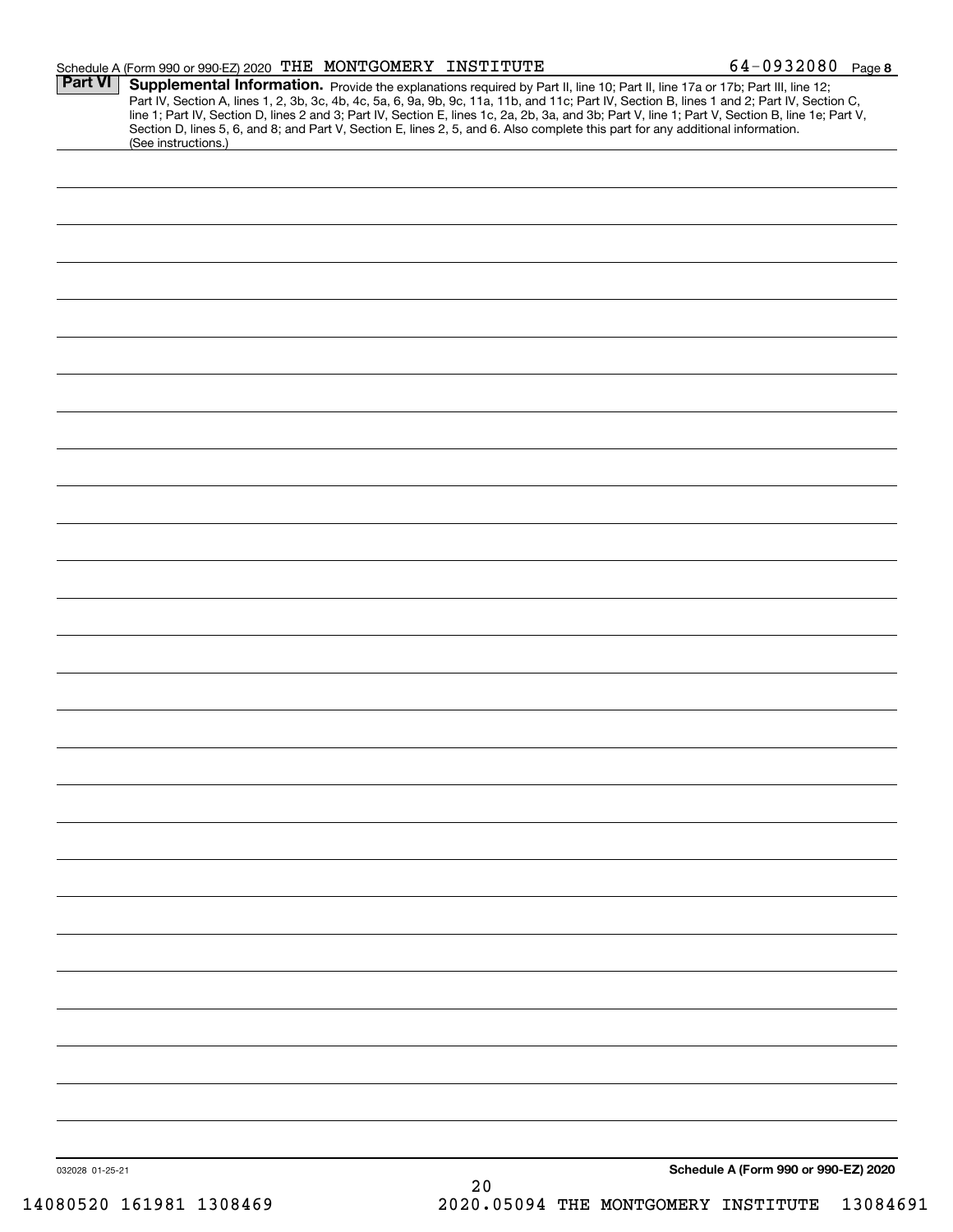|                 | Schedule A (Form 990 or 990-EZ) 2020 THE MONTGOMERY INSTITUTE                                                                                                                                                                                                                                                                                                                                                                                                                                                                 | $64 - 0932080$ Page 8                |
|-----------------|-------------------------------------------------------------------------------------------------------------------------------------------------------------------------------------------------------------------------------------------------------------------------------------------------------------------------------------------------------------------------------------------------------------------------------------------------------------------------------------------------------------------------------|--------------------------------------|
| <b>Part VI</b>  | <b>Supplemental Information.</b> Provide the explanations required by Part II, line 10; Part II, line 17a or 17b; Part III, line 12;<br>Part IV, Section A, lines 1, 2, 3b, 3c, 4b, 4c, 5a, 6, 9a, 9b, 9c, 11a, 11b, and 11c; Part IV,<br>line 1; Part IV, Section D, lines 2 and 3; Part IV, Section E, lines 1c, 2a, 2b, 3a, and 3b; Part V, line 1; Part V, Section B, line 1e; Part V,<br>Section D, lines 5, 6, and 8; and Part V, Section E, lines 2, 5, and 6. Also complete this part for any additional information. |                                      |
|                 | (See instructions.)                                                                                                                                                                                                                                                                                                                                                                                                                                                                                                           |                                      |
|                 |                                                                                                                                                                                                                                                                                                                                                                                                                                                                                                                               |                                      |
|                 |                                                                                                                                                                                                                                                                                                                                                                                                                                                                                                                               |                                      |
|                 |                                                                                                                                                                                                                                                                                                                                                                                                                                                                                                                               |                                      |
|                 |                                                                                                                                                                                                                                                                                                                                                                                                                                                                                                                               |                                      |
|                 |                                                                                                                                                                                                                                                                                                                                                                                                                                                                                                                               |                                      |
|                 |                                                                                                                                                                                                                                                                                                                                                                                                                                                                                                                               |                                      |
|                 |                                                                                                                                                                                                                                                                                                                                                                                                                                                                                                                               |                                      |
|                 |                                                                                                                                                                                                                                                                                                                                                                                                                                                                                                                               |                                      |
|                 |                                                                                                                                                                                                                                                                                                                                                                                                                                                                                                                               |                                      |
|                 |                                                                                                                                                                                                                                                                                                                                                                                                                                                                                                                               |                                      |
|                 |                                                                                                                                                                                                                                                                                                                                                                                                                                                                                                                               |                                      |
|                 |                                                                                                                                                                                                                                                                                                                                                                                                                                                                                                                               |                                      |
|                 |                                                                                                                                                                                                                                                                                                                                                                                                                                                                                                                               |                                      |
|                 |                                                                                                                                                                                                                                                                                                                                                                                                                                                                                                                               |                                      |
|                 |                                                                                                                                                                                                                                                                                                                                                                                                                                                                                                                               |                                      |
|                 |                                                                                                                                                                                                                                                                                                                                                                                                                                                                                                                               |                                      |
|                 |                                                                                                                                                                                                                                                                                                                                                                                                                                                                                                                               |                                      |
|                 |                                                                                                                                                                                                                                                                                                                                                                                                                                                                                                                               |                                      |
|                 |                                                                                                                                                                                                                                                                                                                                                                                                                                                                                                                               |                                      |
|                 |                                                                                                                                                                                                                                                                                                                                                                                                                                                                                                                               |                                      |
|                 |                                                                                                                                                                                                                                                                                                                                                                                                                                                                                                                               |                                      |
|                 |                                                                                                                                                                                                                                                                                                                                                                                                                                                                                                                               |                                      |
|                 |                                                                                                                                                                                                                                                                                                                                                                                                                                                                                                                               |                                      |
|                 |                                                                                                                                                                                                                                                                                                                                                                                                                                                                                                                               |                                      |
|                 |                                                                                                                                                                                                                                                                                                                                                                                                                                                                                                                               |                                      |
|                 |                                                                                                                                                                                                                                                                                                                                                                                                                                                                                                                               |                                      |
|                 |                                                                                                                                                                                                                                                                                                                                                                                                                                                                                                                               |                                      |
|                 |                                                                                                                                                                                                                                                                                                                                                                                                                                                                                                                               |                                      |
|                 |                                                                                                                                                                                                                                                                                                                                                                                                                                                                                                                               |                                      |
|                 |                                                                                                                                                                                                                                                                                                                                                                                                                                                                                                                               |                                      |
|                 |                                                                                                                                                                                                                                                                                                                                                                                                                                                                                                                               |                                      |
|                 |                                                                                                                                                                                                                                                                                                                                                                                                                                                                                                                               |                                      |
|                 |                                                                                                                                                                                                                                                                                                                                                                                                                                                                                                                               |                                      |
|                 |                                                                                                                                                                                                                                                                                                                                                                                                                                                                                                                               |                                      |
| 032028 01-25-21 |                                                                                                                                                                                                                                                                                                                                                                                                                                                                                                                               | Schedule A (Form 990 or 990-EZ) 2020 |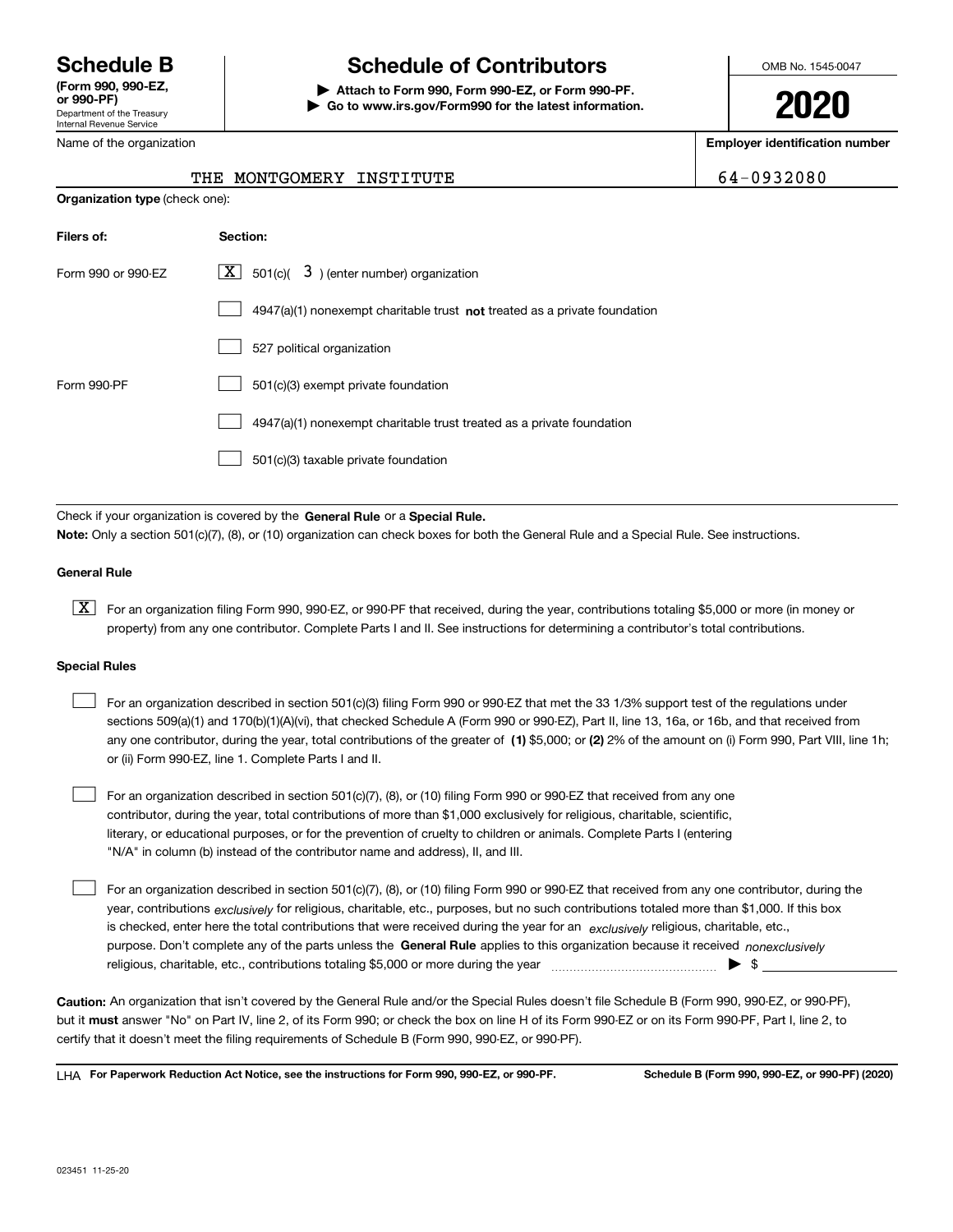Department of the Treasury Internal Revenue Service **(Form 990, 990-EZ, or 990-PF)**

Name of the organization

# **Schedule B Schedule of Contributors**

**| Attach to Form 990, Form 990-EZ, or Form 990-PF. | Go to www.irs.gov/Form990 for the latest information.** OMB No. 1545-0047

**2020**

**Employer identification number**

| 4-0932080 |  |
|-----------|--|
|-----------|--|

| THE MONTGOMERY INSTITUTE | 64-0932080 |
|--------------------------|------------|
|--------------------------|------------|

| <b>Organization type (check one):</b> |                                                                                    |
|---------------------------------------|------------------------------------------------------------------------------------|
| Filers of:                            | Section:                                                                           |
| Form 990 or 990-EZ                    | $\boxed{\mathbf{X}}$ 501(c)( 3) (enter number) organization                        |
|                                       | $4947(a)(1)$ nonexempt charitable trust <b>not</b> treated as a private foundation |
|                                       | 527 political organization                                                         |
| Form 990-PF                           | 501(c)(3) exempt private foundation                                                |
|                                       | 4947(a)(1) nonexempt charitable trust treated as a private foundation              |
|                                       | 501(c)(3) taxable private foundation                                               |

Check if your organization is covered by the **General Rule** or a **Special Rule. Note:**  Only a section 501(c)(7), (8), or (10) organization can check boxes for both the General Rule and a Special Rule. See instructions.

## **General Rule**

 $\boxed{\textbf{X}}$  For an organization filing Form 990, 990-EZ, or 990-PF that received, during the year, contributions totaling \$5,000 or more (in money or property) from any one contributor. Complete Parts I and II. See instructions for determining a contributor's total contributions.

### **Special Rules**

| For an organization described in section 501(c)(3) filing Form 990 or 990-EZ that met the 33 1/3% support test of the regulations under               |
|-------------------------------------------------------------------------------------------------------------------------------------------------------|
| sections 509(a)(1) and 170(b)(1)(A)(vi), that checked Schedule A (Form 990 or 990-EZ), Part II, line 13, 16a, or 16b, and that received from          |
| any one contributor, during the year, total contributions of the greater of (1) \$5,000; or (2) 2% of the amount on (i) Form 990, Part VIII, line 1h; |
| or (ii) Form 990-EZ, line 1. Complete Parts I and II.                                                                                                 |

For an organization described in section 501(c)(7), (8), or (10) filing Form 990 or 990-EZ that received from any one contributor, during the year, total contributions of more than \$1,000 exclusively for religious, charitable, scientific, literary, or educational purposes, or for the prevention of cruelty to children or animals. Complete Parts I (entering "N/A" in column (b) instead of the contributor name and address), II, and III.  $\mathcal{L}^{\text{max}}$ 

purpose. Don't complete any of the parts unless the **General Rule** applies to this organization because it received *nonexclusively* year, contributions <sub>exclusively</sub> for religious, charitable, etc., purposes, but no such contributions totaled more than \$1,000. If this box is checked, enter here the total contributions that were received during the year for an  $\;$ exclusively religious, charitable, etc., For an organization described in section 501(c)(7), (8), or (10) filing Form 990 or 990-EZ that received from any one contributor, during the religious, charitable, etc., contributions totaling \$5,000 or more during the year  $\Box$ — $\Box$   $\Box$  $\mathcal{L}^{\text{max}}$ 

**Caution:**  An organization that isn't covered by the General Rule and/or the Special Rules doesn't file Schedule B (Form 990, 990-EZ, or 990-PF),  **must** but it answer "No" on Part IV, line 2, of its Form 990; or check the box on line H of its Form 990-EZ or on its Form 990-PF, Part I, line 2, to certify that it doesn't meet the filing requirements of Schedule B (Form 990, 990-EZ, or 990-PF).

**For Paperwork Reduction Act Notice, see the instructions for Form 990, 990-EZ, or 990-PF. Schedule B (Form 990, 990-EZ, or 990-PF) (2020)** LHA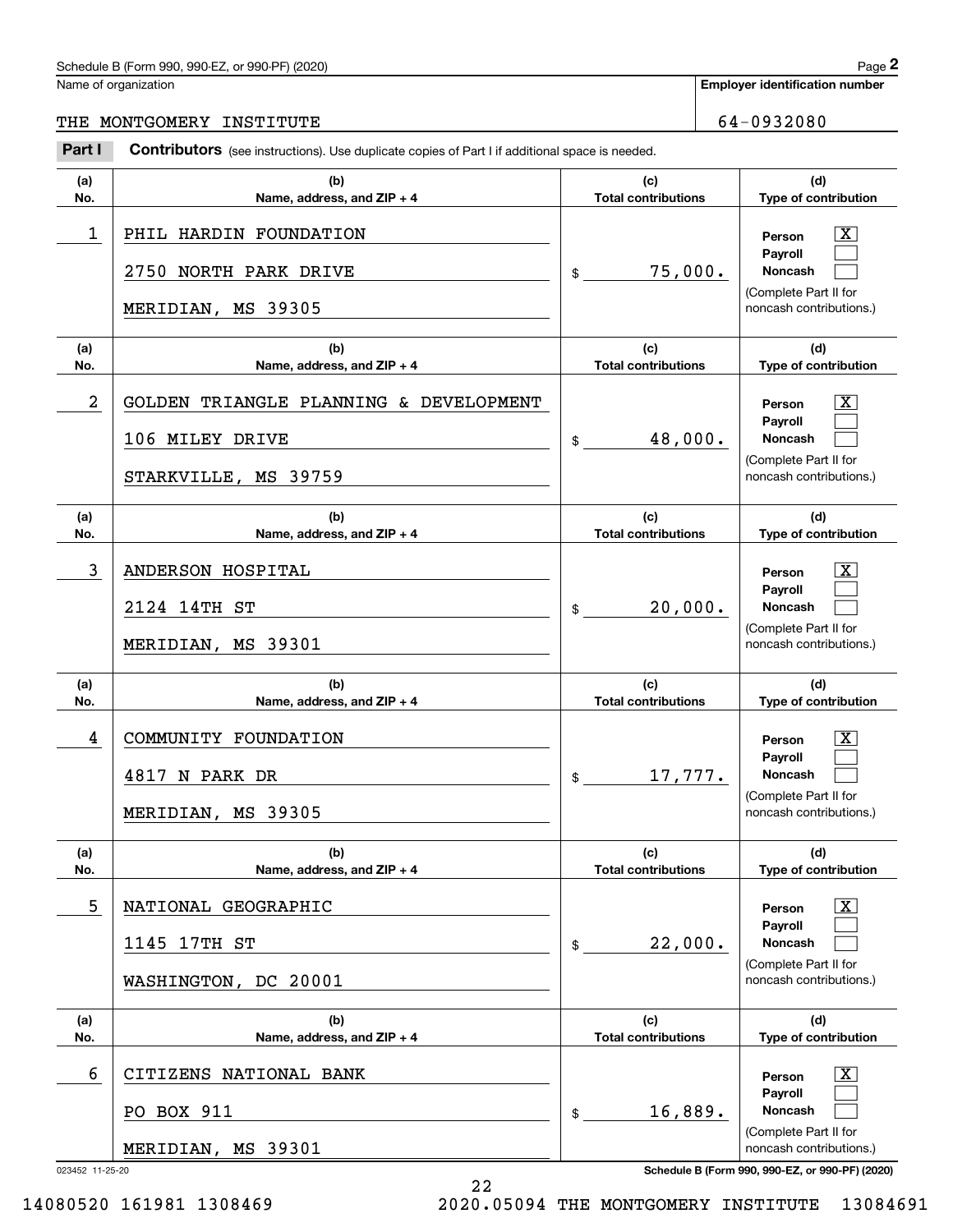# Schedule B (Form 990, 990-EZ, or 990-PF) (2020) Page 2

# THE MONTGOMERY INSTITUTE 64-0932080

|                | Schedule B (Form 990, 990-EZ, or 990-PF) (2020)                                                |                                   | Page 2                                                                                                      |
|----------------|------------------------------------------------------------------------------------------------|-----------------------------------|-------------------------------------------------------------------------------------------------------------|
|                | Name of organization                                                                           |                                   | <b>Employer identification number</b>                                                                       |
| THE            | MONTGOMERY INSTITUTE                                                                           |                                   | 64-0932080                                                                                                  |
| Part I         | Contributors (see instructions). Use duplicate copies of Part I if additional space is needed. |                                   |                                                                                                             |
| (a)<br>No.     | (b)<br>Name, address, and ZIP + 4                                                              | (c)<br><b>Total contributions</b> | (d)<br>Type of contribution                                                                                 |
| 1              | PHIL HARDIN FOUNDATION<br>2750<br>NORTH PARK DRIVE<br>MERIDIAN, MS 39305                       | 75,000.<br>\$                     | $\overline{\mathbf{X}}$<br>Person<br>Payroll<br>Noncash<br>(Complete Part II for<br>noncash contributions.) |
| (a)<br>No.     | (b)<br>Name, address, and ZIP + 4                                                              | (c)<br><b>Total contributions</b> | (d)<br>Type of contribution                                                                                 |
| $\overline{a}$ | TRIANGLE PLANNING & DEVELOPMENT<br>GOLDEN<br>106 MILEY DRIVE<br>STARKVILLE, MS 39759           | 48,000.<br>\$                     | $\overline{\text{X}}$<br>Person<br>Payroll<br>Noncash<br>(Complete Part II for<br>noncash contributions.)   |
| (a)<br>No.     | (b)<br>Name, address, and ZIP + 4                                                              | (c)<br><b>Total contributions</b> | (d)<br>Type of contribution                                                                                 |
| 3              | ANDERSON HOSPITAL<br>2124 14TH ST<br>MERIDIAN, MS 39301                                        | 20,000.<br>\$                     | $\overline{\text{X}}$<br>Person<br>Payroll<br>Noncash<br>(Complete Part II for<br>noncash contributions.)   |
| (a)<br>No.     | (b)<br>Name, address, and ZIP + 4                                                              | (c)<br><b>Total contributions</b> | (d)<br>Type of contribution                                                                                 |
| 4              | COMMUNITY FOUNDATION<br>4817 N PARK DR<br>MERIDIAN, MS 39305                                   | 17,777.<br>\$                     | $\overline{\mathbf{X}}$<br>Person<br>Payroll<br>Noncash<br>(Complete Part II for<br>noncash contributions.) |
| (a)<br>No.     | (b)<br>Name, address, and ZIP + 4                                                              | (c)<br><b>Total contributions</b> | (d)<br>Type of contribution                                                                                 |
| 5              | NATIONAL GEOGRAPHIC<br>1145 17TH ST<br>WASHINGTON, DC 20001                                    | 22,000.<br>\$                     | $\overline{\mathbf{X}}$<br>Person<br>Payroll<br>Noncash<br>(Complete Part II for<br>noncash contributions.) |
| (a)<br>No.     | (b)<br>Name, address, and $ZIP + 4$                                                            | (c)<br><b>Total contributions</b> | (d)<br>Type of contribution                                                                                 |
| 6              | CITIZENS NATIONAL BANK<br>PO BOX 911<br>MERIDIAN, MS 39301                                     | 16,889.<br>$\mathfrak s$          | $\overline{\text{X}}$<br>Person<br>Payroll<br>Noncash<br>(Complete Part II for<br>noncash contributions.)   |

22

023452 11-25-20 **Schedule B (Form 990, 990-EZ, or 990-PF) (2020)**

14080520 161981 1308469 2020.05094 THE MONTGOMERY INSTITUTE 13084691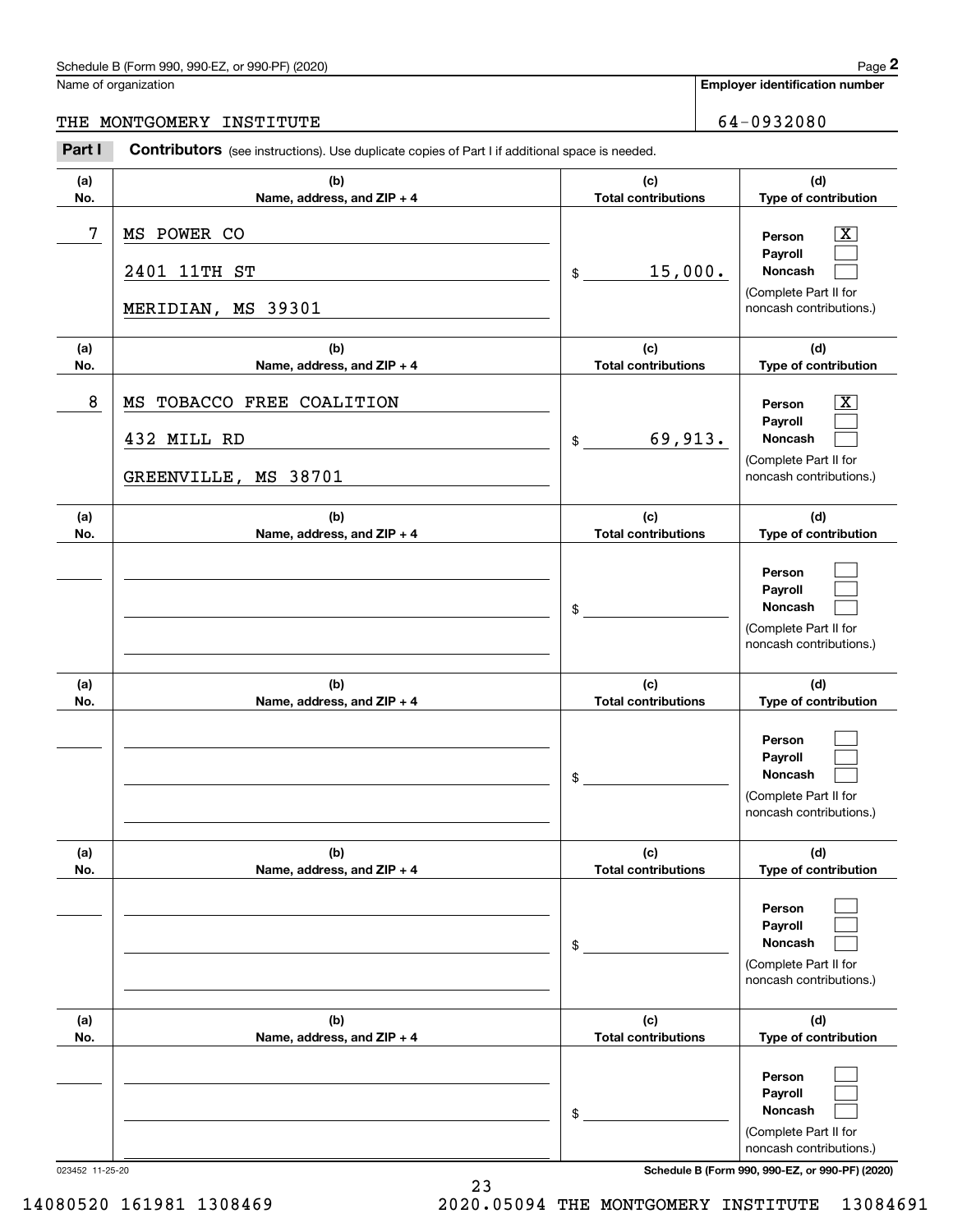# Schedule B (Form 990, 990-EZ, or 990-PF) (2020) Page 2

|  | Name of organization |
|--|----------------------|
|  |                      |

# THE MONTGOMERY INSTITUTE **FOUR SERVICE CONTROL** 64-0932080

|            | Schedule B (Form 990, 990-EZ, or 990-PF) (2020)                                                       |                                   | Page 2                                                                           |
|------------|-------------------------------------------------------------------------------------------------------|-----------------------------------|----------------------------------------------------------------------------------|
|            | Name of organization                                                                                  |                                   | <b>Employer identification number</b>                                            |
|            | THE MONTGOMERY INSTITUTE                                                                              |                                   | 64-0932080                                                                       |
| Part I     | <b>Contributors</b> (see instructions). Use duplicate copies of Part I if additional space is needed. |                                   |                                                                                  |
| (a)<br>No. | (b)<br>Name, address, and ZIP + 4                                                                     | (c)<br><b>Total contributions</b> | (d)<br>Type of contribution                                                      |
| 7          | MS POWER CO<br>2401 11TH ST                                                                           | 15,000.<br>\$                     | $\mathbf{X}$<br>Person<br>Payroll<br>Noncash                                     |
|            | MERIDIAN, MS 39301                                                                                    |                                   | (Complete Part II for<br>noncash contributions.)                                 |
| (a)<br>No. | (b)<br>Name, address, and ZIP + 4                                                                     | (c)<br><b>Total contributions</b> | (d)<br>Type of contribution                                                      |
| 8          | TOBACCO FREE COALITION<br>MS                                                                          |                                   | $\overline{\mathbf{X}}$<br>Person                                                |
|            | 432 MILL RD                                                                                           | 69,913.<br>\$                     | Payroll<br>Noncash                                                               |
|            | GREENVILLE, MS 38701                                                                                  |                                   | (Complete Part II for<br>noncash contributions.)                                 |
| (a)<br>No. | (b)<br>Name, address, and ZIP + 4                                                                     | (c)<br><b>Total contributions</b> | (d)<br>Type of contribution                                                      |
|            |                                                                                                       | \$                                | Person<br>Payroll<br>Noncash<br>(Complete Part II for<br>noncash contributions.) |
| (a)<br>No. | (b)<br>Name, address, and ZIP + 4                                                                     | (c)<br><b>Total contributions</b> | (d)<br>Type of contribution                                                      |
|            |                                                                                                       | \$                                | Person<br>Payroll<br>Noncash<br>(Complete Part II for<br>noncash contributions.) |
| (a)<br>No. | (b)<br>Name, address, and ZIP + 4                                                                     | (c)<br><b>Total contributions</b> | (d)<br>Type of contribution                                                      |
|            |                                                                                                       | \$                                | Person<br>Payroll<br>Noncash<br>(Complete Part II for<br>noncash contributions.) |
| (a)<br>No. | (b)<br>Name, address, and ZIP + 4                                                                     | (c)<br><b>Total contributions</b> | (d)<br>Type of contribution                                                      |
|            |                                                                                                       | \$                                | Person<br>Payroll<br>Noncash<br>(Complete Part II for<br>noncash contributions.) |

14080520 161981 1308469 2020.05094 THE MONTGOMERY INSTITUTE 13084691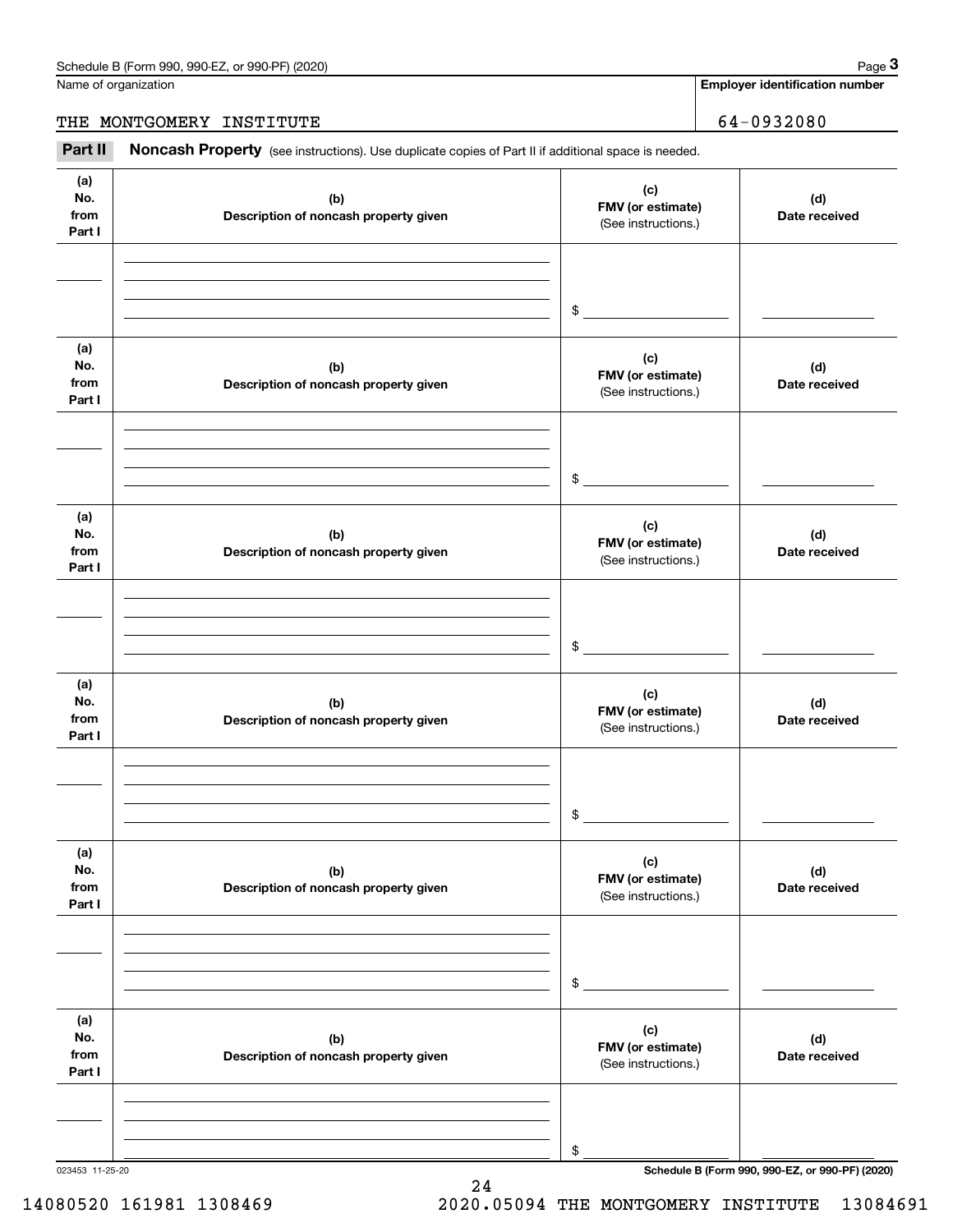Name of organization

**Employer identification number**

THE MONTGOMERY INSTITUTE 64-0932080

(see instructions). Use duplicate copies of Part II if additional space is needed.<br> **2Part II MONTGOMERY INSTITUTE**<br> **Part II Noncash Property** (see instructions). Use duplicate copies of Part II if additional space is nee

| (a)<br>No.<br>from<br>Part I | (b)<br>Description of noncash property given | (c)<br>FMV (or estimate)<br>(See instructions.) | (d)<br>Date received                            |
|------------------------------|----------------------------------------------|-------------------------------------------------|-------------------------------------------------|
|                              |                                              | $\mathfrak s$                                   |                                                 |
| (a)<br>No.<br>from<br>Part I | (b)<br>Description of noncash property given | (c)<br>FMV (or estimate)<br>(See instructions.) | (d)<br>Date received                            |
|                              |                                              | $\sim$                                          |                                                 |
| (a)<br>No.<br>from<br>Part I | (b)<br>Description of noncash property given | (c)<br>FMV (or estimate)<br>(See instructions.) | (d)<br>Date received                            |
|                              |                                              | $\mathfrak s$                                   |                                                 |
| (a)<br>No.<br>from<br>Part I | (b)<br>Description of noncash property given | (c)<br>FMV (or estimate)<br>(See instructions.) | (d)<br>Date received                            |
|                              |                                              | \$                                              |                                                 |
| (a)<br>No.<br>from<br>Part I | (b)<br>Description of noncash property given | (c)<br>FMV (or estimate)<br>(See instructions.) | (d)<br>Date received                            |
|                              |                                              | $\$$                                            |                                                 |
| (a)<br>No.<br>from<br>Part I | (b)<br>Description of noncash property given | (c)<br>FMV (or estimate)<br>(See instructions.) | (d)<br>Date received                            |
|                              |                                              | \$                                              |                                                 |
| 023453 11-25-20              |                                              |                                                 | Schedule B (Form 990, 990-EZ, or 990-PF) (2020) |

24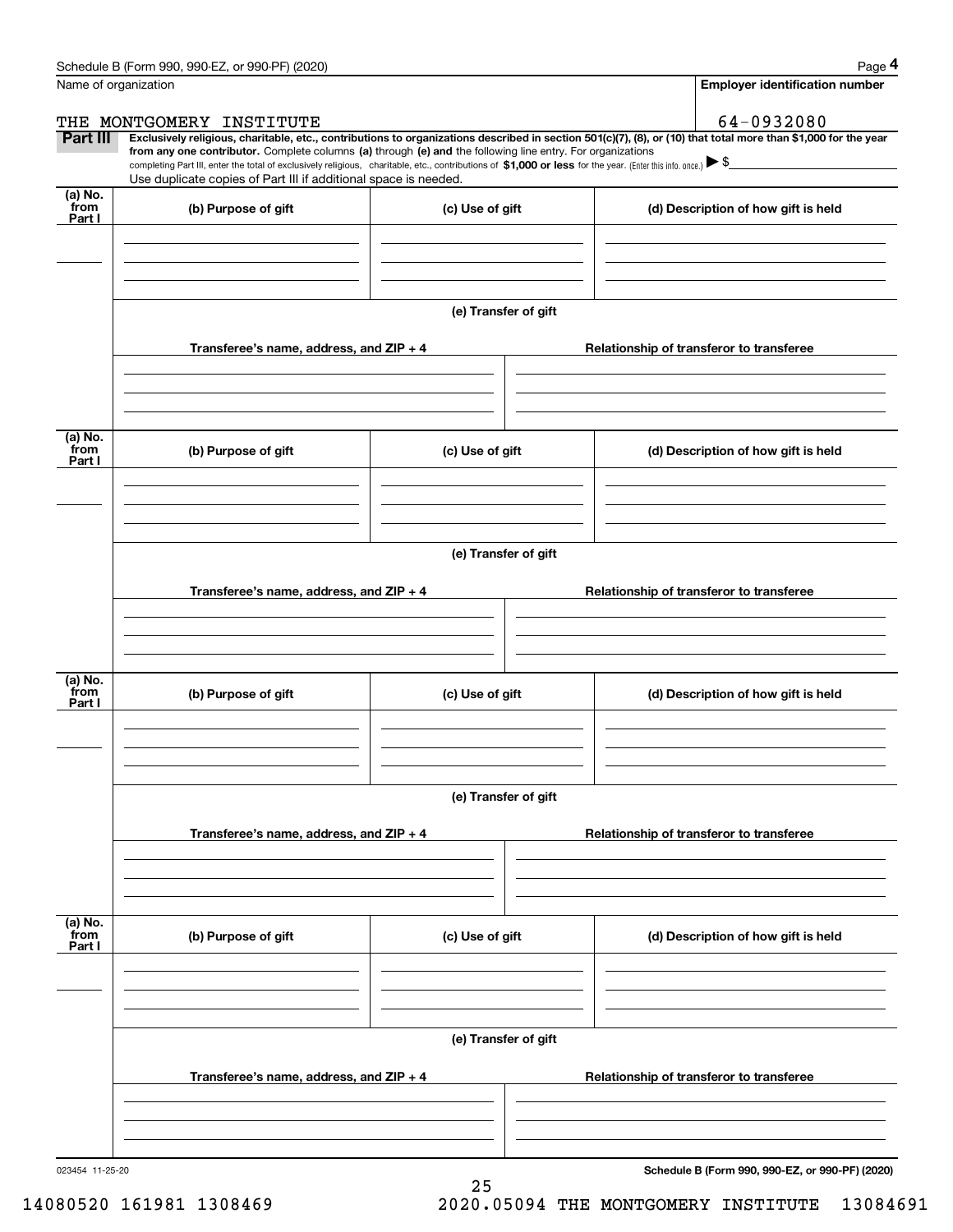|                           | Schedule B (Form 990, 990-EZ, or 990-PF) (2020)                                                                                                                                                                                                                                                                                                                    |                      | Page 4                                                                                                                                                         |
|---------------------------|--------------------------------------------------------------------------------------------------------------------------------------------------------------------------------------------------------------------------------------------------------------------------------------------------------------------------------------------------------------------|----------------------|----------------------------------------------------------------------------------------------------------------------------------------------------------------|
|                           | Name of organization                                                                                                                                                                                                                                                                                                                                               |                      | <b>Employer identification number</b>                                                                                                                          |
|                           | THE MONTGOMERY INSTITUTE                                                                                                                                                                                                                                                                                                                                           |                      | 64-0932080                                                                                                                                                     |
| Part III                  | from any one contributor. Complete columns (a) through (e) and the following line entry. For organizations<br>completing Part III, enter the total of exclusively religious, charitable, etc., contributions of \$1,000 or less for the year. (Enter this info. once.) $\blacktriangleright$ \$<br>Use duplicate copies of Part III if additional space is needed. |                      | Exclusively religious, charitable, etc., contributions to organizations described in section 501(c)(7), (8), or (10) that total more than \$1,000 for the year |
| (a) No.<br>from<br>Part I | (b) Purpose of gift                                                                                                                                                                                                                                                                                                                                                | (c) Use of gift      | (d) Description of how gift is held                                                                                                                            |
|                           |                                                                                                                                                                                                                                                                                                                                                                    |                      |                                                                                                                                                                |
|                           |                                                                                                                                                                                                                                                                                                                                                                    | (e) Transfer of gift |                                                                                                                                                                |
|                           | Transferee's name, address, and $ZIP + 4$                                                                                                                                                                                                                                                                                                                          |                      | Relationship of transferor to transferee                                                                                                                       |
| (a) No.<br>from<br>Part I | (b) Purpose of gift                                                                                                                                                                                                                                                                                                                                                | (c) Use of gift      | (d) Description of how gift is held                                                                                                                            |
|                           |                                                                                                                                                                                                                                                                                                                                                                    | (e) Transfer of gift |                                                                                                                                                                |
|                           | Transferee's name, address, and $ZIP + 4$                                                                                                                                                                                                                                                                                                                          |                      | Relationship of transferor to transferee                                                                                                                       |
| (a) No.<br>from<br>Part I | (b) Purpose of gift                                                                                                                                                                                                                                                                                                                                                | (c) Use of gift      | (d) Description of how gift is held                                                                                                                            |
|                           |                                                                                                                                                                                                                                                                                                                                                                    | (e) Transfer of gift |                                                                                                                                                                |
|                           | Transferee's name, address, and ZIP + 4                                                                                                                                                                                                                                                                                                                            |                      | Relationship of transferor to transferee                                                                                                                       |
| (a) No.<br>from<br>Part I | (b) Purpose of gift                                                                                                                                                                                                                                                                                                                                                | (c) Use of gift      | (d) Description of how gift is held                                                                                                                            |
|                           |                                                                                                                                                                                                                                                                                                                                                                    | (e) Transfer of gift |                                                                                                                                                                |
|                           | Transferee's name, address, and ZIP + 4                                                                                                                                                                                                                                                                                                                            |                      | Relationship of transferor to transferee                                                                                                                       |
|                           |                                                                                                                                                                                                                                                                                                                                                                    |                      |                                                                                                                                                                |

25

023454 11-25-20

**Schedule B (Form 990, 990-EZ, or 990-PF) (2020)**

14080520 161981 1308469 2020.05094 THE MONTGOMERY INSTITUTE 13084691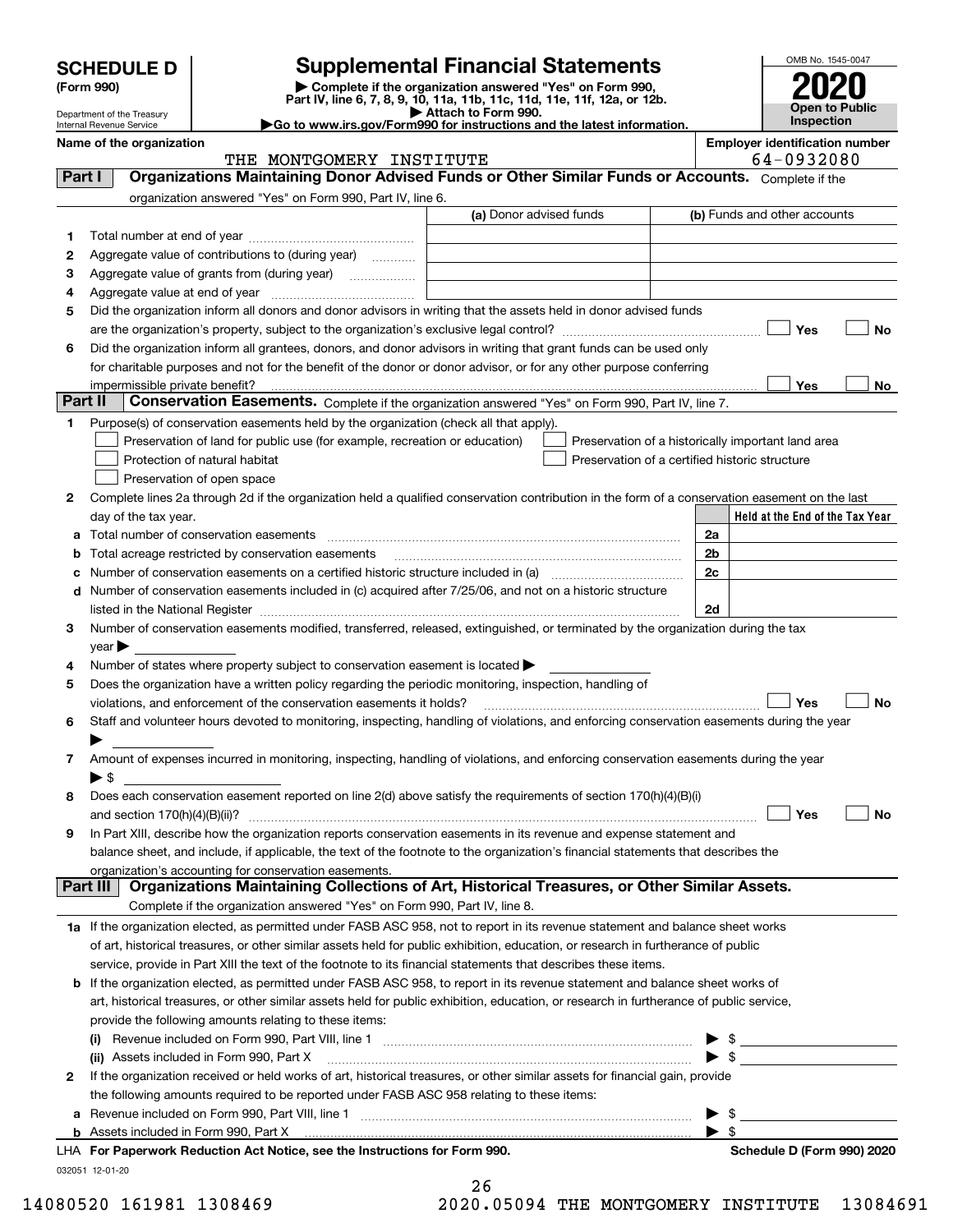| <b>SCHEDULE D</b> |  |
|-------------------|--|
|-------------------|--|

| (Form 990) |  |  |
|------------|--|--|
|------------|--|--|

# **Supplemental Financial Statements**

(Form 990)<br>
Pepartment of the Treasury<br>
Department of the Treasury<br>
Department of the Treasury<br>
Department of the Treasury<br> **Co to www.irs.gov/Form990 for instructions and the latest information.**<br> **Co to www.irs.gov/Form9** 



Department of the Treasury Internal Revenue Service

|  | Go to www.irs.gov/Form990 for instructions and the latest informa |  |  |
|--|-------------------------------------------------------------------|--|--|

|         | Name of the organization<br>THE MONTGOMERY INSTITUTE                                                                                           |                         |                                                    |                          | <b>Employer identification number</b> | 64-0932080 |                                 |
|---------|------------------------------------------------------------------------------------------------------------------------------------------------|-------------------------|----------------------------------------------------|--------------------------|---------------------------------------|------------|---------------------------------|
| Part I  | Organizations Maintaining Donor Advised Funds or Other Similar Funds or Accounts. Complete if the                                              |                         |                                                    |                          |                                       |            |                                 |
|         | organization answered "Yes" on Form 990, Part IV, line 6.                                                                                      |                         |                                                    |                          |                                       |            |                                 |
|         |                                                                                                                                                | (a) Donor advised funds |                                                    |                          | (b) Funds and other accounts          |            |                                 |
| 1       |                                                                                                                                                |                         |                                                    |                          |                                       |            |                                 |
| 2       | Aggregate value of contributions to (during year)                                                                                              |                         |                                                    |                          |                                       |            |                                 |
| з       | Aggregate value of grants from (during year)                                                                                                   |                         |                                                    |                          |                                       |            |                                 |
| 4       |                                                                                                                                                |                         |                                                    |                          |                                       |            |                                 |
| 5       | Did the organization inform all donors and donor advisors in writing that the assets held in donor advised funds                               |                         |                                                    |                          |                                       |            |                                 |
|         |                                                                                                                                                |                         |                                                    |                          |                                       | Yes        | No                              |
| 6       | Did the organization inform all grantees, donors, and donor advisors in writing that grant funds can be used only                              |                         |                                                    |                          |                                       |            |                                 |
|         | for charitable purposes and not for the benefit of the donor or donor advisor, or for any other purpose conferring                             |                         |                                                    |                          |                                       |            |                                 |
|         | impermissible private benefit?                                                                                                                 |                         |                                                    |                          |                                       | Yes        | No                              |
| Part II | Conservation Easements. Complete if the organization answered "Yes" on Form 990, Part IV, line 7.                                              |                         |                                                    |                          |                                       |            |                                 |
| 1.      | Purpose(s) of conservation easements held by the organization (check all that apply).                                                          |                         |                                                    |                          |                                       |            |                                 |
|         | Preservation of land for public use (for example, recreation or education)                                                                     |                         | Preservation of a historically important land area |                          |                                       |            |                                 |
|         | Protection of natural habitat                                                                                                                  |                         | Preservation of a certified historic structure     |                          |                                       |            |                                 |
|         | Preservation of open space                                                                                                                     |                         |                                                    |                          |                                       |            |                                 |
| 2       | Complete lines 2a through 2d if the organization held a qualified conservation contribution in the form of a conservation easement on the last |                         |                                                    |                          |                                       |            |                                 |
|         | day of the tax year.                                                                                                                           |                         |                                                    |                          |                                       |            | Held at the End of the Tax Year |
| а       |                                                                                                                                                |                         |                                                    | 2a                       |                                       |            |                                 |
| b       | Total acreage restricted by conservation easements                                                                                             |                         |                                                    | 2 <sub>b</sub>           |                                       |            |                                 |
| с       |                                                                                                                                                |                         |                                                    | 2c                       |                                       |            |                                 |
|         | d Number of conservation easements included in (c) acquired after 7/25/06, and not on a historic structure                                     |                         |                                                    |                          |                                       |            |                                 |
|         |                                                                                                                                                |                         |                                                    | 2d                       |                                       |            |                                 |
| З       | Number of conservation easements modified, transferred, released, extinguished, or terminated by the organization during the tax               |                         |                                                    |                          |                                       |            |                                 |
|         | $year \blacktriangleright$                                                                                                                     |                         |                                                    |                          |                                       |            |                                 |
| 4       | Number of states where property subject to conservation easement is located >                                                                  |                         |                                                    |                          |                                       |            |                                 |
| 5       | Does the organization have a written policy regarding the periodic monitoring, inspection, handling of                                         |                         |                                                    |                          |                                       |            |                                 |
|         | violations, and enforcement of the conservation easements it holds?                                                                            |                         |                                                    |                          |                                       | Yes        | <b>No</b>                       |
| 6       | Staff and volunteer hours devoted to monitoring, inspecting, handling of violations, and enforcing conservation easements during the year      |                         |                                                    |                          |                                       |            |                                 |
|         |                                                                                                                                                |                         |                                                    |                          |                                       |            |                                 |
| 7       | Amount of expenses incurred in monitoring, inspecting, handling of violations, and enforcing conservation easements during the year            |                         |                                                    |                          |                                       |            |                                 |
|         | $\blacktriangleright$ \$                                                                                                                       |                         |                                                    |                          |                                       |            |                                 |
| 8       | Does each conservation easement reported on line 2(d) above satisfy the requirements of section 170(h)(4)(B)(i)                                |                         |                                                    |                          |                                       |            |                                 |
|         |                                                                                                                                                |                         |                                                    |                          |                                       | Yes        | No                              |
|         | In Part XIII, describe how the organization reports conservation easements in its revenue and expense statement and                            |                         |                                                    |                          |                                       |            |                                 |
|         | balance sheet, and include, if applicable, the text of the footnote to the organization's financial statements that describes the              |                         |                                                    |                          |                                       |            |                                 |
|         | organization's accounting for conservation easements.                                                                                          |                         |                                                    |                          |                                       |            |                                 |
|         | Organizations Maintaining Collections of Art, Historical Treasures, or Other Similar Assets.<br>Part III                                       |                         |                                                    |                          |                                       |            |                                 |
|         | Complete if the organization answered "Yes" on Form 990, Part IV, line 8.                                                                      |                         |                                                    |                          |                                       |            |                                 |
|         | 1a If the organization elected, as permitted under FASB ASC 958, not to report in its revenue statement and balance sheet works                |                         |                                                    |                          |                                       |            |                                 |
|         | of art, historical treasures, or other similar assets held for public exhibition, education, or research in furtherance of public              |                         |                                                    |                          |                                       |            |                                 |
|         | service, provide in Part XIII the text of the footnote to its financial statements that describes these items.                                 |                         |                                                    |                          |                                       |            |                                 |
|         | <b>b</b> If the organization elected, as permitted under FASB ASC 958, to report in its revenue statement and balance sheet works of           |                         |                                                    |                          |                                       |            |                                 |
|         | art, historical treasures, or other similar assets held for public exhibition, education, or research in furtherance of public service,        |                         |                                                    |                          |                                       |            |                                 |
|         | provide the following amounts relating to these items:                                                                                         |                         |                                                    |                          |                                       |            |                                 |
|         | $\left( 1\right)$                                                                                                                              |                         |                                                    |                          | $\frac{1}{2}$                         |            |                                 |
|         | (ii) Assets included in Form 990, Part X                                                                                                       |                         |                                                    | $\blacktriangleright$ \$ |                                       |            |                                 |
| 2       | If the organization received or held works of art, historical treasures, or other similar assets for financial gain, provide                   |                         |                                                    |                          |                                       |            |                                 |
|         | the following amounts required to be reported under FASB ASC 958 relating to these items:                                                      |                         |                                                    |                          |                                       |            |                                 |
|         |                                                                                                                                                |                         |                                                    |                          | - \$                                  |            |                                 |
|         | <b>b</b> Assets included in Form 990, Part X                                                                                                   |                         |                                                    | $\blacktriangleright$ s  |                                       |            |                                 |
|         | LHA For Paperwork Reduction Act Notice, see the Instructions for Form 990.                                                                     |                         |                                                    |                          |                                       |            | Schedule D (Form 990) 2020      |
|         | 032051 12-01-20                                                                                                                                | ጎ ሮ                     |                                                    |                          |                                       |            |                                 |

| 26 |                         |  |
|----|-------------------------|--|
|    | n nangi <del>mu</del> i |  |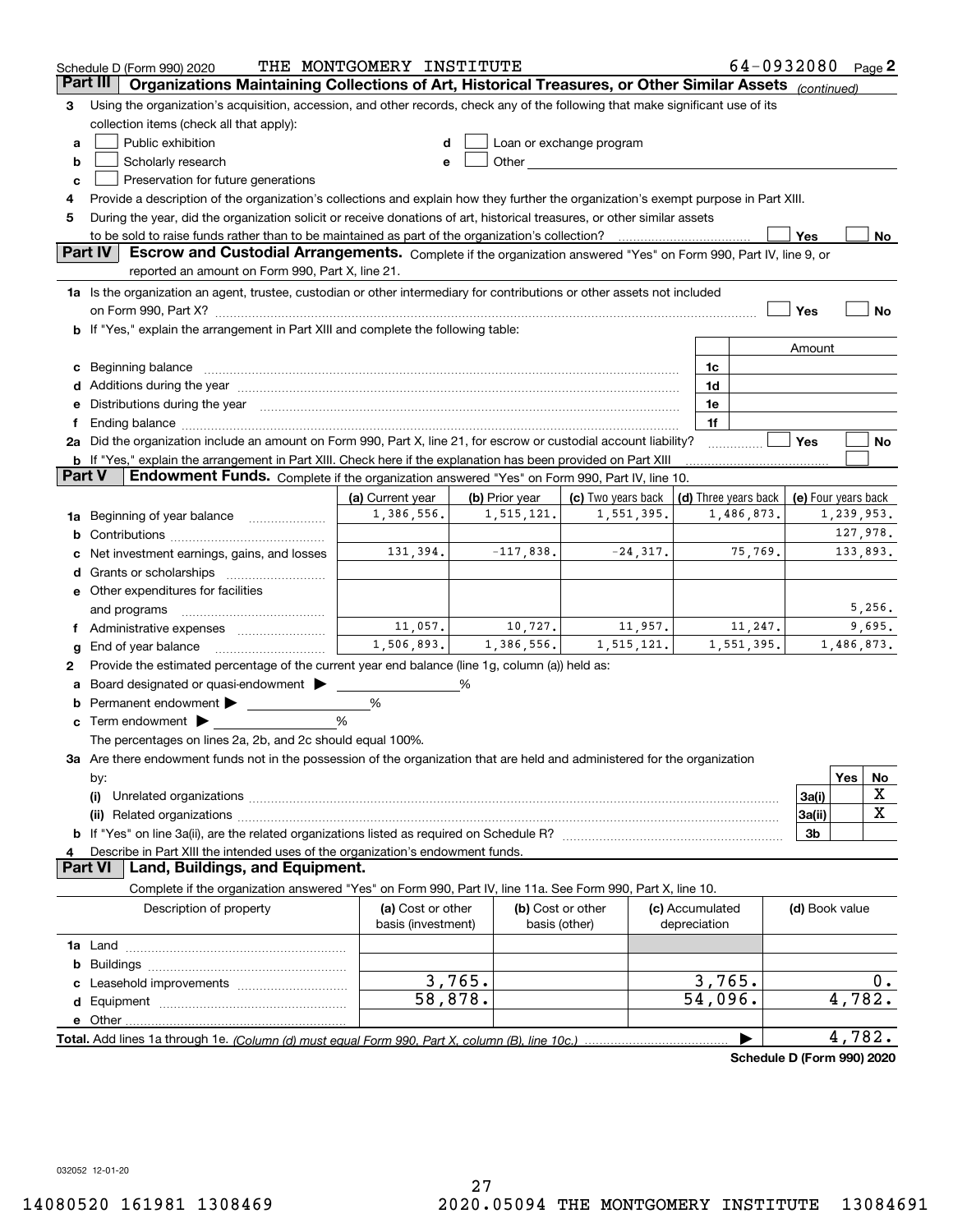|        | Schedule D (Form 990) 2020                                                                                                                                                                                                          | THE MONTGOMERY INSTITUTE       |                              |                                                                                                                                                                                                                                |                      |            | 64-0932080 Page 2   |                        |        |
|--------|-------------------------------------------------------------------------------------------------------------------------------------------------------------------------------------------------------------------------------------|--------------------------------|------------------------------|--------------------------------------------------------------------------------------------------------------------------------------------------------------------------------------------------------------------------------|----------------------|------------|---------------------|------------------------|--------|
|        | Part III<br>Organizations Maintaining Collections of Art, Historical Treasures, or Other Similar Assets (continued)                                                                                                                 |                                |                              |                                                                                                                                                                                                                                |                      |            |                     |                        |        |
| 3      | Using the organization's acquisition, accession, and other records, check any of the following that make significant use of its                                                                                                     |                                |                              |                                                                                                                                                                                                                                |                      |            |                     |                        |        |
|        | collection items (check all that apply):                                                                                                                                                                                            |                                |                              |                                                                                                                                                                                                                                |                      |            |                     |                        |        |
| а      | Public exhibition                                                                                                                                                                                                                   | d                              |                              | Loan or exchange program                                                                                                                                                                                                       |                      |            |                     |                        |        |
| b      | Scholarly research                                                                                                                                                                                                                  | е                              |                              | Other and the control of the control of the control of the control of the control of the control of the control of the control of the control of the control of the control of the control of the control of the control of th |                      |            |                     |                        |        |
| с      | Preservation for future generations                                                                                                                                                                                                 |                                |                              |                                                                                                                                                                                                                                |                      |            |                     |                        |        |
| 4      | Provide a description of the organization's collections and explain how they further the organization's exempt purpose in Part XIII.                                                                                                |                                |                              |                                                                                                                                                                                                                                |                      |            |                     |                        |        |
| 5      | During the year, did the organization solicit or receive donations of art, historical treasures, or other similar assets                                                                                                            |                                |                              |                                                                                                                                                                                                                                |                      |            |                     |                        |        |
|        | to be sold to raise funds rather than to be maintained as part of the organization's collection?                                                                                                                                    |                                |                              |                                                                                                                                                                                                                                |                      |            | Yes                 |                        | No     |
|        | <b>Part IV</b><br>Escrow and Custodial Arrangements. Complete if the organization answered "Yes" on Form 990, Part IV, line 9, or                                                                                                   |                                |                              |                                                                                                                                                                                                                                |                      |            |                     |                        |        |
|        | reported an amount on Form 990, Part X, line 21.                                                                                                                                                                                    |                                |                              |                                                                                                                                                                                                                                |                      |            |                     |                        |        |
|        | 1a Is the organization an agent, trustee, custodian or other intermediary for contributions or other assets not included                                                                                                            |                                |                              |                                                                                                                                                                                                                                |                      |            |                     |                        |        |
|        |                                                                                                                                                                                                                                     |                                |                              |                                                                                                                                                                                                                                |                      |            | Yes                 |                        | No     |
|        | If "Yes," explain the arrangement in Part XIII and complete the following table:                                                                                                                                                    |                                |                              |                                                                                                                                                                                                                                |                      |            |                     |                        |        |
|        |                                                                                                                                                                                                                                     |                                |                              |                                                                                                                                                                                                                                |                      |            | Amount              |                        |        |
| с      | Beginning balance manufactured and contain an account of the state of the state of the state of the state of the state of the state of the state of the state of the state of the state of the state of the state of the state      |                                |                              |                                                                                                                                                                                                                                | 1c                   |            |                     |                        |        |
|        | Additions during the year manufactured and an annual contract of the year manufactured and a set of the year manufactured and a set of the year manufactured and a set of the year manufactured and set of the year manufactur      |                                |                              |                                                                                                                                                                                                                                | 1d                   |            |                     |                        |        |
| е      | Distributions during the year manufactured and continuum and contact the year manufactured and contact the year                                                                                                                     |                                |                              |                                                                                                                                                                                                                                | 1e                   |            |                     |                        |        |
| f      |                                                                                                                                                                                                                                     |                                |                              |                                                                                                                                                                                                                                | 1f                   |            |                     |                        |        |
|        | 2a Did the organization include an amount on Form 990, Part X, line 21, for escrow or custodial account liability?                                                                                                                  |                                |                              |                                                                                                                                                                                                                                |                      |            | Yes                 |                        | No     |
| Part V | <b>b</b> If "Yes," explain the arrangement in Part XIII. Check here if the explanation has been provided on Part XIII                                                                                                               |                                |                              |                                                                                                                                                                                                                                |                      |            |                     |                        |        |
|        | Endowment Funds. Complete if the organization answered "Yes" on Form 990, Part IV, line 10.                                                                                                                                         |                                |                              |                                                                                                                                                                                                                                |                      |            |                     |                        |        |
|        |                                                                                                                                                                                                                                     | (a) Current year<br>1,386,556. | (b) Prior year<br>1,515,121. | (c) Two years back<br>1,551,395.                                                                                                                                                                                               | (d) Three years back | 1,486,873. | (e) Four years back |                        |        |
| 1a     | Beginning of year balance <i>mused in the sea</i> m and the search of the search of the search of the search of the search of the search of the search of the search of the search of the search of the search of the search of the |                                |                              |                                                                                                                                                                                                                                |                      |            |                     | 1,239,953.<br>127,978. |        |
| b      |                                                                                                                                                                                                                                     | 131,394.                       | $-117,838.$                  | $-24, 317.$                                                                                                                                                                                                                    |                      | 75,769.    |                     | 133,893.               |        |
|        | Net investment earnings, gains, and losses                                                                                                                                                                                          |                                |                              |                                                                                                                                                                                                                                |                      |            |                     |                        |        |
| d      |                                                                                                                                                                                                                                     |                                |                              |                                                                                                                                                                                                                                |                      |            |                     |                        |        |
|        | e Other expenditures for facilities                                                                                                                                                                                                 |                                |                              |                                                                                                                                                                                                                                |                      |            |                     |                        | 5,256. |
|        | and programs                                                                                                                                                                                                                        | 11,057.                        | 10,727.                      | 11,957.                                                                                                                                                                                                                        |                      | 11,247.    |                     |                        | 9,695. |
|        |                                                                                                                                                                                                                                     | 1,506,893.                     | 1,386,556.                   | 1,515,121.                                                                                                                                                                                                                     |                      | 1,551,395. |                     | 1,486,873.             |        |
| g      | End of year balance                                                                                                                                                                                                                 |                                |                              |                                                                                                                                                                                                                                |                      |            |                     |                        |        |
| 2      | Provide the estimated percentage of the current year end balance (line 1g, column (a)) held as:                                                                                                                                     |                                |                              |                                                                                                                                                                                                                                |                      |            |                     |                        |        |
|        | Board designated or quasi-endowment                                                                                                                                                                                                 |                                | %                            |                                                                                                                                                                                                                                |                      |            |                     |                        |        |
| b      | Permanent endowment ><br>Term endowment $\blacktriangleright$                                                                                                                                                                       | %<br>%                         |                              |                                                                                                                                                                                                                                |                      |            |                     |                        |        |
| с      | The percentages on lines 2a, 2b, and 2c should equal 100%.                                                                                                                                                                          |                                |                              |                                                                                                                                                                                                                                |                      |            |                     |                        |        |
|        | 3a Are there endowment funds not in the possession of the organization that are held and administered for the organization                                                                                                          |                                |                              |                                                                                                                                                                                                                                |                      |            |                     |                        |        |
|        |                                                                                                                                                                                                                                     |                                |                              |                                                                                                                                                                                                                                |                      |            |                     | Yes                    | No     |
|        | by:<br>(i)                                                                                                                                                                                                                          |                                |                              |                                                                                                                                                                                                                                |                      |            | 3a(i)               |                        | х      |
|        |                                                                                                                                                                                                                                     |                                |                              |                                                                                                                                                                                                                                |                      |            | 3a(ii)              |                        | X      |
|        |                                                                                                                                                                                                                                     |                                |                              |                                                                                                                                                                                                                                |                      |            | 3b                  |                        |        |
|        | Describe in Part XIII the intended uses of the organization's endowment funds.                                                                                                                                                      |                                |                              |                                                                                                                                                                                                                                |                      |            |                     |                        |        |
|        | Land, Buildings, and Equipment.<br><b>Part VI</b>                                                                                                                                                                                   |                                |                              |                                                                                                                                                                                                                                |                      |            |                     |                        |        |
|        | Complete if the organization answered "Yes" on Form 990, Part IV, line 11a. See Form 990, Part X, line 10.                                                                                                                          |                                |                              |                                                                                                                                                                                                                                |                      |            |                     |                        |        |
|        | Description of property                                                                                                                                                                                                             | (a) Cost or other              |                              | (b) Cost or other                                                                                                                                                                                                              | (c) Accumulated      |            | (d) Book value      |                        |        |
|        |                                                                                                                                                                                                                                     | basis (investment)             |                              | basis (other)                                                                                                                                                                                                                  | depreciation         |            |                     |                        |        |
|        |                                                                                                                                                                                                                                     |                                |                              |                                                                                                                                                                                                                                |                      |            |                     |                        |        |
| b      |                                                                                                                                                                                                                                     |                                |                              |                                                                                                                                                                                                                                |                      |            |                     |                        |        |
|        |                                                                                                                                                                                                                                     |                                | 3,765.                       |                                                                                                                                                                                                                                | 3,765.               |            |                     |                        | $0$ .  |
| d      |                                                                                                                                                                                                                                     | 58,878.                        |                              |                                                                                                                                                                                                                                | 54,096.              |            |                     | 4,782.                 |        |
|        | e Other                                                                                                                                                                                                                             |                                |                              |                                                                                                                                                                                                                                |                      |            |                     |                        |        |
|        |                                                                                                                                                                                                                                     |                                |                              |                                                                                                                                                                                                                                |                      |            |                     | 4,782.                 |        |

**Schedule D (Form 990) 2020**

032052 12-01-20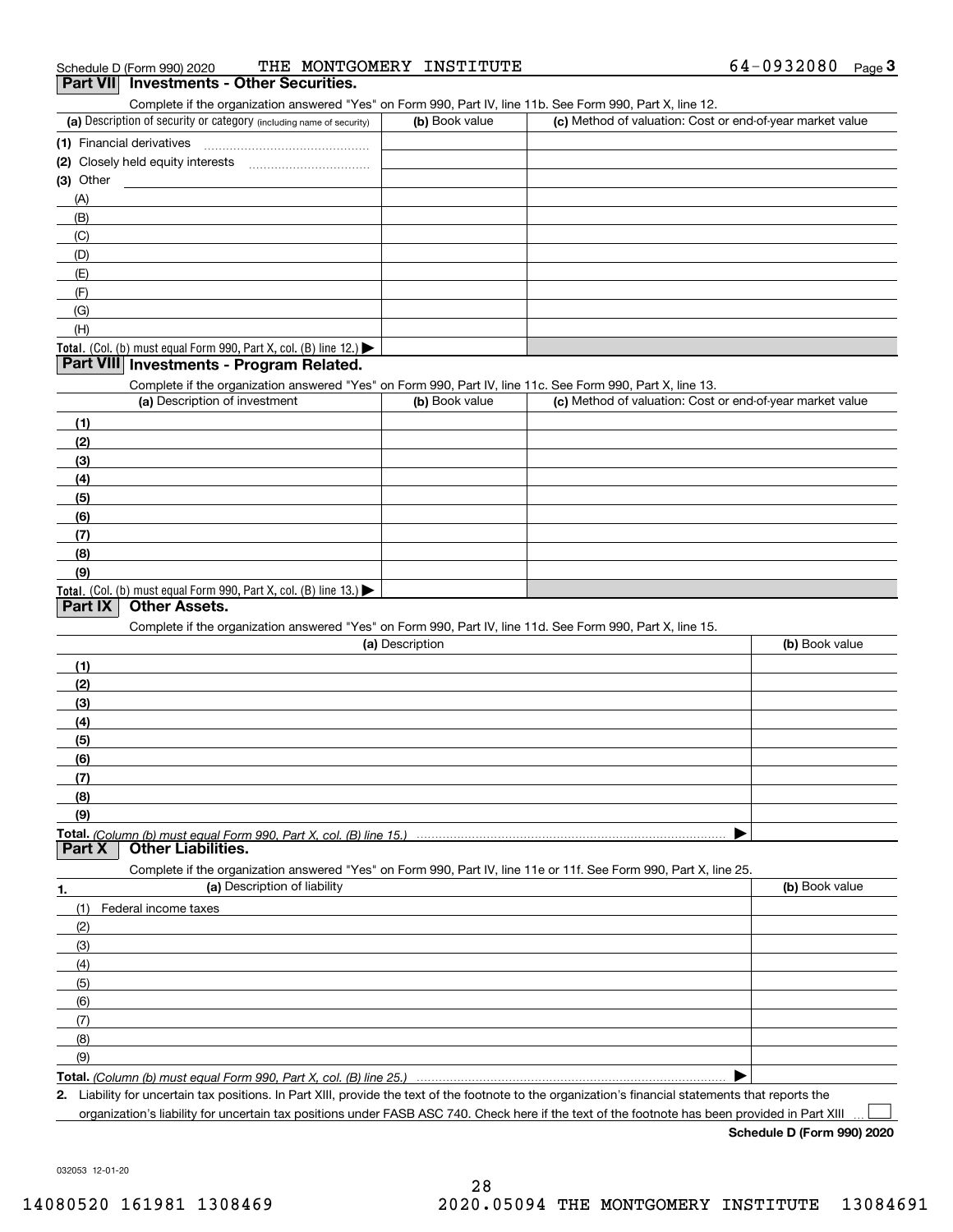| Schedule D (Form 990) 2020               | THE MONTGOMERY INSTITUTE | 64-0932080 | Page |
|------------------------------------------|--------------------------|------------|------|
| Part VII Investments - Other Securities. |                          |            |      |

### (a) Description of security or category (including name of security)  $\vert$  (b) Book value  $\vert$  (c) **(1)** Financial derivatives ~~~~~~~~~~~~~~~ **(2)** Closely held equity interests Complete if the organization answered "Yes" on Form 990, Part IV, line 11b. See Form 990, Part X, line 12.  $(b)$  Book value  $\overline{C}$  (c) Method of valuation: Cost or end-of-year market value ~~~~~~~~~~~

| (3) Other                                                                              |  |
|----------------------------------------------------------------------------------------|--|
| (A)                                                                                    |  |
| (B)                                                                                    |  |
| (C)                                                                                    |  |
| (D)                                                                                    |  |
| (E)                                                                                    |  |
| (F)                                                                                    |  |
| (G)                                                                                    |  |
| (H)                                                                                    |  |
| Total. (Col. (b) must equal Form 990, Part X, col. (B) line 12.) $\blacktriangleright$ |  |

## **Part VIII Investments - Program Related.**

Complete if the organization answered "Yes" on Form 990, Part IV, line 11c. See Form 990, Part X, line 13.

| (a) Description of investment                                       | (b) Book value | (c) Method of valuation: Cost or end-of-year market value |
|---------------------------------------------------------------------|----------------|-----------------------------------------------------------|
| (1)                                                                 |                |                                                           |
| (2)                                                                 |                |                                                           |
| (3)                                                                 |                |                                                           |
| (4)                                                                 |                |                                                           |
| (5)                                                                 |                |                                                           |
| (6)                                                                 |                |                                                           |
| (7)                                                                 |                |                                                           |
| (8)                                                                 |                |                                                           |
| (9)                                                                 |                |                                                           |
| Total. (Col. (b) must equal Form 990, Part X, col. (B) line $13$ .) |                |                                                           |

# **Part IX Other Assets.**

Complete if the organization answered "Yes" on Form 990, Part IV, line 11d. See Form 990, Part X, line 15.

| (a) Description                                                                                                   | (b) Book value |
|-------------------------------------------------------------------------------------------------------------------|----------------|
| (1)                                                                                                               |                |
| (2)                                                                                                               |                |
| (3)                                                                                                               |                |
| (4)                                                                                                               |                |
| (5)                                                                                                               |                |
| (6)                                                                                                               |                |
| (7)                                                                                                               |                |
| (8)                                                                                                               |                |
| (9)                                                                                                               |                |
|                                                                                                                   |                |
| <b>Other Liabilities.</b><br>Part $X$                                                                             |                |
| Complete if the organization answered "Yes" on Form 990, Part IV, line 11e or 11f. See Form 990, Part X, line 25. |                |

| 1.            | (a) Description of liability | (b) Book value |
|---------------|------------------------------|----------------|
| (1)           | Federal income taxes         |                |
| (2)           |                              |                |
| (3)           |                              |                |
| (4)           |                              |                |
| $\frac{1}{2}$ |                              |                |
| (6)           |                              |                |
| $\frac{7}{2}$ |                              |                |
| (8)           |                              |                |
| (9)           |                              |                |
|               |                              |                |

*(Column (b) must equal Form 990, Part X, col. (B) line 25.)* 

**2.**Liability for uncertain tax positions. In Part XIII, provide the text of the footnote to the organization's financial statements that reports the organization's liability for uncertain tax positions under FASB ASC 740. Check here if the text of the footnote has been provided in Part XIII

**Schedule D (Form 990) 2020**

 $\mathcal{L}^{\text{max}}$ 

032053 12-01-20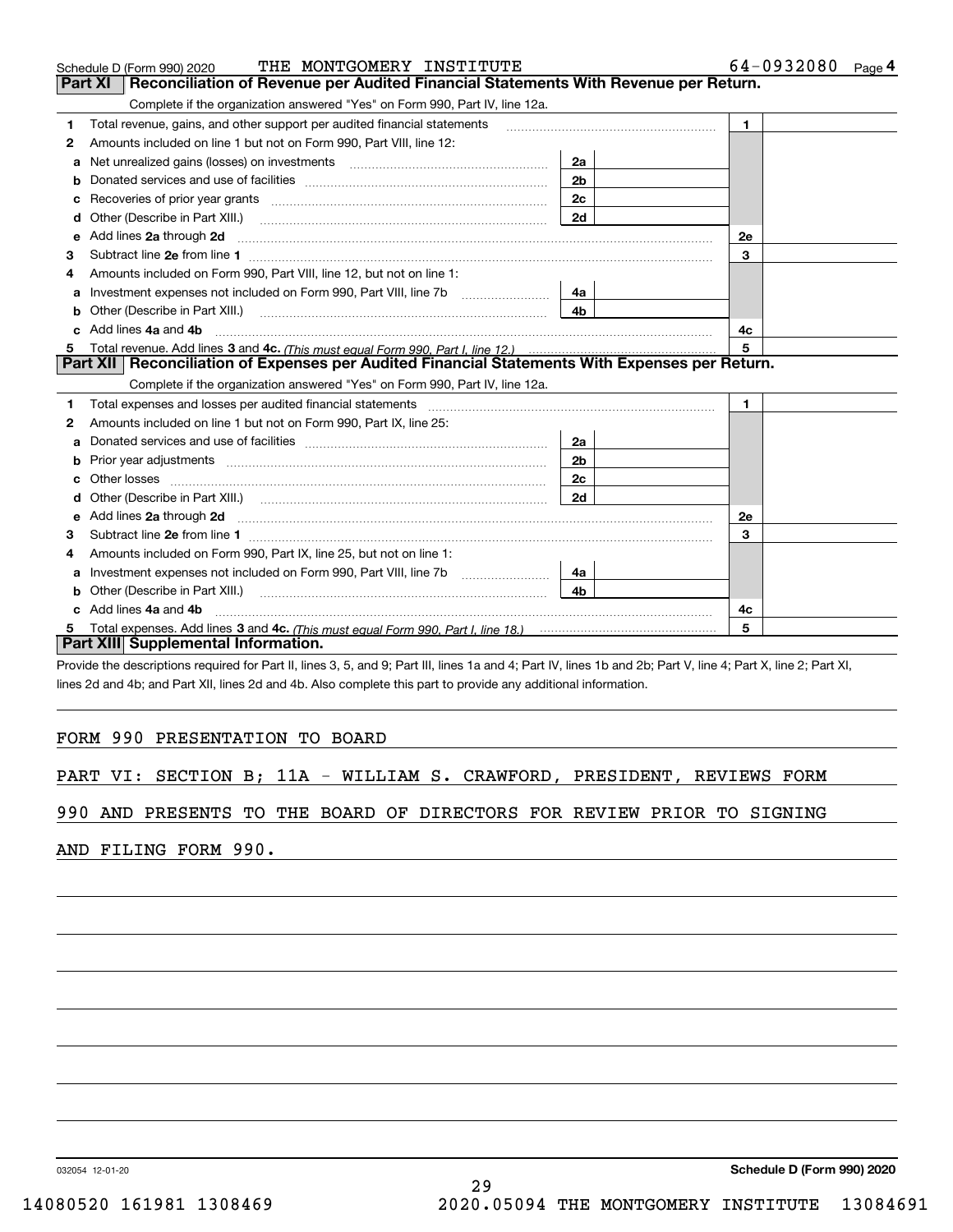|   | THE MONTGOMERY INSTITUTE<br>Schedule D (Form 990) 2020                                                                                                                                                                              |                | $64 - 0932080$ Page 4 |  |  |  |
|---|-------------------------------------------------------------------------------------------------------------------------------------------------------------------------------------------------------------------------------------|----------------|-----------------------|--|--|--|
|   | Reconciliation of Revenue per Audited Financial Statements With Revenue per Return.<br>Part XI                                                                                                                                      |                |                       |  |  |  |
|   | Complete if the organization answered "Yes" on Form 990, Part IV, line 12a.                                                                                                                                                         |                |                       |  |  |  |
| 1 | Total revenue, gains, and other support per audited financial statements                                                                                                                                                            |                | $\mathbf{1}$          |  |  |  |
| 2 | Amounts included on line 1 but not on Form 990, Part VIII, line 12:                                                                                                                                                                 |                |                       |  |  |  |
| a |                                                                                                                                                                                                                                     | 2a             |                       |  |  |  |
| b |                                                                                                                                                                                                                                     | 2 <sub>b</sub> |                       |  |  |  |
| c |                                                                                                                                                                                                                                     | 2c             |                       |  |  |  |
| d | Other (Describe in Part XIII.)                                                                                                                                                                                                      | 2d             |                       |  |  |  |
| е | Add lines 2a through 2d <b>[10]</b> University of the state of the state of the state of the state of the state of the state of the state of the state of the state of the state of the state of the state of the state of the stat |                | <b>2e</b>             |  |  |  |
| 3 |                                                                                                                                                                                                                                     |                | 3                     |  |  |  |
|   | Amounts included on Form 990, Part VIII, line 12, but not on line 1:                                                                                                                                                                |                |                       |  |  |  |
| a | Investment expenses not included on Form 990, Part VIII, line 7b                                                                                                                                                                    | 4a             |                       |  |  |  |
| b | Other (Describe in Part XIII.)                                                                                                                                                                                                      | 4 <sub>b</sub> |                       |  |  |  |
|   | Add lines 4a and 4b                                                                                                                                                                                                                 | 4с             |                       |  |  |  |
| 5 |                                                                                                                                                                                                                                     |                | 5                     |  |  |  |
|   | Part XII Reconciliation of Expenses per Audited Financial Statements With Expenses per Return.                                                                                                                                      |                |                       |  |  |  |
|   | Complete if the organization answered "Yes" on Form 990, Part IV, line 12a.                                                                                                                                                         |                |                       |  |  |  |
| 1 |                                                                                                                                                                                                                                     |                | $\mathbf{1}$          |  |  |  |
| 2 | Amounts included on line 1 but not on Form 990, Part IX, line 25:                                                                                                                                                                   |                |                       |  |  |  |
| a |                                                                                                                                                                                                                                     | 2a             |                       |  |  |  |
|   |                                                                                                                                                                                                                                     | 2 <sub>b</sub> |                       |  |  |  |
| c |                                                                                                                                                                                                                                     | 2c             |                       |  |  |  |
| d | Other (Describe in Part XIII.) (COLORGIAN CONTEXT) and the Contract of the Contract of Contract of Contract of                                                                                                                      | 2d             |                       |  |  |  |
|   |                                                                                                                                                                                                                                     | 2e             |                       |  |  |  |
| з |                                                                                                                                                                                                                                     |                | 3                     |  |  |  |
| 4 | Amounts included on Form 990, Part IX, line 25, but not on line 1:                                                                                                                                                                  |                |                       |  |  |  |
| a |                                                                                                                                                                                                                                     | 4a             |                       |  |  |  |
| b |                                                                                                                                                                                                                                     | 4b.            |                       |  |  |  |
|   | Add lines 4a and 4b<br>4c                                                                                                                                                                                                           |                |                       |  |  |  |
|   |                                                                                                                                                                                                                                     |                | 5                     |  |  |  |
|   | Part XIII Supplemental Information.                                                                                                                                                                                                 |                |                       |  |  |  |

Provide the descriptions required for Part II, lines 3, 5, and 9; Part III, lines 1a and 4; Part IV, lines 1b and 2b; Part V, line 4; Part X, line 2; Part XI, lines 2d and 4b; and Part XII, lines 2d and 4b. Also complete this part to provide any additional information.

# FORM 990 PRESENTATION TO BOARD

|  |  |  |  |  |  |  |  |  | PART VI: SECTION B; 11A - WILLIAM S. CRAWFORD, PRESIDENT, REVIEWS FORM |  |  |
|--|--|--|--|--|--|--|--|--|------------------------------------------------------------------------|--|--|
|--|--|--|--|--|--|--|--|--|------------------------------------------------------------------------|--|--|

# 990 AND PRESENTS TO THE BOARD OF DIRECTORS FOR REVIEW PRIOR TO SIGNING

AND FILING FORM 990.

032054 12-01-20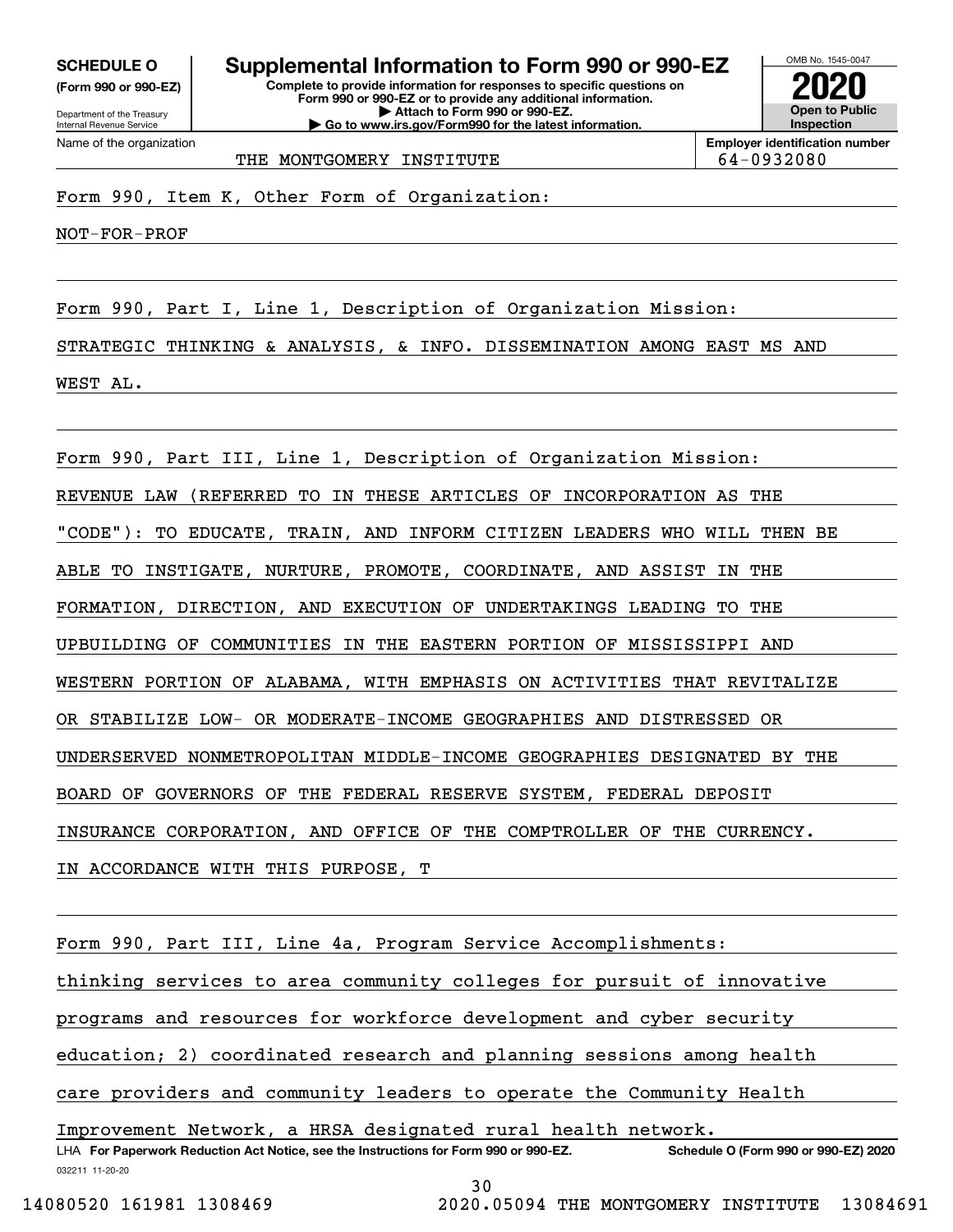**(Form 990 or 990-EZ)**

Department of the Treasury Internal Revenue Service Name of the organization

**Complete to provide information for responses to specific questions on Form 990 or 990-EZ or to provide any additional information. | Attach to Form 990 or 990-EZ. | Go to www.irs.gov/Form990 for the latest information. SCHEDULE O Supplemental Information to Form 990 or 990-EZ**



**Employer identification number** THE MONTGOMERY INSTITUTE THE 64-0932080

Form 990, Item K, Other Form of Organization:

NOT-FOR-PROF

Form 990, Part I, Line 1, Description of Organization Mission: STRATEGIC THINKING & ANALYSIS, & INFO. DISSEMINATION AMONG EAST MS AND WEST AL.

Form 990, Part III, Line 1, Description of Organization Mission: REVENUE LAW (REFERRED TO IN THESE ARTICLES OF INCORPORATION AS THE "CODE"): TO EDUCATE, TRAIN, AND INFORM CITIZEN LEADERS WHO WILL THEN BE ABLE TO INSTIGATE, NURTURE, PROMOTE, COORDINATE, AND ASSIST IN THE FORMATION, DIRECTION, AND EXECUTION OF UNDERTAKINGS LEADING TO THE UPBUILDING OF COMMUNITIES IN THE EASTERN PORTION OF MISSISSIPPI AND WESTERN PORTION OF ALABAMA, WITH EMPHASIS ON ACTIVITIES THAT REVITALIZE OR STABILIZE LOW- OR MODERATE-INCOME GEOGRAPHIES AND DISTRESSED OR UNDERSERVED NONMETROPOLITAN MIDDLE-INCOME GEOGRAPHIES DESIGNATED BY THE BOARD OF GOVERNORS OF THE FEDERAL RESERVE SYSTEM, FEDERAL DEPOSIT INSURANCE CORPORATION, AND OFFICE OF THE COMPTROLLER OF THE CURRENCY. IN ACCORDANCE WITH THIS PURPOSE, T

032211 11-20-20 LHA For Paperwork Reduction Act Notice, see the Instructions for Form 990 or 990-EZ. Schedule O (Form 990 or 990-EZ) 2020 Form 990, Part III, Line 4a, Program Service Accomplishments: thinking services to area community colleges for pursuit of innovative programs and resources for workforce development and cyber security education; 2) coordinated research and planning sessions among health care providers and community leaders to operate the Community Health Improvement Network, a HRSA designated rural health network.

30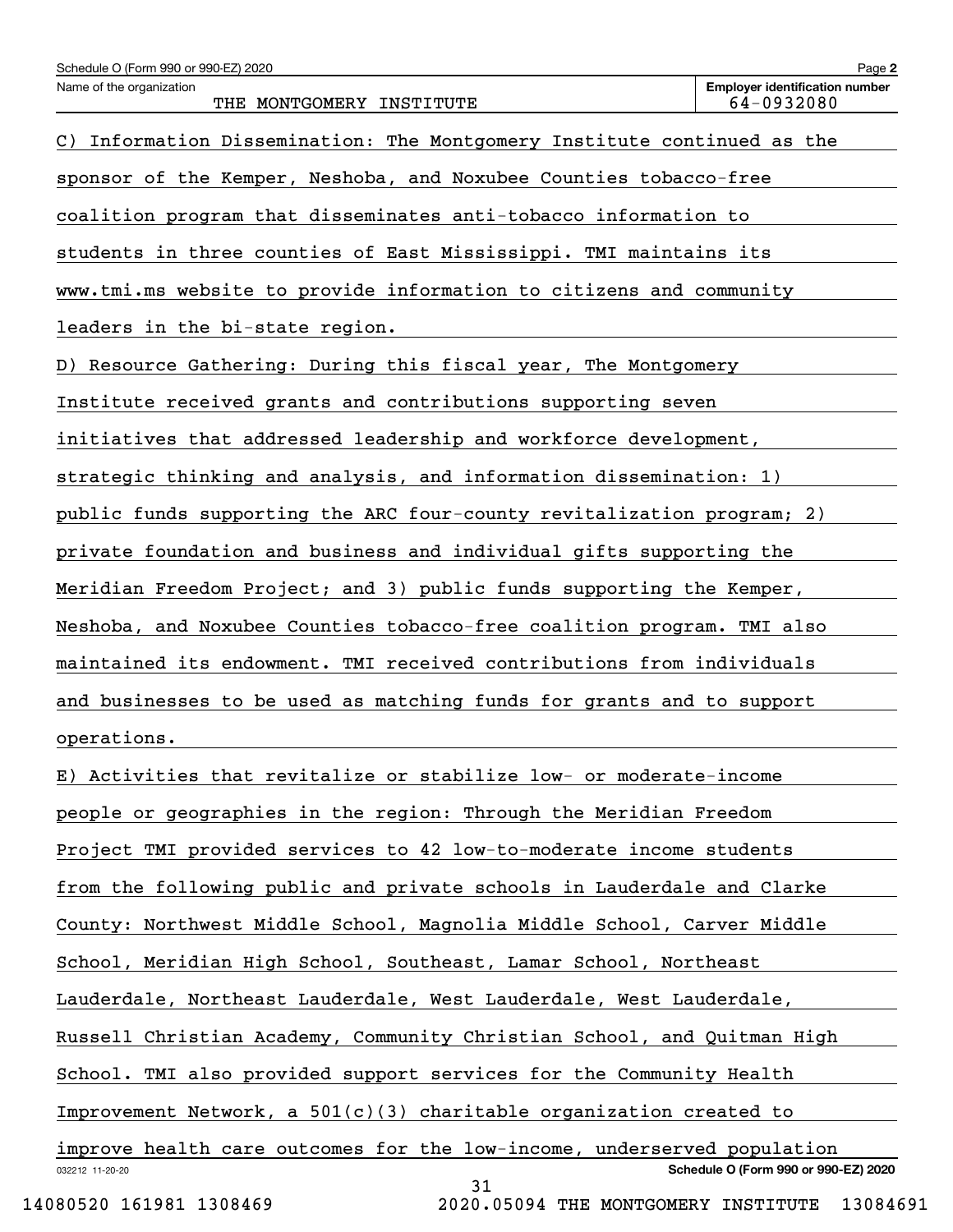| Schedule O (Form 990 or 990-EZ) 2020                                                    | Page 2                                              |
|-----------------------------------------------------------------------------------------|-----------------------------------------------------|
| Name of the organization<br>THE MONTGOMERY INSTITUTE                                    | <b>Employer identification number</b><br>64-0932080 |
| Information Dissemination: The Montgomery Institute continued as the<br>$\mathcal{C}$ ) |                                                     |
| sponsor of the Kemper, Neshoba, and Noxubee Counties tobacco-free                       |                                                     |
| coalition program that disseminates anti-tobacco information to                         |                                                     |
| students in three counties of East Mississippi. TMI maintains its                       |                                                     |
| www.tmi.ms website to provide information to citizens and community                     |                                                     |
| leaders in the bi-state region.                                                         |                                                     |
| D) Resource Gathering: During this fiscal year, The Montgomery                          |                                                     |
| Institute received grants and contributions supporting seven                            |                                                     |
| initiatives that addressed leadership and workforce development,                        |                                                     |
| strategic thinking and analysis, and information dissemination: 1)                      |                                                     |
| public funds supporting the ARC four-county revitalization program; 2)                  |                                                     |
| private foundation and business and individual gifts supporting the                     |                                                     |
| Meridian Freedom Project; and 3) public funds supporting the Kemper,                    |                                                     |
| Neshoba, and Noxubee Counties tobacco-free coalition program. TMI also                  |                                                     |
| maintained its endowment. TMI received contributions from individuals                   |                                                     |
| and businesses to be used as matching funds for grants and to support                   |                                                     |
| operations.                                                                             |                                                     |
| E) Activities that revitalize or stabilize low- or moderate-income                      |                                                     |
| people or geographies in the region: Through the Meridian Freedom                       |                                                     |
| Project TMI provided services to 42 low-to-moderate income students                     |                                                     |
| from the following public and private schools in Lauderdale and Clarke                  |                                                     |
| County: Northwest Middle School, Magnolia Middle School, Carver Middle                  |                                                     |
| School, Meridian High School, Southeast, Lamar School, Northeast                        |                                                     |
| Lauderdale, Northeast Lauderdale, West Lauderdale, West Lauderdale,                     |                                                     |
| Russell Christian Academy, Community Christian School, and Quitman High                 |                                                     |
| School. TMI also provided support services for the Community Health                     |                                                     |
| Improvement Network, a $501(c)(3)$ charitable organization created to                   |                                                     |
| improve health care outcomes for the low-income, underserved population                 |                                                     |
| 032212 11-20-20<br>31                                                                   | Schedule O (Form 990 or 990-EZ) 2020                |

14080520 161981 1308469 2020.05094 THE MONTGOMERY INSTITUTE 13084691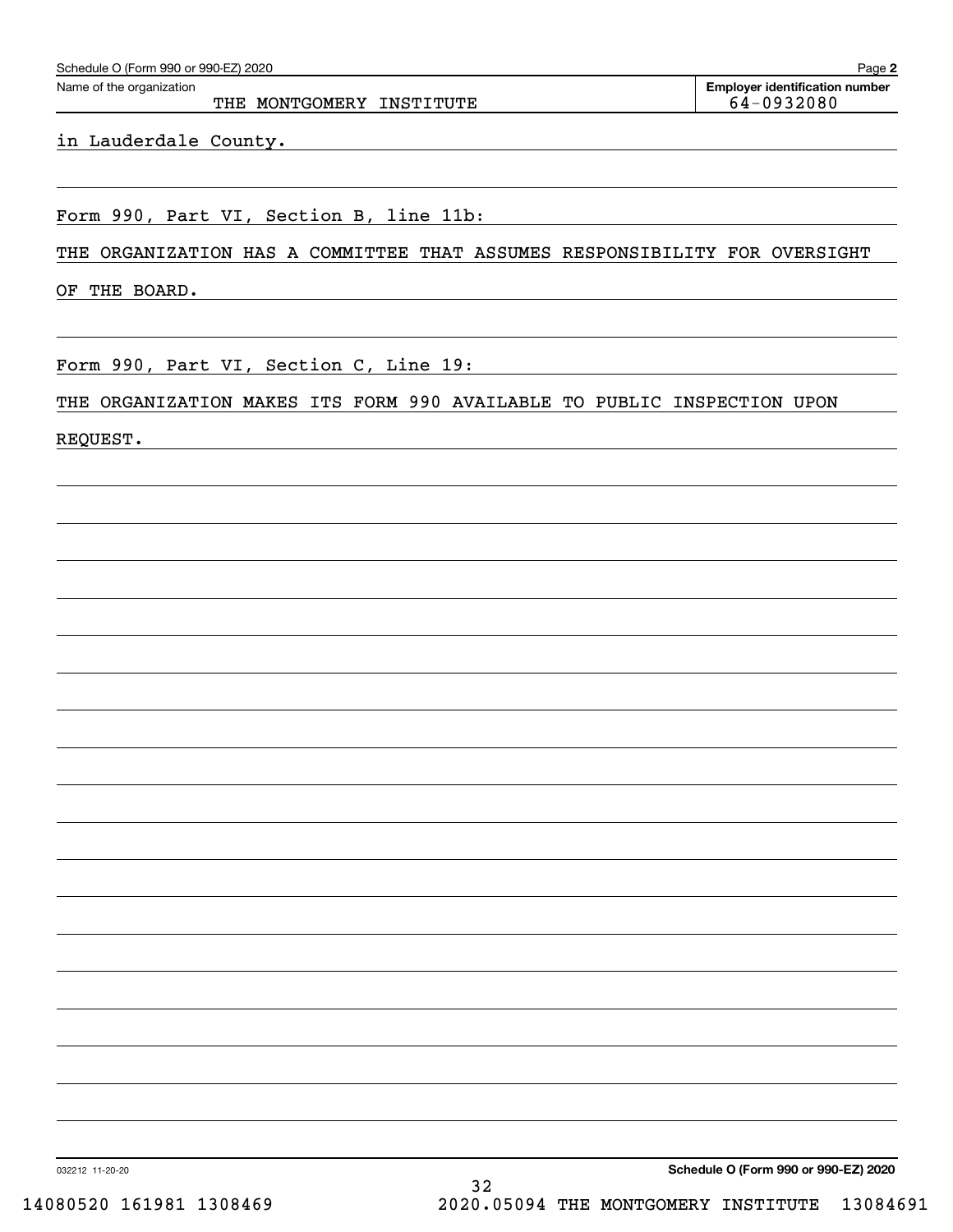| Schedule O (Form 990 or 990-EZ) 2020 |  |  |
|--------------------------------------|--|--|
|                                      |  |  |

THE MONTGOMERY INSTITUTE THE MONTGOMERY ON STRITUTE

**2**Echedule O (Form 990 or 990-EZ) 2020<br>Name of the organization **number** Name of the organization **number** 

in Lauderdale County.

Form 990, Part VI, Section B, line 11b:

THE ORGANIZATION HAS A COMMITTEE THAT ASSUMES RESPONSIBILITY FOR OVERSIGHT

OF THE BOARD.

Form 990, Part VI, Section C, Line 19:

THE ORGANIZATION MAKES ITS FORM 990 AVAILABLE TO PUBLIC INSPECTION UPON

REQUEST.

**Schedule O (Form 990 or 990-EZ) 2020**

032212 11-20-20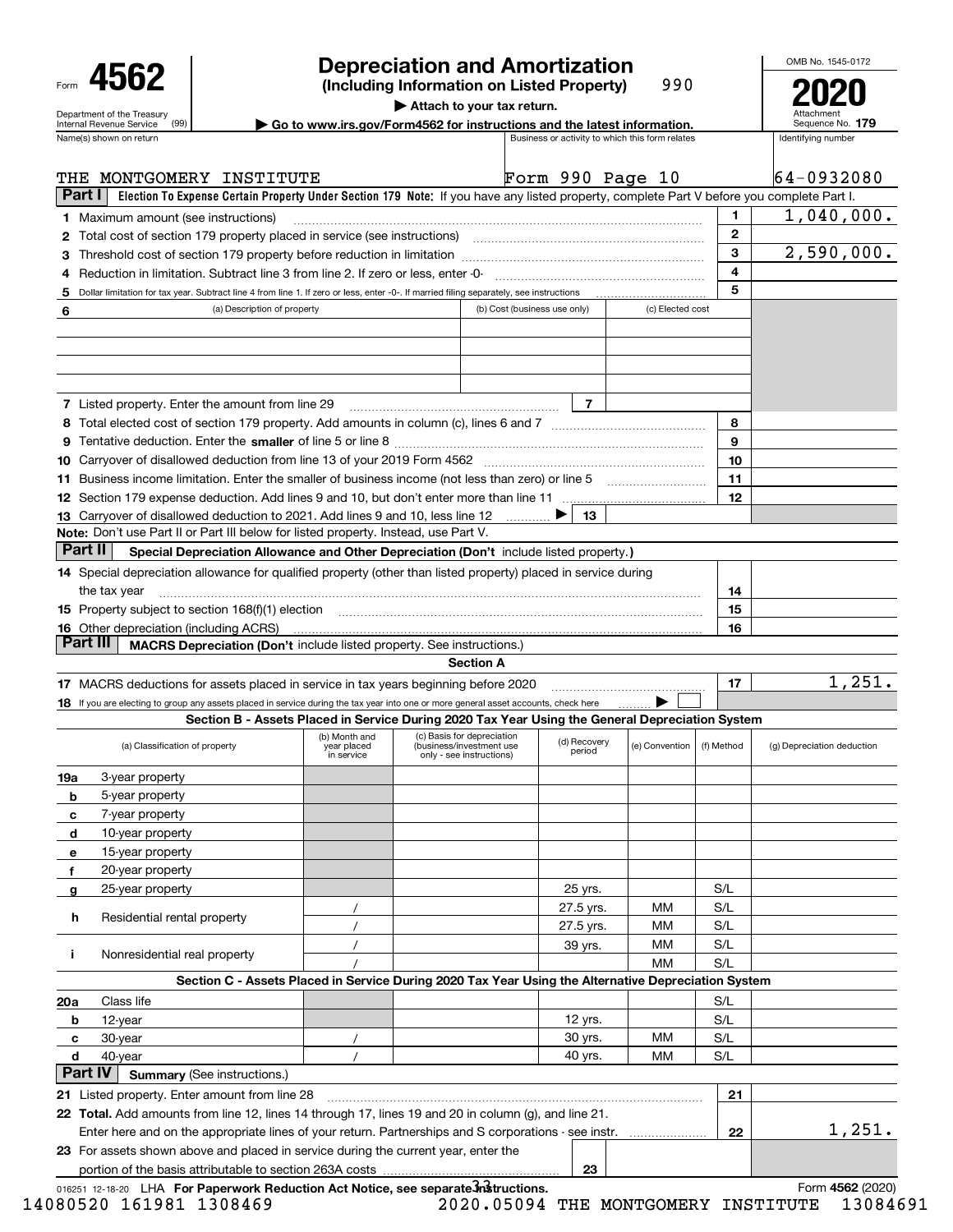| Form |                                                        |  |
|------|--------------------------------------------------------|--|
|      | Department of the Treasury<br>Internal Revenue Service |  |
|      |                                                        |  |

# **Depreciation and Amortization**

**(Including Information on Listed Property)** 990 **2020**

OMB No. 1545-0172

Attachment Sequence No.

**| Attach to your tax return.**

**| Go to www.irs.gov/Form4562 for instructions and the latest information. <sup>179</sup>**

|         | Name(s) shown on return                                                                                                                                                                                                        |                                            |                                                                                    |                              |                        | Business or activity to which this form relates |              | Identifying number         |
|---------|--------------------------------------------------------------------------------------------------------------------------------------------------------------------------------------------------------------------------------|--------------------------------------------|------------------------------------------------------------------------------------|------------------------------|------------------------|-------------------------------------------------|--------------|----------------------------|
|         | THE MONTGOMERY INSTITUTE                                                                                                                                                                                                       |                                            |                                                                                    |                              |                        | Form 990 Page 10                                |              | $64 - 0932080$             |
| Part I  | Election To Expense Certain Property Under Section 179 Note: If you have any listed property, complete Part V before you complete Part I.                                                                                      |                                            |                                                                                    |                              |                        |                                                 |              |                            |
| 1.      | Maximum amount (see instructions)                                                                                                                                                                                              |                                            |                                                                                    |                              |                        |                                                 | 1            | 1,040,000.                 |
| 2       | Total cost of section 179 property placed in service (see instructions) manufactured cost of section 179 property placed in service (see instructions)                                                                         |                                            |                                                                                    |                              |                        |                                                 | $\mathbf{2}$ |                            |
| З       |                                                                                                                                                                                                                                |                                            |                                                                                    |                              |                        |                                                 | 3            | 2,590,000.                 |
| 4       | Reduction in limitation. Subtract line 3 from line 2. If zero or less, enter -0-                                                                                                                                               |                                            |                                                                                    |                              |                        |                                                 | 4            |                            |
| 5       | Dollar limitation for tax year. Subtract line 4 from line 1. If zero or less, enter -0-. If married filing separately, see instructions                                                                                        |                                            |                                                                                    |                              |                        |                                                 | 5            |                            |
| 6       | (a) Description of property                                                                                                                                                                                                    |                                            |                                                                                    | (b) Cost (business use only) |                        | (c) Elected cost                                |              |                            |
|         |                                                                                                                                                                                                                                |                                            |                                                                                    |                              |                        |                                                 |              |                            |
|         |                                                                                                                                                                                                                                |                                            |                                                                                    |                              |                        |                                                 |              |                            |
|         |                                                                                                                                                                                                                                |                                            |                                                                                    |                              |                        |                                                 |              |                            |
|         |                                                                                                                                                                                                                                |                                            |                                                                                    |                              |                        |                                                 |              |                            |
|         | <b>7</b> Listed property. Enter the amount from line 29                                                                                                                                                                        |                                            |                                                                                    |                              | 7                      |                                                 |              |                            |
|         |                                                                                                                                                                                                                                |                                            |                                                                                    |                              |                        |                                                 | 8            |                            |
|         |                                                                                                                                                                                                                                |                                            |                                                                                    |                              |                        |                                                 | 9            |                            |
| 10.     |                                                                                                                                                                                                                                |                                            |                                                                                    |                              |                        |                                                 | 10           |                            |
| 11.     | Business income limitation. Enter the smaller of business income (not less than zero) or line 5                                                                                                                                |                                            |                                                                                    |                              |                        |                                                 | 11           |                            |
|         |                                                                                                                                                                                                                                |                                            |                                                                                    |                              |                        |                                                 | 12           |                            |
|         | 13 Carryover of disallowed deduction to 2021. Add lines 9 and 10, less line 12                                                                                                                                                 |                                            |                                                                                    |                              | 13                     |                                                 |              |                            |
|         | Note: Don't use Part II or Part III below for listed property. Instead, use Part V.                                                                                                                                            |                                            |                                                                                    |                              |                        |                                                 |              |                            |
| Part II | Special Depreciation Allowance and Other Depreciation (Don't include listed property.)                                                                                                                                         |                                            |                                                                                    |                              |                        |                                                 |              |                            |
|         | 14 Special depreciation allowance for qualified property (other than listed property) placed in service during                                                                                                                 |                                            |                                                                                    |                              |                        |                                                 |              |                            |
|         | the tax year                                                                                                                                                                                                                   |                                            |                                                                                    |                              |                        |                                                 | 14           |                            |
|         | 15 Property subject to section 168(f)(1) election material content content content of the content of the content of the content of the content of the content of the content of the content of the content of the content of t |                                            |                                                                                    |                              |                        |                                                 | 15           |                            |
|         | <b>16</b> Other depreciation (including ACRS)                                                                                                                                                                                  |                                            |                                                                                    |                              |                        |                                                 | 16           |                            |
|         | Part III<br><b>MACRS Depreciation (Don't include listed property. See instructions.)</b>                                                                                                                                       |                                            |                                                                                    |                              |                        |                                                 |              |                            |
|         |                                                                                                                                                                                                                                |                                            |                                                                                    |                              |                        |                                                 |              |                            |
|         |                                                                                                                                                                                                                                |                                            | <b>Section A</b>                                                                   |                              |                        |                                                 |              |                            |
|         | 17 MACRS deductions for assets placed in service in tax years beginning before 2020                                                                                                                                            |                                            |                                                                                    |                              |                        |                                                 | 17           | 1,251.                     |
|         | 18 If you are electing to group any assets placed in service during the tax year into one or more general asset accounts, check here                                                                                           |                                            |                                                                                    |                              |                        | ▶                                               |              |                            |
|         | Section B - Assets Placed in Service During 2020 Tax Year Using the General Depreciation System                                                                                                                                |                                            |                                                                                    |                              |                        |                                                 |              |                            |
|         | (a) Classification of property                                                                                                                                                                                                 | (b) Month and<br>vear placed<br>in service | (c) Basis for depreciation<br>(business/investment use<br>only - see instructions) |                              | (d) Recovery<br>period | (e) Convention                                  | (f) Method   | (g) Depreciation deduction |
| 19a     | 3-year property                                                                                                                                                                                                                |                                            |                                                                                    |                              |                        |                                                 |              |                            |
| b       | 5-year property                                                                                                                                                                                                                |                                            |                                                                                    |                              |                        |                                                 |              |                            |
| c       | 7-year property                                                                                                                                                                                                                |                                            |                                                                                    |                              |                        |                                                 |              |                            |
| d       | 10-year property                                                                                                                                                                                                               |                                            |                                                                                    |                              |                        |                                                 |              |                            |
| е       | 15-year property                                                                                                                                                                                                               |                                            |                                                                                    |                              |                        |                                                 |              |                            |
| f       | 20-year property                                                                                                                                                                                                               |                                            |                                                                                    |                              |                        |                                                 |              |                            |
| g       | 25-year property                                                                                                                                                                                                               |                                            |                                                                                    |                              | 25 yrs.                |                                                 | S/L          |                            |
|         |                                                                                                                                                                                                                                |                                            |                                                                                    |                              | 27.5 yrs.              | ΜM                                              | S/L          |                            |
| h       | Residential rental property                                                                                                                                                                                                    | $\prime$                                   |                                                                                    |                              | 27.5 yrs.              | ММ                                              | S/L          |                            |
|         |                                                                                                                                                                                                                                |                                            |                                                                                    |                              | 39 yrs.                | ММ                                              | S/L          |                            |
| j.      | Nonresidential real property                                                                                                                                                                                                   |                                            |                                                                                    |                              |                        | MМ                                              | S/L          |                            |
|         | Section C - Assets Placed in Service During 2020 Tax Year Using the Alternative Depreciation System                                                                                                                            |                                            |                                                                                    |                              |                        |                                                 |              |                            |
| 20a     | Class life                                                                                                                                                                                                                     |                                            |                                                                                    |                              |                        |                                                 | S/L          |                            |
| b       | 12-year                                                                                                                                                                                                                        |                                            |                                                                                    |                              | 12 yrs.                |                                                 | S/L          |                            |
| c       | 30-year                                                                                                                                                                                                                        |                                            |                                                                                    |                              | 30 yrs.                | MM                                              | S/L          |                            |
| d       | 40-year                                                                                                                                                                                                                        | $\prime$                                   |                                                                                    |                              | 40 yrs.                | ΜM                                              | S/L          |                            |
|         | <b>Part IV</b><br><b>Summary (See instructions.)</b>                                                                                                                                                                           |                                            |                                                                                    |                              |                        |                                                 |              |                            |
|         | 21 Listed property. Enter amount from line 28                                                                                                                                                                                  |                                            |                                                                                    |                              |                        |                                                 | 21           |                            |
|         | 22 Total. Add amounts from line 12, lines 14 through 17, lines 19 and 20 in column (g), and line 21.                                                                                                                           |                                            |                                                                                    |                              |                        |                                                 |              |                            |
|         | Enter here and on the appropriate lines of your return. Partnerships and S corporations - see instr.                                                                                                                           |                                            |                                                                                    |                              |                        |                                                 | 22           | 1,251.                     |
|         | 23 For assets shown above and placed in service during the current year, enter the<br>portion of the basis attributable to section 263A costs                                                                                  |                                            |                                                                                    |                              | 23                     |                                                 |              |                            |

o<sub>16251</sub> 12-18-20 LHA **For Paperwork Reduction Act Notice, see separate** *i***nstructions. And the comment of the separate instructions And the separate instructions. A set the set of the set of the set of the set of t**